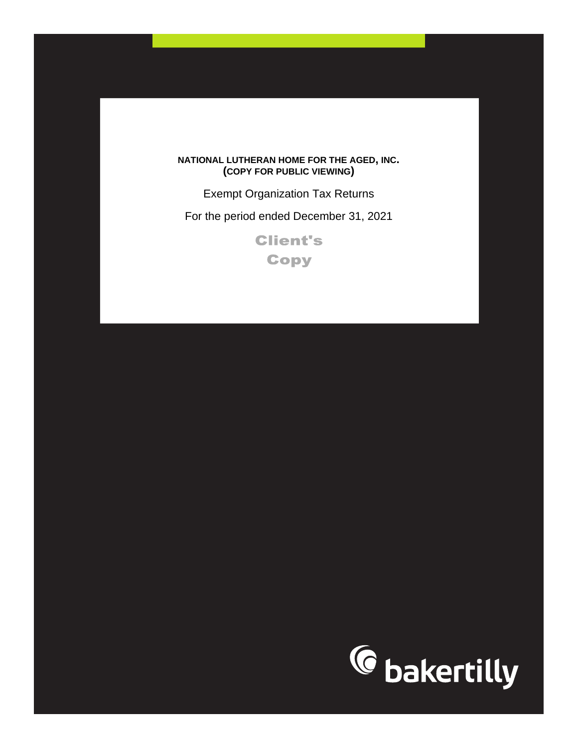## **NATIONAL LUTHERAN HOME FOR THE AGED, INC. (COPY FOR PUBLIC VIEWING)**

Exempt Organization Tax Returns

For the period ended December 31, 2021

**Client's Copy** 

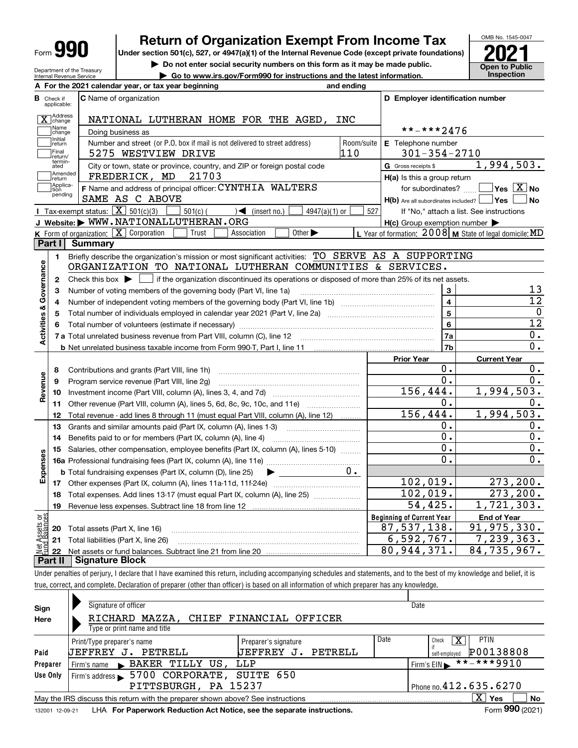| Form |
|------|
|------|

# **Return of Organization Exempt From Income Tax**

Under section 501(c), 527, or 4947(a)(1) of the Internal Revenue Code (except private foundations) **2021** 

**| Do not enter social security numbers on this form as it may be made public.**

**| Go to www.irs.gov/Form990 for instructions and the latest information. Inspection**



Department of the Treasury Internal Revenue Service

|                        |                                  | A For the 2021 calendar year, or tax year beginning                                                                                         | and ending |                                                     |                                                           |
|------------------------|----------------------------------|---------------------------------------------------------------------------------------------------------------------------------------------|------------|-----------------------------------------------------|-----------------------------------------------------------|
|                        | <b>B</b> Check if<br>applicable: | <b>C</b> Name of organization                                                                                                               |            | D Employer identification number                    |                                                           |
|                        | X Change                         | NATIONAL LUTHERAN HOME FOR THE AGED, INC                                                                                                    |            |                                                     |                                                           |
|                        | Name<br>change                   | Doing business as                                                                                                                           |            | **-***2476                                          |                                                           |
|                        | Initial<br>return                | Number and street (or P.O. box if mail is not delivered to street address)                                                                  | Room/suite | E Telephone number                                  |                                                           |
|                        | Final<br>return/                 | 5275 WESTVIEW DRIVE                                                                                                                         | 110        | $301 - 354 - 2710$                                  |                                                           |
|                        | termin-<br>ated                  | City or town, state or province, country, and ZIP or foreign postal code                                                                    |            | G Gross receipts \$                                 | 1,994,503.                                                |
|                        | Amended<br>return                | FREDERICK, MD<br>21703                                                                                                                      |            | H(a) Is this a group return                         |                                                           |
|                        | Applica-<br>tion                 | F Name and address of principal officer: CYNTHIA WALTERS                                                                                    |            | for subordinates?                                   | $\sqrt{}$ Yes $\sqrt{}$ X $\sqrt{}$ No                    |
|                        | pending                          | SAME AS C ABOVE                                                                                                                             |            | H(b) Are all subordinates included?   Yes           | ∣No                                                       |
|                        |                                  | Tax-exempt status: $\boxed{\mathbf{X}}$ 501(c)(3)<br>$501(c)$ (<br>$\sqrt{\bullet}$ (insert no.)<br>$4947(a)(1)$ or                         | 527        |                                                     | If "No," attach a list. See instructions                  |
|                        |                                  | J Website: WWW.NATIONALLUTHERAN.ORG                                                                                                         |            | $H(c)$ Group exemption number $\blacktriangleright$ |                                                           |
|                        |                                  | K Form of organization: X Corporation<br>Other $\blacktriangleright$<br>Trust<br>Association                                                |            |                                                     | L Year of formation: $2008$ M State of legal domicile: MD |
|                        | Part I                           | Summary                                                                                                                                     |            |                                                     |                                                           |
|                        | 1.                               | Briefly describe the organization's mission or most significant activities: TO SERVE AS A SUPPORTING                                        |            |                                                     |                                                           |
|                        |                                  | ORGANIZATION TO NATIONAL LUTHERAN COMMUNITIES & SERVICES.                                                                                   |            |                                                     |                                                           |
| Governance             | 2                                | Check this box $\blacktriangleright$ $\Box$ if the organization discontinued its operations or disposed of more than 25% of its net assets. |            |                                                     |                                                           |
|                        | з                                | Number of voting members of the governing body (Part VI, line 1a)                                                                           |            | 3                                                   | 13                                                        |
|                        | 4                                |                                                                                                                                             |            | $\overline{\mathbf{4}}$                             | $\overline{12}$                                           |
|                        | 5                                |                                                                                                                                             |            | $\overline{\mathbf{5}}$                             | $\mathbf 0$                                               |
|                        |                                  |                                                                                                                                             |            | $6\phantom{a}$                                      | 12                                                        |
| Activities &           |                                  |                                                                                                                                             |            | 7a                                                  | 0.                                                        |
|                        |                                  |                                                                                                                                             |            | 7b                                                  | 0.                                                        |
|                        |                                  |                                                                                                                                             |            | <b>Prior Year</b>                                   | <b>Current Year</b>                                       |
|                        | 8                                |                                                                                                                                             |            | 0.                                                  | 0.                                                        |
|                        | 9                                | Program service revenue (Part VIII, line 2g)                                                                                                |            | 0.                                                  | 0.                                                        |
| Revenue                | 10                               |                                                                                                                                             |            | 156, 444.                                           | 1,994,503.                                                |
|                        | 11                               | Other revenue (Part VIII, column (A), lines 5, 6d, 8c, 9c, 10c, and 11e)                                                                    |            | 0.                                                  | 0.                                                        |
|                        | 12                               | Total revenue - add lines 8 through 11 (must equal Part VIII, column (A), line 12)                                                          |            | 156, 444.                                           | 1,994,503.                                                |
|                        | 13                               | Grants and similar amounts paid (Part IX, column (A), lines 1-3)                                                                            |            | 0.                                                  | 0.                                                        |
|                        | 14                               | Benefits paid to or for members (Part IX, column (A), line 4)                                                                               |            | 0.                                                  | $0$ .                                                     |
|                        | 15                               | Salaries, other compensation, employee benefits (Part IX, column (A), lines 5-10)                                                           |            | 0.                                                  | 0.                                                        |
|                        |                                  |                                                                                                                                             |            | 0.                                                  | 0.                                                        |
| Expenses               |                                  | <b>b</b> Total fundraising expenses (Part IX, column (D), line 25) $\rightarrow$                                                            | 0.         |                                                     |                                                           |
|                        |                                  |                                                                                                                                             |            | 102,019.                                            | 273, 200.                                                 |
|                        |                                  | 18 Total expenses. Add lines 13-17 (must equal Part IX, column (A), line 25)                                                                |            | 102,019.                                            | 273, 200.                                                 |
|                        |                                  | 19 Revenue less expenses. Subtract line 18 from line 12                                                                                     |            | 54,425.                                             | 1,721,303.                                                |
|                        |                                  |                                                                                                                                             |            | <b>Beginning of Current Year</b>                    | <b>End of Year</b>                                        |
|                        | 20                               | Total assets (Part X, line 16)                                                                                                              |            | 87, 537, 138.                                       | $\overline{91, 975, 330}$ .                               |
| Assets or<br>dBalances | 21                               | Total liabilities (Part X, line 26)                                                                                                         |            | 6,592,767.                                          | 7, 239, 363.                                              |
| 혫                      | 22                               |                                                                                                                                             |            | 80, 944, 371.                                       | 84,735,967.                                               |
|                        | Part II                          | <b>Signature Block</b>                                                                                                                      |            |                                                     |                                                           |

true, correct, and complete. Declaration of preparer (other than officer) is based on all information of which preparer has any knowledge.

| Sign            | Signature of officer                                                            |                          |      | Date                       |
|-----------------|---------------------------------------------------------------------------------|--------------------------|------|----------------------------|
| Here            | RICHARD MAZZA, CHIEF FINANCIAL OFFICER                                          |                          |      |                            |
|                 | Type or print name and title                                                    |                          |      |                            |
|                 | Print/Type preparer's name                                                      | Preparer's signature     | Date | <b>PTIN</b><br>Check       |
| Paid            | PETRELL<br>UEFFREY<br>J.                                                        | PETRELL<br>UEFFREY<br>J. |      | P00138808<br>self-emploved |
| Preparer        | BAKER TILLY US, LLP<br>Firm's name                                              |                          |      | **-***9910<br>Firm's $EIN$ |
| Use Only        | Firm's address > 5700 CORPORATE, SUITE 650                                      |                          |      |                            |
|                 | PITTSBURGH, PA 15237                                                            |                          |      | Phone no. 412.635.6270     |
|                 | May the IRS discuss this return with the preparer shown above? See instructions |                          |      | X.<br>No<br>∣ Yes          |
| 132001 12-09-21 | LHA For Paperwork Reduction Act Notice, see the separate instructions.          |                          |      | Form 990 (2021)            |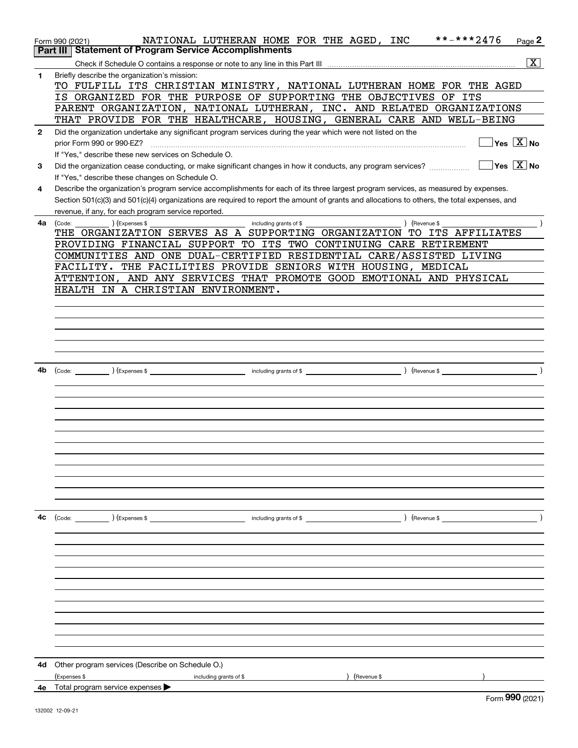|              | **-***2476<br>NATIONAL LUTHERAN HOME FOR THE AGED, INC<br>Page 2<br>Form 990 (2021)                                                                                      |
|--------------|--------------------------------------------------------------------------------------------------------------------------------------------------------------------------|
|              | <b>Statement of Program Service Accomplishments</b><br>Part III                                                                                                          |
|              | $\overline{\mathtt{x}}$                                                                                                                                                  |
| 1            | Briefly describe the organization's mission:                                                                                                                             |
|              | TO FULFILL ITS CHRISTIAN MINISTRY, NATIONAL LUTHERAN HOME FOR THE AGED                                                                                                   |
|              | IS ORGANIZED FOR THE PURPOSE OF SUPPORTING THE OBJECTIVES OF ITS                                                                                                         |
|              | PARENT ORGANIZATION, NATIONAL LUTHERAN, INC. AND RELATED ORGANIZATIONS                                                                                                   |
|              | THAT PROVIDE FOR THE HEALTHCARE, HOUSING, GENERAL CARE AND WELL-BEING                                                                                                    |
| $\mathbf{2}$ | Did the organization undertake any significant program services during the year which were not listed on the                                                             |
|              | $\overline{\ }$ Yes $\overline{\rm X}$ No                                                                                                                                |
|              | If "Yes." describe these new services on Schedule O.                                                                                                                     |
| 3            | $\sqrt{}$ Yes $\sqrt{}$ X $\sqrt{}$ No<br>Did the organization cease conducting, or make significant changes in how it conducts, any program services?                   |
|              | If "Yes," describe these changes on Schedule O.                                                                                                                          |
| 4            | Describe the organization's program service accomplishments for each of its three largest program services, as measured by expenses.                                     |
|              | Section 501(c)(3) and 501(c)(4) organizations are required to report the amount of grants and allocations to others, the total expenses, and                             |
|              | revenue, if any, for each program service reported.                                                                                                                      |
| 4a           | ) (Expenses \$<br>) (Revenue \$<br>(Code:<br>including grants of \$                                                                                                      |
|              | THE ORGANIZATION SERVES AS A SUPPORTING ORGANIZATION TO ITS AFFILIATES                                                                                                   |
|              | PROVIDING FINANCIAL SUPPORT TO ITS TWO CONTINUING CARE RETIREMENT                                                                                                        |
|              | COMMUNITIES AND ONE DUAL-CERTIFIED RESIDENTIAL CARE/ASSISTED LIVING                                                                                                      |
|              | FACILITY. THE FACILITIES PROVIDE SENIORS WITH HOUSING, MEDICAL                                                                                                           |
|              | ATTENTION, AND ANY SERVICES THAT PROMOTE GOOD EMOTIONAL AND PHYSICAL                                                                                                     |
|              | HEALTH IN A CHRISTIAN ENVIRONMENT.                                                                                                                                       |
|              |                                                                                                                                                                          |
|              |                                                                                                                                                                          |
|              |                                                                                                                                                                          |
|              |                                                                                                                                                                          |
|              |                                                                                                                                                                          |
|              |                                                                                                                                                                          |
|              |                                                                                                                                                                          |
| 4b           | including grants of \$<br>$\sqrt{2}$ (Revenue \$<br>$\begin{array}{ccc} \text{(Code:} & \text{ } \\ \end{array}$ $\begin{array}{ccc} \text{(Expenses $$)} & \end{array}$ |
|              |                                                                                                                                                                          |
|              |                                                                                                                                                                          |
|              |                                                                                                                                                                          |
|              |                                                                                                                                                                          |
|              |                                                                                                                                                                          |
|              |                                                                                                                                                                          |
|              |                                                                                                                                                                          |
|              |                                                                                                                                                                          |
|              |                                                                                                                                                                          |
|              |                                                                                                                                                                          |
|              |                                                                                                                                                                          |
|              |                                                                                                                                                                          |
| 4с           |                                                                                                                                                                          |
|              |                                                                                                                                                                          |
|              |                                                                                                                                                                          |
|              |                                                                                                                                                                          |
|              |                                                                                                                                                                          |
|              |                                                                                                                                                                          |
|              |                                                                                                                                                                          |
|              |                                                                                                                                                                          |
|              |                                                                                                                                                                          |
|              |                                                                                                                                                                          |
|              |                                                                                                                                                                          |
|              |                                                                                                                                                                          |
|              |                                                                                                                                                                          |
|              | 4d Other program services (Describe on Schedule O.)                                                                                                                      |
|              | (Expenses \$<br>) (Revenue \$<br>including grants of \$                                                                                                                  |
|              | <b>4e</b> Total program service expenses $\blacktriangleright$                                                                                                           |
|              | $000 \text{ m}$                                                                                                                                                          |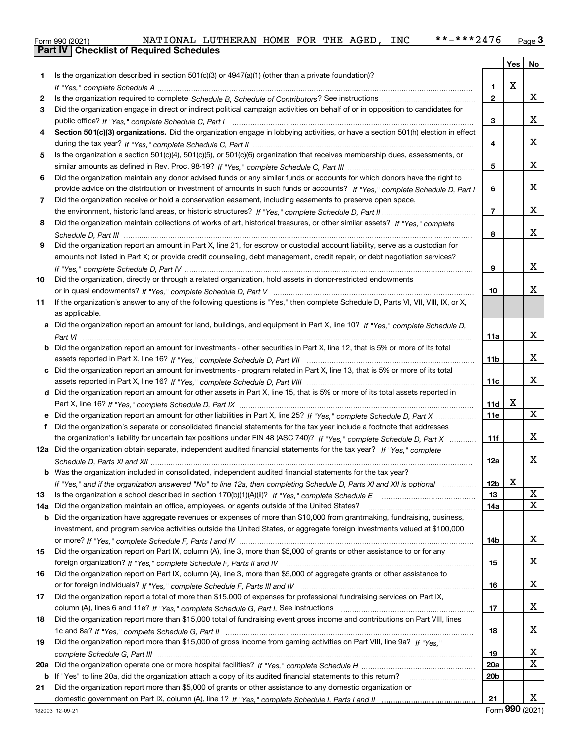| Form 990 (2021) |                                                  | NATIONAL LUTHERAN HOME FOR THE AGED, |  |  | <b>INC</b> | **-***2476 | $P_{\text{aqe}}$ 3 |
|-----------------|--------------------------------------------------|--------------------------------------|--|--|------------|------------|--------------------|
|                 | <b>Part IV   Checklist of Required Schedules</b> |                                      |  |  |            |            |                    |

|     |                                                                                                                                       |                 | <b>Yes</b> | No          |
|-----|---------------------------------------------------------------------------------------------------------------------------------------|-----------------|------------|-------------|
| 1   | Is the organization described in section $501(c)(3)$ or $4947(a)(1)$ (other than a private foundation)?                               |                 |            |             |
|     |                                                                                                                                       | 1.              | X          |             |
| 2   |                                                                                                                                       | $\mathbf 2$     |            | $\mathbf X$ |
| 3   | Did the organization engage in direct or indirect political campaign activities on behalf of or in opposition to candidates for       |                 |            |             |
|     |                                                                                                                                       | 3               |            | х           |
| 4   | Section 501(c)(3) organizations. Did the organization engage in lobbying activities, or have a section 501(h) election in effect      |                 |            |             |
|     |                                                                                                                                       | 4               |            | х           |
| 5   | Is the organization a section 501(c)(4), 501(c)(5), or 501(c)(6) organization that receives membership dues, assessments, or          |                 |            |             |
|     |                                                                                                                                       | 5               |            | x           |
| 6   | Did the organization maintain any donor advised funds or any similar funds or accounts for which donors have the right to             |                 |            |             |
|     | provide advice on the distribution or investment of amounts in such funds or accounts? If "Yes," complete Schedule D, Part I          | 6               |            | x           |
| 7   | Did the organization receive or hold a conservation easement, including easements to preserve open space,                             |                 |            |             |
|     |                                                                                                                                       | $\overline{7}$  |            | x           |
| 8   | Did the organization maintain collections of works of art, historical treasures, or other similar assets? If "Yes," complete          |                 |            |             |
|     |                                                                                                                                       | 8               |            | x           |
| 9   | Did the organization report an amount in Part X, line 21, for escrow or custodial account liability, serve as a custodian for         |                 |            |             |
|     | amounts not listed in Part X; or provide credit counseling, debt management, credit repair, or debt negotiation services?             |                 |            |             |
|     |                                                                                                                                       | 9               |            | X           |
| 10  | Did the organization, directly or through a related organization, hold assets in donor-restricted endowments                          |                 |            |             |
|     |                                                                                                                                       | 10              |            | x           |
| 11  | If the organization's answer to any of the following questions is "Yes," then complete Schedule D, Parts VI, VII, VIII, IX, or X,     |                 |            |             |
|     | as applicable.                                                                                                                        |                 |            |             |
|     | a Did the organization report an amount for land, buildings, and equipment in Part X, line 10? If "Yes," complete Schedule D,         |                 |            |             |
|     |                                                                                                                                       | 11a             |            | x           |
|     | <b>b</b> Did the organization report an amount for investments - other securities in Part X, line 12, that is 5% or more of its total |                 |            |             |
|     |                                                                                                                                       | 11 <sub>b</sub> |            | X           |
|     | c Did the organization report an amount for investments - program related in Part X, line 13, that is 5% or more of its total         |                 |            |             |
|     |                                                                                                                                       | 11c             |            | X           |
|     | d Did the organization report an amount for other assets in Part X, line 15, that is 5% or more of its total assets reported in       |                 |            |             |
|     |                                                                                                                                       | 11d             | х          |             |
|     |                                                                                                                                       | 11e             |            | X           |
| f   | Did the organization's separate or consolidated financial statements for the tax year include a footnote that addresses               |                 |            |             |
|     | the organization's liability for uncertain tax positions under FIN 48 (ASC 740)? If "Yes," complete Schedule D, Part X                | 11f             |            | x           |
|     | 12a Did the organization obtain separate, independent audited financial statements for the tax year? If "Yes," complete               |                 |            |             |
|     |                                                                                                                                       | 12a             |            | X           |
|     | <b>b</b> Was the organization included in consolidated, independent audited financial statements for the tax year?                    |                 |            |             |
|     | If "Yes," and if the organization answered "No" to line 12a, then completing Schedule D, Parts XI and XII is optional                 | 12b             | X          |             |
| 13  |                                                                                                                                       | 13              |            | х           |
| 14a | Did the organization maintain an office, employees, or agents outside of the United States?                                           | 14a             |            | $\mathbf X$ |
| b   | Did the organization have aggregate revenues or expenses of more than \$10,000 from grantmaking, fundraising, business,               |                 |            |             |
|     | investment, and program service activities outside the United States, or aggregate foreign investments valued at \$100,000            |                 |            |             |
|     |                                                                                                                                       | 14b             |            | x           |
| 15  | Did the organization report on Part IX, column (A), line 3, more than \$5,000 of grants or other assistance to or for any             |                 |            |             |
|     |                                                                                                                                       | 15              |            | x           |
| 16  | Did the organization report on Part IX, column (A), line 3, more than \$5,000 of aggregate grants or other assistance to              |                 |            |             |
|     |                                                                                                                                       | 16              |            | x           |
| 17  | Did the organization report a total of more than \$15,000 of expenses for professional fundraising services on Part IX,               |                 |            |             |
|     |                                                                                                                                       | 17              |            | x           |
| 18  | Did the organization report more than \$15,000 total of fundraising event gross income and contributions on Part VIII, lines          |                 |            |             |
|     |                                                                                                                                       | 18              |            | x           |
| 19  | Did the organization report more than \$15,000 of gross income from gaming activities on Part VIII, line 9a? If "Yes."                |                 |            |             |
|     |                                                                                                                                       | 19              |            | x<br>X      |
| 20a |                                                                                                                                       | 20a             |            |             |
| b   | If "Yes" to line 20a, did the organization attach a copy of its audited financial statements to this return?                          | 20 <sub>b</sub> |            |             |
| 21  | Did the organization report more than \$5,000 of grants or other assistance to any domestic organization or                           | 21              |            | х           |
|     |                                                                                                                                       |                 |            |             |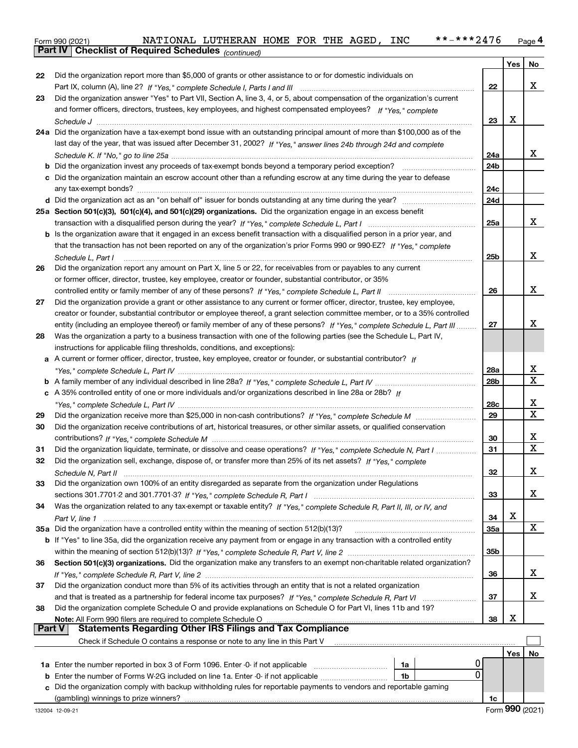| Form 990 (2021) |                                                            | NATIONAL LUTHERAN HOME FOR THE AGED, |  |  | INC | **-***2476 | Page 4 |
|-----------------|------------------------------------------------------------|--------------------------------------|--|--|-----|------------|--------|
|                 | <b>Part IV Checklist of Required Schedules</b> (continued) |                                      |  |  |     |            |        |

|    | Parl IV I<br>Criecklist of Required Scriedules (continued)                                                                                  |                 |     |    |
|----|---------------------------------------------------------------------------------------------------------------------------------------------|-----------------|-----|----|
|    |                                                                                                                                             |                 | Yes | No |
| 22 | Did the organization report more than \$5,000 of grants or other assistance to or for domestic individuals on                               |                 |     |    |
|    |                                                                                                                                             | 22              |     | X  |
| 23 | Did the organization answer "Yes" to Part VII, Section A, line 3, 4, or 5, about compensation of the organization's current                 |                 |     |    |
|    | and former officers, directors, trustees, key employees, and highest compensated employees? If "Yes," complete                              |                 |     |    |
|    |                                                                                                                                             | 23              | х   |    |
|    | 24a Did the organization have a tax-exempt bond issue with an outstanding principal amount of more than \$100,000 as of the                 |                 |     |    |
|    | last day of the year, that was issued after December 31, 2002? If "Yes," answer lines 24b through 24d and complete                          |                 |     |    |
|    |                                                                                                                                             | 24a             |     | x  |
|    | <b>b</b> Did the organization invest any proceeds of tax-exempt bonds beyond a temporary period exception?                                  | 24b             |     |    |
|    | c Did the organization maintain an escrow account other than a refunding escrow at any time during the year to defease                      |                 |     |    |
|    |                                                                                                                                             | 24c             |     |    |
|    |                                                                                                                                             | 24d             |     |    |
|    | 25a Section 501(c)(3), 501(c)(4), and 501(c)(29) organizations. Did the organization engage in an excess benefit                            |                 |     |    |
|    |                                                                                                                                             | 25a             |     | x  |
|    | b Is the organization aware that it engaged in an excess benefit transaction with a disqualified person in a prior year, and                |                 |     |    |
|    | that the transaction has not been reported on any of the organization's prior Forms 990 or 990-EZ? If "Yes," complete                       |                 |     |    |
|    |                                                                                                                                             | 25b             |     | х  |
| 26 | Schedule L, Part I<br>Did the organization report any amount on Part X, line 5 or 22, for receivables from or payables to any current       |                 |     |    |
|    |                                                                                                                                             |                 |     |    |
|    | or former officer, director, trustee, key employee, creator or founder, substantial contributor, or 35%                                     |                 |     | х  |
|    |                                                                                                                                             | 26              |     |    |
| 27 | Did the organization provide a grant or other assistance to any current or former officer, director, trustee, key employee,                 |                 |     |    |
|    | creator or founder, substantial contributor or employee thereof, a grant selection committee member, or to a 35% controlled                 |                 |     |    |
|    | entity (including an employee thereof) or family member of any of these persons? If "Yes," complete Schedule L, Part III                    | 27              |     | х  |
| 28 | Was the organization a party to a business transaction with one of the following parties (see the Schedule L, Part IV,                      |                 |     |    |
|    | instructions for applicable filing thresholds, conditions, and exceptions):                                                                 |                 |     |    |
|    | a A current or former officer, director, trustee, key employee, creator or founder, or substantial contributor? If                          |                 |     |    |
|    |                                                                                                                                             | 28a             |     | х  |
|    |                                                                                                                                             | 28 <sub>b</sub> |     | х  |
|    | c A 35% controlled entity of one or more individuals and/or organizations described in line 28a or 28b? If                                  |                 |     |    |
|    |                                                                                                                                             | 28c             |     | х  |
| 29 |                                                                                                                                             | 29              |     | х  |
| 30 | Did the organization receive contributions of art, historical treasures, or other similar assets, or qualified conservation                 |                 |     |    |
|    |                                                                                                                                             | 30              |     | х  |
| 31 | Did the organization liquidate, terminate, or dissolve and cease operations? If "Yes," complete Schedule N, Part I                          | 31              |     | X  |
| 32 | Did the organization sell, exchange, dispose of, or transfer more than 25% of its net assets? If "Yes," complete                            |                 |     |    |
|    |                                                                                                                                             | 32              |     | х  |
| 33 | Did the organization own 100% of an entity disregarded as separate from the organization under Regulations                                  |                 |     |    |
|    |                                                                                                                                             | 33              |     | x  |
| 34 | Was the organization related to any tax-exempt or taxable entity? If "Yes," complete Schedule R, Part II, III, or IV, and                   |                 |     |    |
|    |                                                                                                                                             | 34              | X   |    |
|    | 35a Did the organization have a controlled entity within the meaning of section 512(b)(13)?                                                 | <b>35a</b>      |     | х  |
|    | b If "Yes" to line 35a, did the organization receive any payment from or engage in any transaction with a controlled entity                 |                 |     |    |
|    |                                                                                                                                             | 35b             |     |    |
|    | Section 501(c)(3) organizations. Did the organization make any transfers to an exempt non-charitable related organization?                  |                 |     |    |
| 36 |                                                                                                                                             |                 |     | X  |
|    |                                                                                                                                             | 36              |     |    |
| 37 | Did the organization conduct more than 5% of its activities through an entity that is not a related organization                            |                 |     | х  |
|    |                                                                                                                                             | 37              |     |    |
| 38 | Did the organization complete Schedule O and provide explanations on Schedule O for Part VI, lines 11b and 19?                              |                 |     |    |
|    | Note: All Form 990 filers are required to complete Schedule O<br>Part V<br><b>Statements Regarding Other IRS Filings and Tax Compliance</b> | 38              | X   |    |
|    |                                                                                                                                             |                 |     |    |
|    | Check if Schedule O contains a response or note to any line in this Part V                                                                  |                 |     |    |
|    |                                                                                                                                             |                 | Yes | No |
|    | 1a                                                                                                                                          |                 |     |    |
|    | <b>b</b> Enter the number of Forms W-2G included on line 1a. Enter -0- if not applicable <i>manumumum</i><br>1b                             | 0               |     |    |
|    | c Did the organization comply with backup withholding rules for reportable payments to vendors and reportable gaming                        |                 |     |    |
|    | (gambling) winnings to prize winners?                                                                                                       | 1c              |     |    |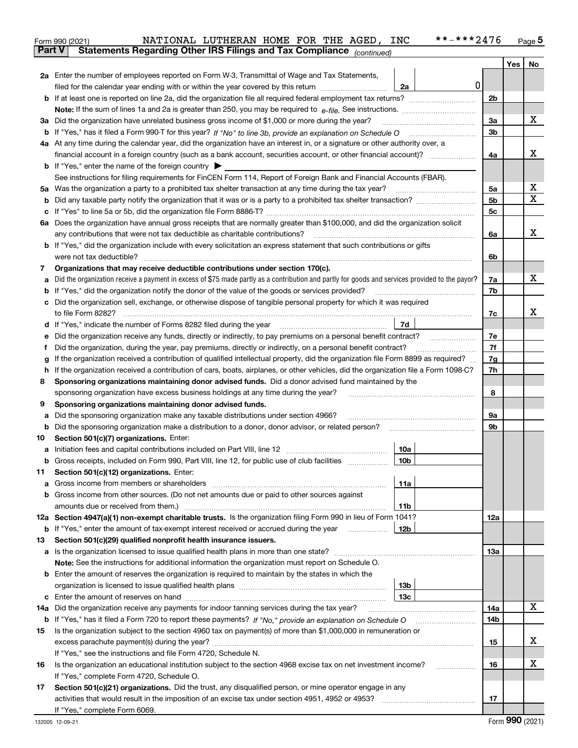|     | NATIONAL LUTHERAN HOME FOR THE AGED, INC<br>**-***2476<br>Form 990 (2021)                                                                                                                                                                        |                |                  | <u>Page</u> 5 |
|-----|--------------------------------------------------------------------------------------------------------------------------------------------------------------------------------------------------------------------------------------------------|----------------|------------------|---------------|
|     | Statements Regarding Other IRS Filings and Tax Compliance (continued)<br><b>Part V</b>                                                                                                                                                           |                |                  |               |
|     |                                                                                                                                                                                                                                                  |                | Yes <sub>1</sub> | No            |
|     | 2a Enter the number of employees reported on Form W-3, Transmittal of Wage and Tax Statements,                                                                                                                                                   |                |                  |               |
|     | 0 <br>filed for the calendar year ending with or within the year covered by this return<br>2a                                                                                                                                                    |                |                  |               |
|     |                                                                                                                                                                                                                                                  | 2b             |                  |               |
|     |                                                                                                                                                                                                                                                  |                |                  |               |
|     | 3a Did the organization have unrelated business gross income of \$1,000 or more during the year?                                                                                                                                                 | 3a             |                  | х             |
|     |                                                                                                                                                                                                                                                  | 3 <sub>b</sub> |                  |               |
|     | 4a At any time during the calendar year, did the organization have an interest in, or a signature or other authority over, a                                                                                                                     |                |                  |               |
|     | financial account in a foreign country (such as a bank account, securities account, or other financial account)?                                                                                                                                 | 4a             |                  | х             |
|     | <b>b</b> If "Yes," enter the name of the foreign country $\blacktriangleright$                                                                                                                                                                   |                |                  |               |
|     | See instructions for filing requirements for FinCEN Form 114, Report of Foreign Bank and Financial Accounts (FBAR).                                                                                                                              |                |                  |               |
|     |                                                                                                                                                                                                                                                  | 5a             |                  | х             |
|     |                                                                                                                                                                                                                                                  | 5 <sub>b</sub> |                  | Χ             |
|     |                                                                                                                                                                                                                                                  | 5c             |                  |               |
|     | 6a Does the organization have annual gross receipts that are normally greater than \$100,000, and did the organization solicit                                                                                                                   |                |                  |               |
|     |                                                                                                                                                                                                                                                  | 6a             |                  | x             |
|     | <b>b</b> If "Yes," did the organization include with every solicitation an express statement that such contributions or gifts                                                                                                                    |                |                  |               |
|     |                                                                                                                                                                                                                                                  | 6b             |                  |               |
| 7   | Organizations that may receive deductible contributions under section 170(c).                                                                                                                                                                    |                |                  |               |
| a   | Did the organization receive a payment in excess of \$75 made partly as a contribution and partly for goods and services provided to the payor?                                                                                                  | 7a             |                  | х             |
|     | <b>b</b> If "Yes," did the organization notify the donor of the value of the goods or services provided?                                                                                                                                         | 7b             |                  |               |
|     | c Did the organization sell, exchange, or otherwise dispose of tangible personal property for which it was required                                                                                                                              |                |                  | х             |
|     | 7d                                                                                                                                                                                                                                               | 7c             |                  |               |
|     | d If "Yes," indicate the number of Forms 8282 filed during the year [11] [11] No. 2010 [12] Henry Marian Marian Marian Marian Marian Marian Marian Marian Marian Marian Marian Marian Marian Marian Marian Marian Marian Maria                   | 7e             |                  |               |
| е   | Did the organization receive any funds, directly or indirectly, to pay premiums on a personal benefit contract?                                                                                                                                  | 7f             |                  |               |
| f   | Did the organization, during the year, pay premiums, directly or indirectly, on a personal benefit contract?<br>If the organization received a contribution of qualified intellectual property, did the organization file Form 8899 as required? | 7g             |                  |               |
| g   | h If the organization received a contribution of cars, boats, airplanes, or other vehicles, did the organization file a Form 1098-C?                                                                                                             | 7h             |                  |               |
| 8   | Sponsoring organizations maintaining donor advised funds. Did a donor advised fund maintained by the                                                                                                                                             |                |                  |               |
|     | sponsoring organization have excess business holdings at any time during the year?                                                                                                                                                               | 8              |                  |               |
| 9   | Sponsoring organizations maintaining donor advised funds.                                                                                                                                                                                        |                |                  |               |
| а   | Did the sponsoring organization make any taxable distributions under section 4966?                                                                                                                                                               | 9a             |                  |               |
|     | <b>b</b> Did the sponsoring organization make a distribution to a donor, donor advisor, or related person?                                                                                                                                       | 9b             |                  |               |
| 10  | Section 501(c)(7) organizations. Enter:                                                                                                                                                                                                          |                |                  |               |
| а   | 10a                                                                                                                                                                                                                                              |                |                  |               |
|     | 10b <br>Gross receipts, included on Form 990, Part VIII, line 12, for public use of club facilities                                                                                                                                              |                |                  |               |
| 11  | Section 501(c)(12) organizations. Enter:                                                                                                                                                                                                         |                |                  |               |
| а   | Gross income from members or shareholders<br>11a                                                                                                                                                                                                 |                |                  |               |
|     | b Gross income from other sources. (Do not net amounts due or paid to other sources against                                                                                                                                                      |                |                  |               |
|     | amounts due or received from them.)<br>11b                                                                                                                                                                                                       |                |                  |               |
|     | 12a Section 4947(a)(1) non-exempt charitable trusts. Is the organization filing Form 990 in lieu of Form 1041?                                                                                                                                   | 12a            |                  |               |
|     | <b>b</b> If "Yes," enter the amount of tax-exempt interest received or accrued during the year <i>manument</i><br>12b                                                                                                                            |                |                  |               |
| 13  | Section 501(c)(29) qualified nonprofit health insurance issuers.                                                                                                                                                                                 |                |                  |               |
|     | a Is the organization licensed to issue qualified health plans in more than one state?                                                                                                                                                           | 13а            |                  |               |
|     | Note: See the instructions for additional information the organization must report on Schedule O.                                                                                                                                                |                |                  |               |
|     | <b>b</b> Enter the amount of reserves the organization is required to maintain by the states in which the                                                                                                                                        |                |                  |               |
|     | 13b                                                                                                                                                                                                                                              |                |                  |               |
|     | 13 <sub>c</sub>                                                                                                                                                                                                                                  |                |                  |               |
| 14a | Did the organization receive any payments for indoor tanning services during the tax year?                                                                                                                                                       | 14a            |                  | x             |
|     | <b>b</b> If "Yes," has it filed a Form 720 to report these payments? If "No," provide an explanation on Schedule O                                                                                                                               | 14b            |                  |               |
| 15  | Is the organization subject to the section 4960 tax on payment(s) of more than \$1,000,000 in remuneration or                                                                                                                                    |                |                  |               |
|     |                                                                                                                                                                                                                                                  | 15             |                  | х             |
|     | If "Yes," see the instructions and file Form 4720, Schedule N.                                                                                                                                                                                   |                |                  |               |
| 16  | Is the organization an educational institution subject to the section 4968 excise tax on net investment income?                                                                                                                                  | 16             |                  | х             |
|     | If "Yes," complete Form 4720, Schedule O.                                                                                                                                                                                                        |                |                  |               |
| 17  | Section 501(c)(21) organizations. Did the trust, any disqualified person, or mine operator engage in any                                                                                                                                         |                |                  |               |
|     | activities that would result in the imposition of an excise tax under section 4951, 4952 or 4953?                                                                                                                                                | 17             |                  |               |
|     | If "Yes," complete Form 6069.                                                                                                                                                                                                                    |                |                  |               |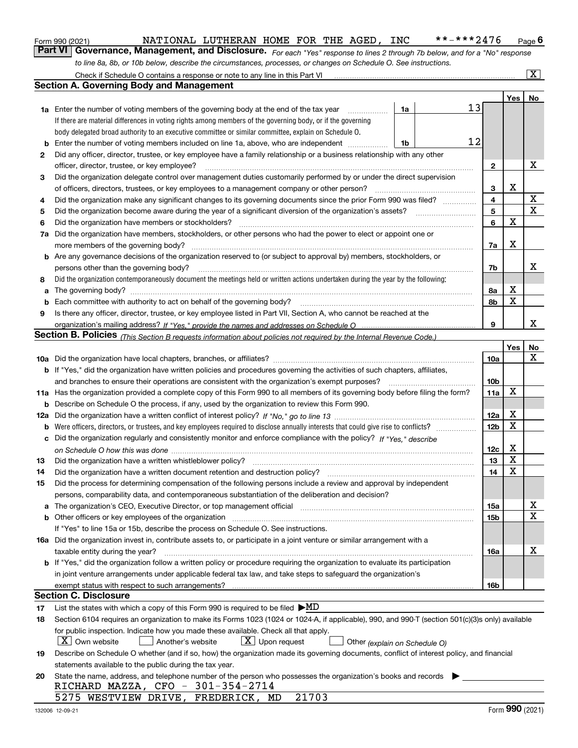|     | Check if Schedule O contains a response or note to any line in this Part VI                                                                                                                 |                 |             | $\overline{\mathbf{X}}$ |
|-----|---------------------------------------------------------------------------------------------------------------------------------------------------------------------------------------------|-----------------|-------------|-------------------------|
|     | <b>Section A. Governing Body and Management</b>                                                                                                                                             |                 |             |                         |
|     |                                                                                                                                                                                             |                 | Yes         | No                      |
|     | 13<br>1a<br><b>1a</b> Enter the number of voting members of the governing body at the end of the tax year<br>.                                                                              |                 |             |                         |
|     | If there are material differences in voting rights among members of the governing body, or if the governing                                                                                 |                 |             |                         |
|     | body delegated broad authority to an executive committee or similar committee, explain on Schedule O.                                                                                       |                 |             |                         |
| b   | 12<br>Enter the number of voting members included on line 1a, above, who are independent<br>1b                                                                                              |                 |             |                         |
| 2   | Did any officer, director, trustee, or key employee have a family relationship or a business relationship with any other                                                                    |                 |             |                         |
|     | officer, director, trustee, or key employee?                                                                                                                                                | $\mathbf{2}$    |             | х                       |
| 3   | Did the organization delegate control over management duties customarily performed by or under the direct supervision                                                                       |                 |             |                         |
|     | of officers, directors, trustees, or key employees to a management company or other person?                                                                                                 | 3               | х           |                         |
| 4   | Did the organization make any significant changes to its governing documents since the prior Form 990 was filed?                                                                            | 4               |             | X                       |
|     |                                                                                                                                                                                             | 5               |             | $\mathbf X$             |
| 5   |                                                                                                                                                                                             |                 | x           |                         |
| 6   | Did the organization have members or stockholders?                                                                                                                                          | 6               |             |                         |
| 7a  | Did the organization have members, stockholders, or other persons who had the power to elect or appoint one or                                                                              |                 |             |                         |
|     |                                                                                                                                                                                             | 7a              | х           |                         |
|     | b Are any governance decisions of the organization reserved to (or subject to approval by) members, stockholders, or                                                                        |                 |             |                         |
|     | persons other than the governing body?                                                                                                                                                      | 7b              |             | х                       |
| 8   | Did the organization contemporaneously document the meetings held or written actions undertaken during the year by the following:                                                           |                 |             |                         |
| a   |                                                                                                                                                                                             | 8а              | х           |                         |
|     | Each committee with authority to act on behalf of the governing body?<br>Fach committee with authority to act on behalf of the governing body?                                              | 8b              | X           |                         |
| 9   | Is there any officer, director, trustee, or key employee listed in Part VII, Section A, who cannot be reached at the                                                                        |                 |             |                         |
|     |                                                                                                                                                                                             | 9               |             | х                       |
|     | Section B. Policies (This Section B requests information about policies not required by the Internal Revenue Code.)                                                                         |                 |             |                         |
|     |                                                                                                                                                                                             |                 | Yes         | No                      |
|     |                                                                                                                                                                                             |                 |             |                         |
|     |                                                                                                                                                                                             | <b>10a</b>      |             | Х                       |
|     | <b>b</b> If "Yes," did the organization have written policies and procedures governing the activities of such chapters, affiliates,                                                         |                 |             |                         |
|     | and branches to ensure their operations are consistent with the organization's exempt purposes?                                                                                             | 10b             |             |                         |
|     | 11a Has the organization provided a complete copy of this Form 990 to all members of its governing body before filing the form?                                                             | 11a             | Х           |                         |
|     | <b>b</b> Describe on Schedule O the process, if any, used by the organization to review this Form 990.                                                                                      |                 |             |                         |
| 12a |                                                                                                                                                                                             | 12a             | х           |                         |
|     |                                                                                                                                                                                             | 12 <sub>b</sub> | $\mathbf X$ |                         |
|     |                                                                                                                                                                                             |                 |             |                         |
|     | c Did the organization regularly and consistently monitor and enforce compliance with the policy? If "Yes," describe                                                                        |                 |             |                         |
|     |                                                                                                                                                                                             | 12c             | х           |                         |
| 13  | Did the organization have a written whistleblower policy?                                                                                                                                   | 13              | $\mathbf X$ |                         |
| 14  | Did the organization have a written document retention and destruction policy? manufactured and the organization have a written document retention and destruction policy?                  | 14              | $\mathbf X$ |                         |
| 15  | Did the process for determining compensation of the following persons include a review and approval by independent                                                                          |                 |             |                         |
|     | persons, comparability data, and contemporaneous substantiation of the deliberation and decision?                                                                                           |                 |             |                         |
|     | a The organization's CEO, Executive Director, or top management official                                                                                                                    | 15a             |             | X                       |
|     | <b>b</b> Other officers or key employees of the organization                                                                                                                                | 15b             |             | X                       |
|     | If "Yes" to line 15a or 15b, describe the process on Schedule O. See instructions.                                                                                                          |                 |             |                         |
|     | 16a Did the organization invest in, contribute assets to, or participate in a joint venture or similar arrangement with a                                                                   |                 |             |                         |
|     | taxable entity during the year?                                                                                                                                                             | 16a             |             | х                       |
|     | <b>b</b> If "Yes," did the organization follow a written policy or procedure requiring the organization to evaluate its participation                                                       |                 |             |                         |
|     | in joint venture arrangements under applicable federal tax law, and take steps to safeguard the organization's                                                                              |                 |             |                         |
|     | exempt status with respect to such arrangements?                                                                                                                                            | 16b             |             |                         |
|     | <b>Section C. Disclosure</b>                                                                                                                                                                |                 |             |                         |
| 17  | List the states with which a copy of this Form 990 is required to be filed $\blacktriangleright \underline{MD}$                                                                             |                 |             |                         |
| 18  | Section 6104 requires an organization to make its Forms 1023 (1024 or 1024-A, if applicable), 990, and 990-T (section 501(c)(3)s only) available                                            |                 |             |                         |
|     | for public inspection. Indicate how you made these available. Check all that apply.<br>$X$ Own website<br>$ \mathbf{X} $ Upon request<br>Another's website<br>Other (explain on Schedule O) |                 |             |                         |

orm 990 (2021) \_\_\_\_\_\_\_\_\_\_\_\_\_\_\_\_NATIONAL\_LUTHERAN\_HOME\_FOR\_THE\_AGED*,*\_INC\_\_\_\_\_\*\*\_\*\*\*2476\_\_\_<sub>Page</sub> 6<br>Part VI | Governance, Management, and Disclosure. <sub>For each "Yes" response to lines 2 through 7b below, and for a "No" res</sub>

Form 990 (2021) NATIONAL LUTHERAN HOME FOR THE AGED, INC \*\*-\*\*\*2476 <sub>Page</sub>

*to line 8a, 8b, or 10b below, describe the circumstances, processes, or changes on Schedule O. See instructions.*

| 20 State the name, address, and telephone number of the person who possesses the organization's books and records |  |
|-------------------------------------------------------------------------------------------------------------------|--|
| RICHARD MAZZA, CFO - 301-354-2714                                                                                 |  |
| 5275 WESTVIEW DRIVE, FREDERICK, MD 21703                                                                          |  |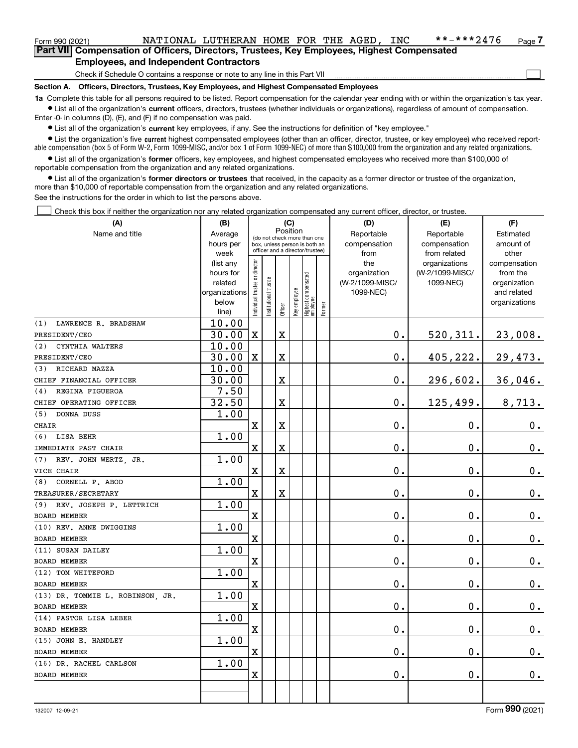## Form 990 (2021) NATIONAL LUTHERAN HOME FOR THE AGED, INC \*\*-\*\*\*2476 <sub>Page</sub>

**7Part VII Compensation of Officers, Directors, Trustees, Key Employees, Highest Compensated Employees, and Independent Contractors**

Check if Schedule O contains a response or note to any line in this Part VII

**Section A. Officers, Directors, Trustees, Key Employees, and Highest Compensated Employees**

**1a**  Complete this table for all persons required to be listed. Report compensation for the calendar year ending with or within the organization's tax year. **•** List all of the organization's current officers, directors, trustees (whether individuals or organizations), regardless of amount of compensation.

Enter -0- in columns (D), (E), and (F) if no compensation was paid.

 $\bullet$  List all of the organization's  $\sf current$  key employees, if any. See the instructions for definition of "key employee."

**•** List the organization's five current highest compensated employees (other than an officer, director, trustee, or key employee) who received reportable compensation (box 5 of Form W-2, Form 1099-MISC, and/or box 1 of Form 1099-NEC) of more than \$100,000 from the organization and any related organizations.

**•** List all of the organization's former officers, key employees, and highest compensated employees who received more than \$100,000 of reportable compensation from the organization and any related organizations.

**former directors or trustees**  ¥ List all of the organization's that received, in the capacity as a former director or trustee of the organization, more than \$10,000 of reportable compensation from the organization and any related organizations.

See the instructions for the order in which to list the persons above.

Check this box if neither the organization nor any related organization compensated any current officer, director, or trustee.  $\mathcal{L}^{\text{max}}$ 

| (A)                              | (B)            |                                |                                                                  | (C)         |              |                                 |        | (D)             | (E)             | (F)           |
|----------------------------------|----------------|--------------------------------|------------------------------------------------------------------|-------------|--------------|---------------------------------|--------|-----------------|-----------------|---------------|
| Name and title                   | Average        |                                | Position<br>(do not check more than one                          |             |              |                                 |        | Reportable      | Reportable      | Estimated     |
|                                  | hours per      |                                | box, unless person is both an<br>officer and a director/trustee) |             |              |                                 |        | compensation    | compensation    | amount of     |
|                                  | week           |                                |                                                                  |             |              |                                 |        | from            | from related    | other         |
|                                  | (list any      |                                |                                                                  |             |              |                                 |        | the             | organizations   | compensation  |
|                                  | hours for      |                                |                                                                  |             |              |                                 |        | organization    | (W-2/1099-MISC/ | from the      |
|                                  | related        |                                |                                                                  |             |              |                                 |        | (W-2/1099-MISC/ | 1099-NEC)       | organization  |
|                                  | organizations  |                                |                                                                  |             |              |                                 |        | 1099-NEC)       |                 | and related   |
|                                  | below<br>line) | Individual trustee or director | Institutional trustee                                            | Officer     | Key employee | Highest compensated<br>employee | Former |                 |                 | organizations |
| LAWRENCE R. BRADSHAW<br>(1)      | 10.00          |                                |                                                                  |             |              |                                 |        |                 |                 |               |
| PRESIDENT/CEO                    | 30.00          | $\mathbf X$                    |                                                                  | $\mathbf X$ |              |                                 |        | $\mathbf 0$ .   | 520,311.        | 23,008.       |
| CYNTHIA WALTERS<br>(2)           | 10.00          |                                |                                                                  |             |              |                                 |        |                 |                 |               |
| PRESIDENT/CEO                    | 30.00          | $\mathbf X$                    |                                                                  | X           |              |                                 |        | 0.              | 405,222.        | 29,473.       |
| RICHARD MAZZA<br>(3)             | 10.00          |                                |                                                                  |             |              |                                 |        |                 |                 |               |
| CHIEF FINANCIAL OFFICER          | 30.00          |                                |                                                                  | X           |              |                                 |        | $\mathbf 0$ .   | 296,602.        | 36,046.       |
| REGINA FIGUEROA<br>(4)           | 7.50           |                                |                                                                  |             |              |                                 |        |                 |                 |               |
| CHIEF OPERATING OFFICER          | 32.50          |                                |                                                                  | X           |              |                                 |        | $0$ .           | 125,499.        | 8,713.        |
| DONNA DUSS<br>(5)                | 1.00           |                                |                                                                  |             |              |                                 |        |                 |                 |               |
| <b>CHAIR</b>                     |                | $\mathbf X$                    |                                                                  | X           |              |                                 |        | $\mathbf 0$ .   | $\mathbf 0$ .   | $0_{.}$       |
| LISA BEHR<br>(6)                 | 1.00           |                                |                                                                  |             |              |                                 |        |                 |                 |               |
| IMMEDIATE PAST CHAIR             |                | $\mathbf X$                    |                                                                  | X           |              |                                 |        | $\mathbf 0$ .   | $\mathbf 0$ .   | $\mathbf 0$ . |
| REV. JOHN WERTZ, JR.<br>(7)      | 1.00           |                                |                                                                  |             |              |                                 |        |                 |                 |               |
| VICE CHAIR                       |                | $\mathbf X$                    |                                                                  | X           |              |                                 |        | $\mathbf{0}$ .  | $\mathbf 0$ .   | $\mathbf 0$ . |
| CORNELL P. ABOD<br>(8)           | 1.00           |                                |                                                                  |             |              |                                 |        |                 |                 |               |
| TREASURER/SECRETARY              |                | $\mathbf X$                    |                                                                  | X           |              |                                 |        | $\mathbf 0$ .   | $\mathbf 0$ .   | $\mathbf 0$ . |
| REV. JOSEPH P. LETTRICH<br>(9)   | 1.00           |                                |                                                                  |             |              |                                 |        |                 |                 |               |
| <b>BOARD MEMBER</b>              |                | $\mathbf x$                    |                                                                  |             |              |                                 |        | $\mathbf 0$ .   | $\mathbf 0$ .   | $\mathbf 0$ . |
| (10) REV. ANNE DWIGGINS          | 1.00           |                                |                                                                  |             |              |                                 |        |                 |                 |               |
| <b>BOARD MEMBER</b>              |                | $\mathbf X$                    |                                                                  |             |              |                                 |        | $\mathbf 0$ .   | $\mathbf 0$ .   | $0_{.}$       |
| (11) SUSAN DAILEY                | 1.00           |                                |                                                                  |             |              |                                 |        |                 |                 |               |
| <b>BOARD MEMBER</b>              |                | $\mathbf x$                    |                                                                  |             |              |                                 |        | $\mathbf 0$ .   | $\mathbf 0$ .   | $0_{.}$       |
| (12) TOM WHITEFORD               | 1.00           |                                |                                                                  |             |              |                                 |        |                 |                 |               |
| <b>BOARD MEMBER</b>              |                | $\mathbf X$                    |                                                                  |             |              |                                 |        | $\mathbf 0$ .   | $\mathbf 0$ .   | $\mathbf 0$ . |
| (13) DR. TOMMIE L. ROBINSON, JR. | 1.00           |                                |                                                                  |             |              |                                 |        |                 |                 |               |
| <b>BOARD MEMBER</b>              |                | $\mathbf X$                    |                                                                  |             |              |                                 |        | $\mathbf 0$ .   | $\mathbf 0$ .   | $\mathbf 0$ . |
| (14) PASTOR LISA LEBER           | 1.00           |                                |                                                                  |             |              |                                 |        |                 |                 |               |
| <b>BOARD MEMBER</b>              |                | $\mathbf X$                    |                                                                  |             |              |                                 |        | $\mathbf 0$ .   | $\mathbf 0$ .   | $\mathbf 0$ . |
| (15) JOHN E. HANDLEY             | 1.00           |                                |                                                                  |             |              |                                 |        |                 |                 |               |
| <b>BOARD MEMBER</b>              |                | $\mathbf x$                    |                                                                  |             |              |                                 |        | $\mathbf 0$ .   | $\mathbf 0$ .   | $\mathbf 0$ . |
| (16) DR. RACHEL CARLSON          | 1.00           |                                |                                                                  |             |              |                                 |        |                 |                 |               |
| BOARD MEMBER                     |                | $\mathbf x$                    |                                                                  |             |              |                                 |        | $\mathbf 0$ .   | 0.              | $0$ .         |
|                                  |                |                                |                                                                  |             |              |                                 |        |                 |                 |               |
|                                  |                |                                |                                                                  |             |              |                                 |        |                 |                 |               |

 $\mathcal{L}^{\text{max}}$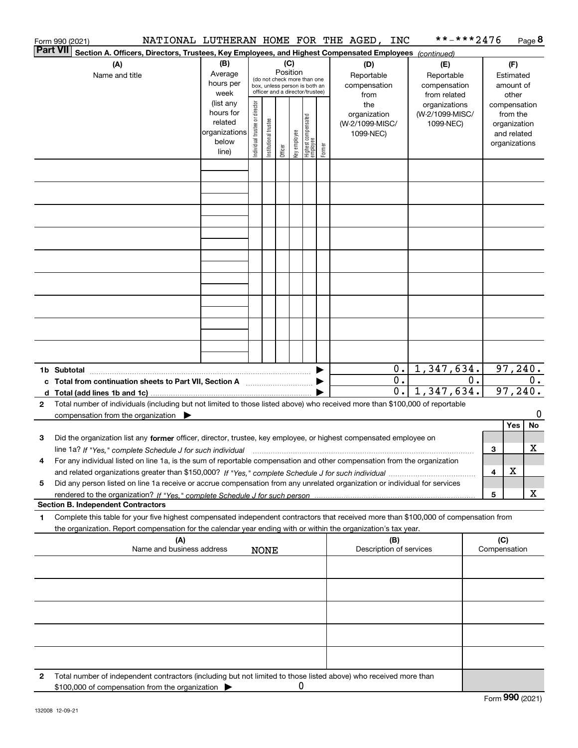|                 | NATIONAL LUTHERAN HOME FOR THE AGED, INC<br>Form 990 (2021)                                                                                                                                                                                                                      |                                                                      |                                |                       |                 |              |                                                                                                 |        |                                                     |                           | **-***2476                                        |    |                     |                                                                          | Page 8 |
|-----------------|----------------------------------------------------------------------------------------------------------------------------------------------------------------------------------------------------------------------------------------------------------------------------------|----------------------------------------------------------------------|--------------------------------|-----------------------|-----------------|--------------|-------------------------------------------------------------------------------------------------|--------|-----------------------------------------------------|---------------------------|---------------------------------------------------|----|---------------------|--------------------------------------------------------------------------|--------|
| <b>Part VII</b> | Section A. Officers, Directors, Trustees, Key Employees, and Highest Compensated Employees (continued)                                                                                                                                                                           |                                                                      |                                |                       |                 |              |                                                                                                 |        |                                                     |                           |                                                   |    |                     |                                                                          |        |
|                 | (A)<br>Name and title                                                                                                                                                                                                                                                            | (B)<br>Average<br>hours per<br>week                                  |                                |                       | (C)<br>Position |              | (do not check more than one<br>box, unless person is both an<br>officer and a director/trustee) |        | (D)<br>Reportable<br>compensation<br>from           |                           | (E)<br>Reportable<br>compensation<br>from related |    |                     | (F)<br>Estimated<br>amount of<br>other                                   |        |
|                 |                                                                                                                                                                                                                                                                                  | (list any<br>hours for<br>related<br>organizations<br>below<br>line) | Individual trustee or director | Institutional trustee | Officer         | Key employee | Highest compensated<br>  employee                                                               | Former | the<br>organization<br>(W-2/1099-MISC/<br>1099-NEC) |                           | organizations<br>(W-2/1099-MISC/<br>1099-NEC)     |    |                     | compensation<br>from the<br>organization<br>and related<br>organizations |        |
|                 |                                                                                                                                                                                                                                                                                  |                                                                      |                                |                       |                 |              |                                                                                                 |        |                                                     |                           |                                                   |    |                     |                                                                          |        |
|                 |                                                                                                                                                                                                                                                                                  |                                                                      |                                |                       |                 |              |                                                                                                 |        |                                                     |                           |                                                   |    |                     |                                                                          |        |
|                 |                                                                                                                                                                                                                                                                                  |                                                                      |                                |                       |                 |              |                                                                                                 |        |                                                     |                           |                                                   |    |                     |                                                                          |        |
|                 |                                                                                                                                                                                                                                                                                  |                                                                      |                                |                       |                 |              |                                                                                                 |        |                                                     |                           |                                                   |    |                     |                                                                          |        |
|                 |                                                                                                                                                                                                                                                                                  |                                                                      |                                |                       |                 |              |                                                                                                 |        |                                                     |                           |                                                   |    |                     |                                                                          |        |
|                 |                                                                                                                                                                                                                                                                                  |                                                                      |                                |                       |                 |              |                                                                                                 |        |                                                     |                           |                                                   |    |                     |                                                                          |        |
|                 |                                                                                                                                                                                                                                                                                  |                                                                      |                                |                       |                 |              |                                                                                                 |        |                                                     |                           |                                                   |    |                     |                                                                          |        |
|                 |                                                                                                                                                                                                                                                                                  |                                                                      |                                |                       |                 |              |                                                                                                 |        |                                                     | $0$ .<br>$\overline{0}$ . | 1,347,634.                                        | 0. |                     | 97, 240.                                                                 | 0.     |
|                 | c Total from continuation sheets to Part VII, Section A manufactured by                                                                                                                                                                                                          |                                                                      |                                |                       |                 |              |                                                                                                 |        |                                                     | $0$ .                     | 1,347,634.                                        |    |                     | 97,240.                                                                  |        |
| 2               | Total number of individuals (including but not limited to those listed above) who received more than \$100,000 of reportable<br>compensation from the organization $\blacktriangleright$                                                                                         |                                                                      |                                |                       |                 |              |                                                                                                 |        |                                                     |                           |                                                   |    |                     |                                                                          | 0      |
| 3               | Did the organization list any former officer, director, trustee, key employee, or highest compensated employee on                                                                                                                                                                |                                                                      |                                |                       |                 |              |                                                                                                 |        |                                                     |                           |                                                   |    |                     | Yes                                                                      | No     |
|                 | line 1a? If "Yes," complete Schedule J for such individual manufactured contained and the line 1a? If "Yes," complete Schedule J for such individual<br>For any individual listed on line 1a, is the sum of reportable compensation and other compensation from the organization |                                                                      |                                |                       |                 |              |                                                                                                 |        |                                                     |                           |                                                   |    | 3                   |                                                                          | х      |
| 5               | Did any person listed on line 1a receive or accrue compensation from any unrelated organization or individual for services                                                                                                                                                       |                                                                      |                                |                       |                 |              |                                                                                                 |        |                                                     |                           |                                                   |    | 4                   | X                                                                        | x      |
|                 | <b>Section B. Independent Contractors</b>                                                                                                                                                                                                                                        |                                                                      |                                |                       |                 |              |                                                                                                 |        |                                                     |                           |                                                   |    | 5                   |                                                                          |        |
| 1.              | Complete this table for your five highest compensated independent contractors that received more than \$100,000 of compensation from<br>the organization. Report compensation for the calendar year ending with or within the organization's tax year.                           |                                                                      |                                |                       |                 |              |                                                                                                 |        |                                                     |                           |                                                   |    |                     |                                                                          |        |
|                 | (A)<br>Name and business address                                                                                                                                                                                                                                                 |                                                                      | <b>NONE</b>                    |                       |                 |              |                                                                                                 |        | Description of services                             | (B)                       |                                                   |    | (C)<br>Compensation |                                                                          |        |
|                 |                                                                                                                                                                                                                                                                                  |                                                                      |                                |                       |                 |              |                                                                                                 |        |                                                     |                           |                                                   |    |                     |                                                                          |        |
|                 |                                                                                                                                                                                                                                                                                  |                                                                      |                                |                       |                 |              |                                                                                                 |        |                                                     |                           |                                                   |    |                     |                                                                          |        |
|                 |                                                                                                                                                                                                                                                                                  |                                                                      |                                |                       |                 |              |                                                                                                 |        |                                                     |                           |                                                   |    |                     |                                                                          |        |
|                 |                                                                                                                                                                                                                                                                                  |                                                                      |                                |                       |                 |              |                                                                                                 |        |                                                     |                           |                                                   |    |                     |                                                                          |        |
| 2               | Total number of independent contractors (including but not limited to those listed above) who received more than<br>\$100,000 of compensation from the organization                                                                                                              |                                                                      |                                |                       |                 | 0            |                                                                                                 |        |                                                     |                           |                                                   |    |                     |                                                                          |        |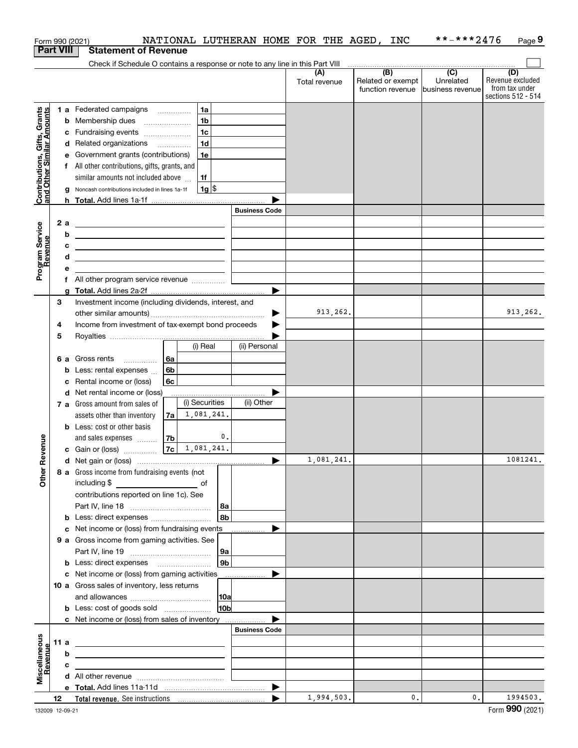|                                                           |      |    | Form 990 (2021)                                                                                                        |      |                |                 | NATIONAL LUTHERAN HOME FOR THE AGED, INC |                      |                                                                                                          | **-***2476                    | Page 9                                                          |
|-----------------------------------------------------------|------|----|------------------------------------------------------------------------------------------------------------------------|------|----------------|-----------------|------------------------------------------|----------------------|----------------------------------------------------------------------------------------------------------|-------------------------------|-----------------------------------------------------------------|
| <b>Part VIII</b>                                          |      |    | <b>Statement of Revenue</b>                                                                                            |      |                |                 |                                          |                      |                                                                                                          |                               |                                                                 |
|                                                           |      |    | Check if Schedule O contains a response or note to any line in this Part VIII                                          |      |                |                 |                                          |                      | $\begin{array}{c c c c c c} \hline \text{ } & \text{(B)} & \text{ } & \text{(C)} & \text{ } \end{array}$ |                               |                                                                 |
|                                                           |      |    |                                                                                                                        |      |                |                 |                                          | (A)<br>Total revenue | Related or exempt<br>function revenue                                                                    | Unrelated<br>business revenue | (D)<br>Revenue excluded<br>from tax under<br>sections 512 - 514 |
|                                                           |      |    | 1 a Federated campaigns                                                                                                |      | 1a             |                 |                                          |                      |                                                                                                          |                               |                                                                 |
|                                                           |      |    | <b>b</b> Membership dues                                                                                               |      | 1b             |                 |                                          |                      |                                                                                                          |                               |                                                                 |
| Contributions, Gifts, Grants<br>and Other Similar Amounts |      |    | c Fundraising events                                                                                                   |      | 1c             |                 |                                          |                      |                                                                                                          |                               |                                                                 |
|                                                           |      |    | d Related organizations                                                                                                |      | 1 <sub>d</sub> |                 |                                          |                      |                                                                                                          |                               |                                                                 |
|                                                           |      |    | e Government grants (contributions)                                                                                    |      | 1e             |                 |                                          |                      |                                                                                                          |                               |                                                                 |
|                                                           |      |    | f All other contributions, gifts, grants, and                                                                          |      |                |                 |                                          |                      |                                                                                                          |                               |                                                                 |
|                                                           |      |    | similar amounts not included above                                                                                     |      | 1f             |                 |                                          |                      |                                                                                                          |                               |                                                                 |
|                                                           |      |    | g Noncash contributions included in lines 1a-1f                                                                        |      | 1g             |                 |                                          |                      |                                                                                                          |                               |                                                                 |
|                                                           |      |    |                                                                                                                        |      |                |                 |                                          |                      |                                                                                                          |                               |                                                                 |
|                                                           |      |    |                                                                                                                        |      |                |                 | <b>Business Code</b>                     |                      |                                                                                                          |                               |                                                                 |
|                                                           |      | 2a | the control of the control of the control of the control of the control of the control of                              |      |                |                 |                                          |                      |                                                                                                          |                               |                                                                 |
|                                                           |      | b  | <u> 1989 - Johann Stein, marwolaethau a bhann an t-Albann an t-Albann an t-Albann an t-Albann an t-Albann an t-Alb</u> |      |                |                 |                                          |                      |                                                                                                          |                               |                                                                 |
| Program Service<br>Revenue                                |      | с  | <u> 1989 - Johann Barn, amerikansk politiker (d. 1989)</u>                                                             |      |                |                 |                                          |                      |                                                                                                          |                               |                                                                 |
|                                                           |      | d  | <u> 1989 - Johann Stein, mars an de Brasilia (b. 1989)</u>                                                             |      |                |                 |                                          |                      |                                                                                                          |                               |                                                                 |
|                                                           |      | е  |                                                                                                                        |      |                |                 |                                          |                      |                                                                                                          |                               |                                                                 |
|                                                           |      |    | f All other program service revenue                                                                                    |      |                |                 | ▶                                        |                      |                                                                                                          |                               |                                                                 |
|                                                           | 3    | a  | Investment income (including dividends, interest, and                                                                  |      |                |                 |                                          |                      |                                                                                                          |                               |                                                                 |
|                                                           |      |    |                                                                                                                        |      |                |                 | ▶                                        | 913,262.             |                                                                                                          |                               | 913,262.                                                        |
|                                                           | 4    |    | Income from investment of tax-exempt bond proceeds                                                                     |      |                |                 |                                          |                      |                                                                                                          |                               |                                                                 |
|                                                           | 5    |    |                                                                                                                        |      |                |                 |                                          |                      |                                                                                                          |                               |                                                                 |
|                                                           |      |    |                                                                                                                        |      | (i) Real       |                 | (ii) Personal                            |                      |                                                                                                          |                               |                                                                 |
|                                                           |      |    | 6 a Gross rents                                                                                                        | l 6a |                |                 |                                          |                      |                                                                                                          |                               |                                                                 |
|                                                           |      |    | <b>b</b> Less: rental expenses                                                                                         | 6b   |                |                 |                                          |                      |                                                                                                          |                               |                                                                 |
|                                                           |      |    | c Rental income or (loss)                                                                                              | 6с   |                |                 |                                          |                      |                                                                                                          |                               |                                                                 |
|                                                           |      |    | d Net rental income or (loss)                                                                                          |      |                |                 |                                          |                      |                                                                                                          |                               |                                                                 |
|                                                           |      |    | 7 a Gross amount from sales of                                                                                         |      | (i) Securities |                 | (ii) Other                               |                      |                                                                                                          |                               |                                                                 |
|                                                           |      |    | assets other than inventory                                                                                            | 7a l | 1,081,241.     |                 |                                          |                      |                                                                                                          |                               |                                                                 |
|                                                           |      |    | <b>b</b> Less: cost or other basis                                                                                     |      |                |                 |                                          |                      |                                                                                                          |                               |                                                                 |
|                                                           |      |    | and sales expenses                                                                                                     | 7b   |                | 0.              |                                          |                      |                                                                                                          |                               |                                                                 |
| evenue                                                    |      |    | c Gain or (loss)                                                                                                       | 7c   | 1,081,241.     |                 |                                          |                      |                                                                                                          |                               |                                                                 |
| œ                                                         |      |    |                                                                                                                        |      |                |                 |                                          | 1,081,241.           |                                                                                                          |                               | 1081241                                                         |
| Other                                                     |      |    | 8 a Gross income from fundraising events (not                                                                          |      |                |                 |                                          |                      |                                                                                                          |                               |                                                                 |
|                                                           |      |    | including \$                                                                                                           |      |                |                 |                                          |                      |                                                                                                          |                               |                                                                 |
|                                                           |      |    | contributions reported on line 1c). See                                                                                |      |                |                 |                                          |                      |                                                                                                          |                               |                                                                 |
|                                                           |      |    |                                                                                                                        |      |                | 8a<br>8b        |                                          |                      |                                                                                                          |                               |                                                                 |
|                                                           |      |    | <b>b</b> Less: direct expenses                                                                                         |      |                |                 |                                          |                      |                                                                                                          |                               |                                                                 |
|                                                           |      |    | c Net income or (loss) from fundraising events<br>9 a Gross income from gaming activities. See                         |      |                |                 |                                          |                      |                                                                                                          |                               |                                                                 |
|                                                           |      |    |                                                                                                                        |      |                | 9а              |                                          |                      |                                                                                                          |                               |                                                                 |
|                                                           |      |    | <b>b</b> Less: direct expenses <b>manually</b>                                                                         |      |                | 9 <sub>b</sub>  |                                          |                      |                                                                                                          |                               |                                                                 |
|                                                           |      |    | c Net income or (loss) from gaming activities                                                                          |      |                |                 | .                                        |                      |                                                                                                          |                               |                                                                 |
|                                                           |      |    | 10 a Gross sales of inventory, less returns                                                                            |      |                |                 |                                          |                      |                                                                                                          |                               |                                                                 |
|                                                           |      |    |                                                                                                                        |      |                | 10a             |                                          |                      |                                                                                                          |                               |                                                                 |
|                                                           |      |    | <b>b</b> Less: cost of goods sold                                                                                      |      |                | 10 <sub>b</sub> |                                          |                      |                                                                                                          |                               |                                                                 |
|                                                           |      |    | c Net income or (loss) from sales of inventory                                                                         |      |                |                 |                                          |                      |                                                                                                          |                               |                                                                 |
|                                                           |      |    |                                                                                                                        |      |                |                 | <b>Business Code</b>                     |                      |                                                                                                          |                               |                                                                 |
|                                                           | 11 a |    | <u> 1989 - Johann Stein, marwolaethau a bhann an t-Amhair Aonaichte ann an t-Amhair Aonaichte ann an t-Amhair Aon</u>  |      |                |                 |                                          |                      |                                                                                                          |                               |                                                                 |
|                                                           |      | b  | <u> 1989 - Johann Barn, mars and de Branch Barn, mars and de Branch Barn, mars and de Branch Barn, mars and de Br</u>  |      |                |                 |                                          |                      |                                                                                                          |                               |                                                                 |
|                                                           |      | c  | the control of the control of the control of the control of the control of                                             |      |                |                 |                                          |                      |                                                                                                          |                               |                                                                 |
| Miscellaneous<br>Revenue                                  |      |    |                                                                                                                        |      |                |                 |                                          |                      |                                                                                                          |                               |                                                                 |
|                                                           |      |    |                                                                                                                        |      |                |                 | $\blacktriangleright$                    |                      |                                                                                                          |                               |                                                                 |
|                                                           | 12   |    |                                                                                                                        |      |                |                 | $\blacktriangleright$                    | 1,994,503.           | 0.                                                                                                       | 0.                            | 1994503.                                                        |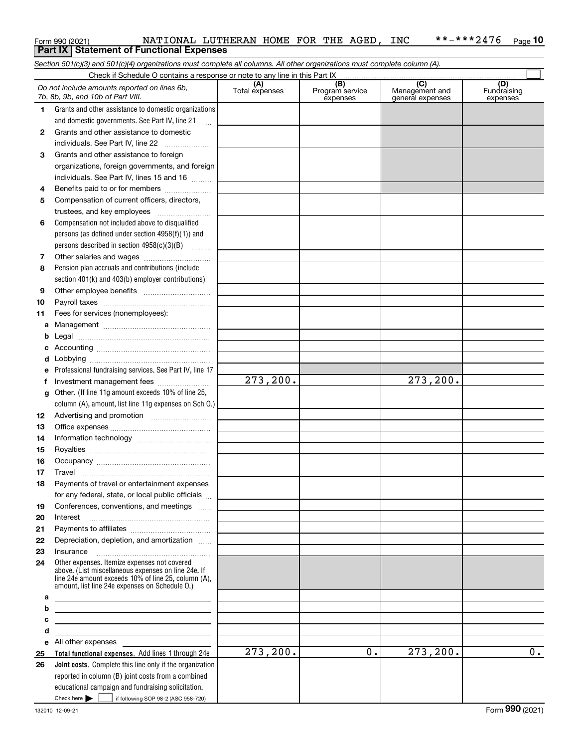|         | Form 990 (2021)                                                                                                                                                                                              | NATIONAL LUTHERAN HOME FOR THE AGED, INC |                 |                  | **-***2476<br>$Page$ 10 |
|---------|--------------------------------------------------------------------------------------------------------------------------------------------------------------------------------------------------------------|------------------------------------------|-----------------|------------------|-------------------------|
|         | <b>Part IX   Statement of Functional Expenses</b>                                                                                                                                                            |                                          |                 |                  |                         |
|         | Section 501(c)(3) and 501(c)(4) organizations must complete all columns. All other organizations must complete column (A).                                                                                   |                                          |                 |                  |                         |
|         |                                                                                                                                                                                                              | (A)                                      | (B)             | (C)              | (D)                     |
|         | Do not include amounts reported on lines 6b,<br>7b, 8b, 9b, and 10b of Part VIII.                                                                                                                            | Total expenses                           | Program service | Management and   | Fundraising             |
| 1       | Grants and other assistance to domestic organizations                                                                                                                                                        |                                          | expenses        | general expenses | expenses                |
|         | and domestic governments. See Part IV, line 21                                                                                                                                                               |                                          |                 |                  |                         |
| 2       | Grants and other assistance to domestic                                                                                                                                                                      |                                          |                 |                  |                         |
|         | individuals. See Part IV, line 22                                                                                                                                                                            |                                          |                 |                  |                         |
| 3       | Grants and other assistance to foreign                                                                                                                                                                       |                                          |                 |                  |                         |
|         | organizations, foreign governments, and foreign                                                                                                                                                              |                                          |                 |                  |                         |
|         | individuals. See Part IV, lines 15 and 16                                                                                                                                                                    |                                          |                 |                  |                         |
| 4       | Benefits paid to or for members                                                                                                                                                                              |                                          |                 |                  |                         |
| 5       | Compensation of current officers, directors,                                                                                                                                                                 |                                          |                 |                  |                         |
|         | trustees, and key employees                                                                                                                                                                                  |                                          |                 |                  |                         |
| 6       | Compensation not included above to disqualified                                                                                                                                                              |                                          |                 |                  |                         |
|         | persons (as defined under section 4958(f)(1)) and                                                                                                                                                            |                                          |                 |                  |                         |
|         | persons described in section 4958(c)(3)(B)                                                                                                                                                                   |                                          |                 |                  |                         |
| 7       |                                                                                                                                                                                                              |                                          |                 |                  |                         |
| 8       | Pension plan accruals and contributions (include                                                                                                                                                             |                                          |                 |                  |                         |
|         | section 401(k) and 403(b) employer contributions)                                                                                                                                                            |                                          |                 |                  |                         |
| 9<br>10 |                                                                                                                                                                                                              |                                          |                 |                  |                         |
| 11      | Fees for services (nonemployees):                                                                                                                                                                            |                                          |                 |                  |                         |
| a       |                                                                                                                                                                                                              |                                          |                 |                  |                         |
|         |                                                                                                                                                                                                              |                                          |                 |                  |                         |
|         |                                                                                                                                                                                                              |                                          |                 |                  |                         |
|         |                                                                                                                                                                                                              |                                          |                 |                  |                         |
|         | Professional fundraising services. See Part IV, line 17                                                                                                                                                      |                                          |                 |                  |                         |
|         | Investment management fees                                                                                                                                                                                   | 273, 200.                                |                 | 273, 200.        |                         |
| g       | Other. (If line 11g amount exceeds 10% of line 25,                                                                                                                                                           |                                          |                 |                  |                         |
|         | column (A), amount, list line 11g expenses on Sch O.)                                                                                                                                                        |                                          |                 |                  |                         |
| 12      |                                                                                                                                                                                                              |                                          |                 |                  |                         |
| 13      |                                                                                                                                                                                                              |                                          |                 |                  |                         |
| 14      |                                                                                                                                                                                                              |                                          |                 |                  |                         |
| 15      |                                                                                                                                                                                                              |                                          |                 |                  |                         |
| 16      |                                                                                                                                                                                                              |                                          |                 |                  |                         |
| 17      | Travel                                                                                                                                                                                                       |                                          |                 |                  |                         |
| 18      | Payments of travel or entertainment expenses                                                                                                                                                                 |                                          |                 |                  |                         |
| 19      | for any federal, state, or local public officials<br>Conferences, conventions, and meetings                                                                                                                  |                                          |                 |                  |                         |
| 20      | Interest                                                                                                                                                                                                     |                                          |                 |                  |                         |
| 21      |                                                                                                                                                                                                              |                                          |                 |                  |                         |
| 22      | Depreciation, depletion, and amortization                                                                                                                                                                    |                                          |                 |                  |                         |
| 23      | Insurance                                                                                                                                                                                                    |                                          |                 |                  |                         |
| 24      | Other expenses. Itemize expenses not covered<br>above. (List miscellaneous expenses on line 24e. If<br>line 24e amount exceeds 10% of line 25, column (A),<br>amount, list line 24e expenses on Schedule O.) |                                          |                 |                  |                         |
| а       |                                                                                                                                                                                                              |                                          |                 |                  |                         |
| b       |                                                                                                                                                                                                              |                                          |                 |                  |                         |
| с       |                                                                                                                                                                                                              |                                          |                 |                  |                         |
| d       | All other expenses                                                                                                                                                                                           |                                          |                 |                  |                         |
| е<br>25 | <b>Total functional expenses.</b> Add lines 1 through 24e                                                                                                                                                    | 273,200.                                 | 0.              | 273, 200.        | 0.                      |
| 26      | Joint costs. Complete this line only if the organization                                                                                                                                                     |                                          |                 |                  |                         |
|         | reported in column (B) joint costs from a combined<br>educational campaign and fundraising solicitation.<br>Check here $\blacktriangleright$<br>if following SOP 98-2 (ASC 958-720)                          |                                          |                 |                  |                         |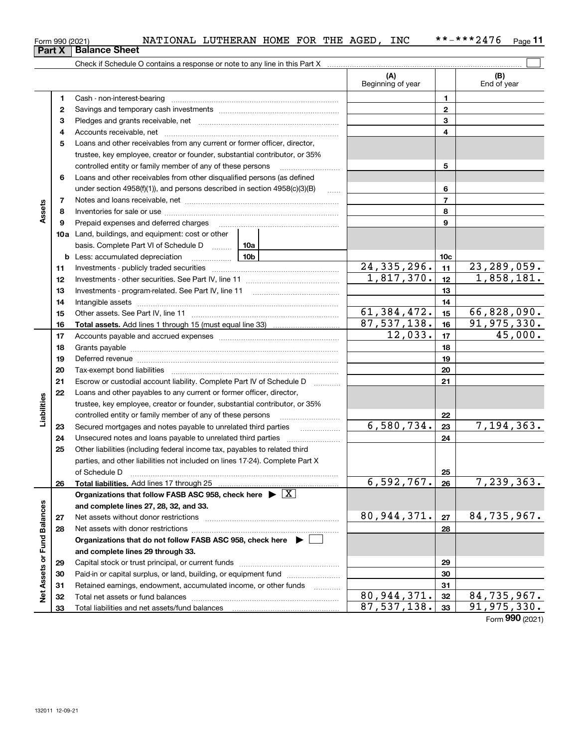**Net Assets or Fund Balances**

Net Assets or Fund Balances

|                      | Form 990 (2021) | NATIONAL LUTHERAN HOME FOR THE AGED, INC                                                                                                                                                                                       |                          |                 | **-***2476<br>Page 11       |
|----------------------|-----------------|--------------------------------------------------------------------------------------------------------------------------------------------------------------------------------------------------------------------------------|--------------------------|-----------------|-----------------------------|
| <b>Part X</b>        |                 | <b>Balance Sheet</b>                                                                                                                                                                                                           |                          |                 |                             |
|                      |                 |                                                                                                                                                                                                                                |                          |                 |                             |
|                      |                 |                                                                                                                                                                                                                                | (A)<br>Beginning of year |                 | (B)<br>End of year          |
|                      | 1.              |                                                                                                                                                                                                                                |                          | 1               |                             |
|                      | 2               |                                                                                                                                                                                                                                |                          | 2               |                             |
|                      | 3               |                                                                                                                                                                                                                                |                          | 3               |                             |
|                      | 4               |                                                                                                                                                                                                                                |                          | 4               |                             |
|                      | 5               | Loans and other receivables from any current or former officer, director,                                                                                                                                                      |                          |                 |                             |
|                      |                 | trustee, key employee, creator or founder, substantial contributor, or 35%                                                                                                                                                     |                          |                 |                             |
|                      |                 | controlled entity or family member of any of these persons                                                                                                                                                                     |                          | 5               |                             |
|                      | 6               | Loans and other receivables from other disqualified persons (as defined                                                                                                                                                        |                          |                 |                             |
|                      |                 | under section $4958(f)(1)$ , and persons described in section $4958(c)(3)(B)$<br>1.1.1.1.1                                                                                                                                     |                          | 6               |                             |
|                      | 7               |                                                                                                                                                                                                                                |                          | $\overline{7}$  |                             |
| Assets               | 8               |                                                                                                                                                                                                                                |                          | 8               |                             |
|                      | 9               | Prepaid expenses and deferred charges                                                                                                                                                                                          |                          | 9               |                             |
|                      |                 | <b>10a</b> Land, buildings, and equipment: cost or other                                                                                                                                                                       |                          |                 |                             |
|                      |                 | basis. Complete Part VI of Schedule D<br>10a                                                                                                                                                                                   |                          |                 |                             |
|                      |                 | 10 <sub>b</sub><br><b>b</b> Less: accumulated depreciation                                                                                                                                                                     |                          | 10 <sub>c</sub> |                             |
|                      | 11              |                                                                                                                                                                                                                                | 24, 335, 296.            | 11              | $\overline{23}$ , 289, 059. |
|                      | 12              |                                                                                                                                                                                                                                | 1,817,370.               | 12              | 1,858,181.                  |
|                      | 13              | Investments - program-related. See Part IV, line 11                                                                                                                                                                            |                          | 13              |                             |
|                      | 14              |                                                                                                                                                                                                                                |                          | 14              |                             |
|                      | 15              |                                                                                                                                                                                                                                | 61, 384, 472.            | 15              | 66,828,090.                 |
|                      | 16              |                                                                                                                                                                                                                                | 87,537,138.              | 16              | 91,975,330.                 |
|                      | 17              |                                                                                                                                                                                                                                | 12,033.                  | 17              | $\overline{45}$ ,000.       |
|                      | 18              |                                                                                                                                                                                                                                |                          | 18              |                             |
|                      | 19              | Deferred revenue manual contracts and contracts are all the manual contracts and contracts are contracted and contracts are contracted and contract are contracted and contract are contracted and contract are contracted and |                          | 19              |                             |
|                      | 20              |                                                                                                                                                                                                                                |                          | 20              |                             |
|                      | 21              | Escrow or custodial account liability. Complete Part IV of Schedule D                                                                                                                                                          |                          | 21              |                             |
|                      | 22              | Loans and other payables to any current or former officer, director,                                                                                                                                                           |                          |                 |                             |
| Liabilities          |                 | trustee, key employee, creator or founder, substantial contributor, or 35%<br>controlled entity or family member of any of these persons                                                                                       |                          | 22              |                             |
|                      | 23              | Secured mortgages and notes payable to unrelated third parties                                                                                                                                                                 | 6,580,734.               | 23              | 7,194,363.                  |
|                      | 24              | .                                                                                                                                                                                                                              |                          | 24              |                             |
|                      | 25              | Other liabilities (including federal income tax, payables to related third                                                                                                                                                     |                          |                 |                             |
|                      |                 | parties, and other liabilities not included on lines 17-24). Complete Part X                                                                                                                                                   |                          |                 |                             |
|                      |                 | of Schedule D                                                                                                                                                                                                                  |                          | 25              |                             |
|                      | 26              | Total liabilities. Add lines 17 through 25                                                                                                                                                                                     | 6,592,767.               | 26              | 7,239,363.                  |
|                      |                 | Organizations that follow FASB ASC 958, check here $\blacktriangleright \boxed{X}$                                                                                                                                             |                          |                 |                             |
|                      |                 | and complete lines 27, 28, 32, and 33.                                                                                                                                                                                         |                          |                 |                             |
|                      | 27              | Net assets without donor restrictions                                                                                                                                                                                          | 80,944,371.              | 27              | 84,735,967.                 |
|                      | 28              |                                                                                                                                                                                                                                |                          | 28              |                             |
| <b>Fund Balances</b> |                 | Organizations that do not follow FASB ASC 958, check here $\blacktriangleright$                                                                                                                                                |                          |                 |                             |
|                      |                 | and complete lines 29 through 33.                                                                                                                                                                                              |                          |                 |                             |

Capital stock or trust principal, or current funds ~~~~~~~~~~~~~~~ Paid-in or capital surplus, or land, building, or equipment fund www.commun.com Retained earnings, endowment, accumulated income, or other funds we have all the Total net assets or fund balances ~~~~~~~~~~~~~~~~~~~~~~

Total liabilities and net assets/fund balances

**2930313233**80,944,371. 32 84,735,967. 87,537,138. 91,975,330.

Form (2021) **990**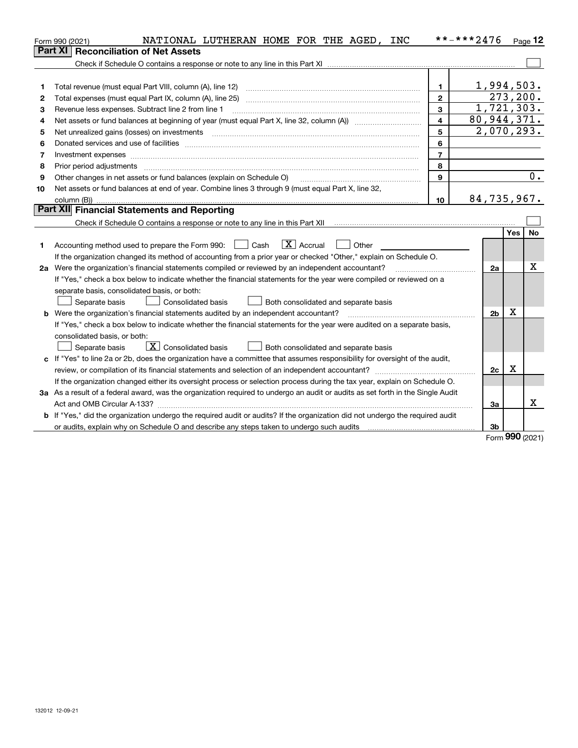|    | NATIONAL LUTHERAN HOME FOR THE AGED, INC<br>Form 990 (2021)                                                                     |                | **-***2476     |           | Page $12$ |  |  |
|----|---------------------------------------------------------------------------------------------------------------------------------|----------------|----------------|-----------|-----------|--|--|
|    | Part XI<br><b>Reconciliation of Net Assets</b>                                                                                  |                |                |           |           |  |  |
|    |                                                                                                                                 |                |                |           |           |  |  |
|    |                                                                                                                                 |                |                |           |           |  |  |
| 1  | Total revenue (must equal Part VIII, column (A), line 12)                                                                       | 1              | 1,994,503.     |           |           |  |  |
| 2  | Total expenses (must equal Part IX, column (A), line 25)                                                                        | $\mathbf{2}$   |                | 273, 200. |           |  |  |
| З  | Revenue less expenses. Subtract line 2 from line 1                                                                              | 3              | 1,721,303.     |           |           |  |  |
| 4  | 80,944,371.<br>$\overline{4}$                                                                                                   |                |                |           |           |  |  |
| 5  | 2,070,293.<br>5<br>Net unrealized gains (losses) on investments                                                                 |                |                |           |           |  |  |
| 6  |                                                                                                                                 | 6              |                |           |           |  |  |
| 7  |                                                                                                                                 | $\overline{7}$ |                |           |           |  |  |
| 8  | Prior period adjustments                                                                                                        | 8              |                |           |           |  |  |
| 9  | Other changes in net assets or fund balances (explain on Schedule O)                                                            | 9              |                |           | 0.        |  |  |
| 10 | Net assets or fund balances at end of year. Combine lines 3 through 9 (must equal Part X, line 32,                              |                |                |           |           |  |  |
|    |                                                                                                                                 | 10             | 84,735,967.    |           |           |  |  |
|    | Part XII Financial Statements and Reporting                                                                                     |                |                |           |           |  |  |
|    |                                                                                                                                 |                |                |           |           |  |  |
|    |                                                                                                                                 |                |                | Yes       | No        |  |  |
| 1. | $\boxed{\mathbf{X}}$ Accrual<br>Accounting method used to prepare the Form 990: <u>I</u> Cash<br>Other                          |                |                |           |           |  |  |
|    | If the organization changed its method of accounting from a prior year or checked "Other," explain on Schedule O.               |                |                |           |           |  |  |
|    | 2a Were the organization's financial statements compiled or reviewed by an independent accountant?                              |                | 2a             |           | x         |  |  |
|    | If "Yes," check a box below to indicate whether the financial statements for the year were compiled or reviewed on a            |                |                |           |           |  |  |
|    | separate basis, consolidated basis, or both:                                                                                    |                |                |           |           |  |  |
|    | Separate basis<br><b>Consolidated basis</b><br>Both consolidated and separate basis                                             |                |                |           |           |  |  |
|    | <b>b</b> Were the organization's financial statements audited by an independent accountant?                                     |                | 2 <sub>b</sub> | х         |           |  |  |
|    | If "Yes," check a box below to indicate whether the financial statements for the year were audited on a separate basis,         |                |                |           |           |  |  |
|    | consolidated basis, or both:                                                                                                    |                |                |           |           |  |  |
|    | $\boxed{\textbf{X}}$ Consolidated basis<br>Separate basis<br>Both consolidated and separate basis                               |                |                |           |           |  |  |
| c  | If "Yes" to line 2a or 2b, does the organization have a committee that assumes responsibility for oversight of the audit,       |                |                |           |           |  |  |
|    |                                                                                                                                 |                | 2c             | x         |           |  |  |
|    | If the organization changed either its oversight process or selection process during the tax year, explain on Schedule O.       |                |                |           |           |  |  |
|    | 3a As a result of a federal award, was the organization required to undergo an audit or audits as set forth in the Single Audit |                |                |           |           |  |  |
|    |                                                                                                                                 |                | За             |           | x         |  |  |
|    | b If "Yes," did the organization undergo the required audit or audits? If the organization did not undergo the required audit   |                |                |           |           |  |  |
|    | or audits, explain why on Schedule O and describe any steps taken to undergo such audits                                        |                | 3b             |           |           |  |  |

Form (2021) **990**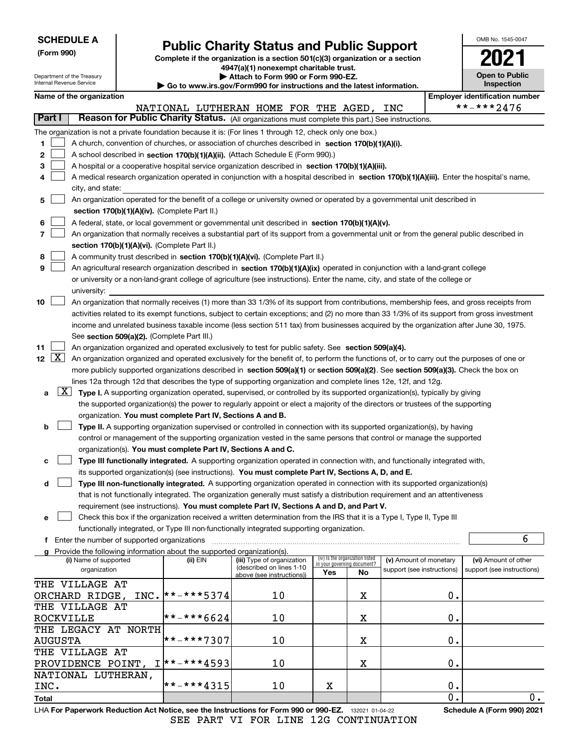|                           | <b>SCHEDULE A</b>                                                                                                                                                                    |      |                                                                                    | <b>Public Charity Status and Public Support</b>                                                                                              |                                                                |    |                            |    | OMB No. 1545-0047                     |
|---------------------------|--------------------------------------------------------------------------------------------------------------------------------------------------------------------------------------|------|------------------------------------------------------------------------------------|----------------------------------------------------------------------------------------------------------------------------------------------|----------------------------------------------------------------|----|----------------------------|----|---------------------------------------|
| (Form 990)                |                                                                                                                                                                                      |      |                                                                                    |                                                                                                                                              |                                                                |    |                            |    |                                       |
|                           |                                                                                                                                                                                      |      |                                                                                    | Complete if the organization is a section 501(c)(3) organization or a section<br>4947(a)(1) nonexempt charitable trust.                      |                                                                |    |                            |    |                                       |
|                           | Department of the Treasury                                                                                                                                                           |      |                                                                                    | Attach to Form 990 or Form 990-EZ.                                                                                                           |                                                                |    |                            |    | <b>Open to Public</b>                 |
| Internal Revenue Service  |                                                                                                                                                                                      |      |                                                                                    | $\blacktriangleright$ Go to www.irs.gov/Form990 for instructions and the latest information.                                                 |                                                                |    |                            |    | <b>Inspection</b>                     |
|                           | Name of the organization                                                                                                                                                             |      |                                                                                    |                                                                                                                                              |                                                                |    |                            |    | <b>Employer identification number</b> |
|                           |                                                                                                                                                                                      |      |                                                                                    | NATIONAL LUTHERAN HOME FOR THE AGED,                                                                                                         |                                                                |    | INC                        |    | **-***2476                            |
| Part I                    |                                                                                                                                                                                      |      |                                                                                    | Reason for Public Charity Status. (All organizations must complete this part.) See instructions.                                             |                                                                |    |                            |    |                                       |
|                           |                                                                                                                                                                                      |      |                                                                                    | The organization is not a private foundation because it is: (For lines 1 through 12, check only one box.)                                    |                                                                |    |                            |    |                                       |
| 1                         |                                                                                                                                                                                      |      |                                                                                    | A church, convention of churches, or association of churches described in section 170(b)(1)(A)(i).                                           |                                                                |    |                            |    |                                       |
| 2                         |                                                                                                                                                                                      |      |                                                                                    | A school described in section 170(b)(1)(A)(ii). (Attach Schedule E (Form 990).)                                                              |                                                                |    |                            |    |                                       |
| 3                         |                                                                                                                                                                                      |      |                                                                                    | A hospital or a cooperative hospital service organization described in section 170(b)(1)(A)(iii).                                            |                                                                |    |                            |    |                                       |
|                           |                                                                                                                                                                                      |      |                                                                                    | A medical research organization operated in conjunction with a hospital described in section 170(b)(1)(A)(iii). Enter the hospital's name,   |                                                                |    |                            |    |                                       |
|                           | city, and state:                                                                                                                                                                     |      |                                                                                    |                                                                                                                                              |                                                                |    |                            |    |                                       |
| 5                         |                                                                                                                                                                                      |      |                                                                                    | An organization operated for the benefit of a college or university owned or operated by a governmental unit described in                    |                                                                |    |                            |    |                                       |
|                           |                                                                                                                                                                                      |      | section 170(b)(1)(A)(iv). (Complete Part II.)                                      |                                                                                                                                              |                                                                |    |                            |    |                                       |
| 6                         |                                                                                                                                                                                      |      |                                                                                    | A federal, state, or local government or governmental unit described in section 170(b)(1)(A)(v).                                             |                                                                |    |                            |    |                                       |
| 7                         |                                                                                                                                                                                      |      |                                                                                    | An organization that normally receives a substantial part of its support from a governmental unit or from the general public described in    |                                                                |    |                            |    |                                       |
| 8                         |                                                                                                                                                                                      |      | section 170(b)(1)(A)(vi). (Complete Part II.)                                      | A community trust described in section 170(b)(1)(A)(vi). (Complete Part II.)                                                                 |                                                                |    |                            |    |                                       |
| 9                         |                                                                                                                                                                                      |      |                                                                                    | An agricultural research organization described in section 170(b)(1)(A)(ix) operated in conjunction with a land-grant college                |                                                                |    |                            |    |                                       |
|                           |                                                                                                                                                                                      |      |                                                                                    | or university or a non-land-grant college of agriculture (see instructions). Enter the name, city, and state of the college or               |                                                                |    |                            |    |                                       |
|                           | university:                                                                                                                                                                          |      |                                                                                    |                                                                                                                                              |                                                                |    |                            |    |                                       |
| 10                        |                                                                                                                                                                                      |      |                                                                                    | An organization that normally receives (1) more than 33 1/3% of its support from contributions, membership fees, and gross receipts from     |                                                                |    |                            |    |                                       |
|                           |                                                                                                                                                                                      |      |                                                                                    | activities related to its exempt functions, subject to certain exceptions; and (2) no more than 33 1/3% of its support from gross investment |                                                                |    |                            |    |                                       |
|                           |                                                                                                                                                                                      |      |                                                                                    |                                                                                                                                              |                                                                |    |                            |    |                                       |
|                           | income and unrelated business taxable income (less section 511 tax) from businesses acquired by the organization after June 30, 1975.<br>See section 509(a)(2). (Complete Part III.) |      |                                                                                    |                                                                                                                                              |                                                                |    |                            |    |                                       |
| 11                        | An organization organized and operated exclusively to test for public safety. See section 509(a)(4).                                                                                 |      |                                                                                    |                                                                                                                                              |                                                                |    |                            |    |                                       |
| $\lfloor x \rfloor$<br>12 | An organization organized and operated exclusively for the benefit of, to perform the functions of, or to carry out the purposes of one or                                           |      |                                                                                    |                                                                                                                                              |                                                                |    |                            |    |                                       |
|                           |                                                                                                                                                                                      |      |                                                                                    | more publicly supported organizations described in section 509(a)(1) or section 509(a)(2). See section 509(a)(3). Check the box on           |                                                                |    |                            |    |                                       |
|                           |                                                                                                                                                                                      |      |                                                                                    | lines 12a through 12d that describes the type of supporting organization and complete lines 12e, 12f, and 12g.                               |                                                                |    |                            |    |                                       |
| a                         |                                                                                                                                                                                      |      |                                                                                    | X Type I. A supporting organization operated, supervised, or controlled by its supported organization(s), typically by giving                |                                                                |    |                            |    |                                       |
|                           |                                                                                                                                                                                      |      |                                                                                    | the supported organization(s) the power to regularly appoint or elect a majority of the directors or trustees of the supporting              |                                                                |    |                            |    |                                       |
|                           |                                                                                                                                                                                      |      | organization. You must complete Part IV, Sections A and B.                         |                                                                                                                                              |                                                                |    |                            |    |                                       |
| b                         |                                                                                                                                                                                      |      |                                                                                    | Type II. A supporting organization supervised or controlled in connection with its supported organization(s), by having                      |                                                                |    |                            |    |                                       |
|                           |                                                                                                                                                                                      |      |                                                                                    | control or management of the supporting organization vested in the same persons that control or manage the supported                         |                                                                |    |                            |    |                                       |
|                           |                                                                                                                                                                                      |      | organization(s). You must complete Part IV, Sections A and C.                      |                                                                                                                                              |                                                                |    |                            |    |                                       |
| с                         |                                                                                                                                                                                      |      |                                                                                    | Type III functionally integrated. A supporting organization operated in connection with, and functionally integrated with,                   |                                                                |    |                            |    |                                       |
|                           |                                                                                                                                                                                      |      |                                                                                    | its supported organization(s) (see instructions). You must complete Part IV, Sections A, D, and E.                                           |                                                                |    |                            |    |                                       |
| d                         |                                                                                                                                                                                      |      |                                                                                    | Type III non-functionally integrated. A supporting organization operated in connection with its supported organization(s)                    |                                                                |    |                            |    |                                       |
|                           |                                                                                                                                                                                      |      |                                                                                    | that is not functionally integrated. The organization generally must satisfy a distribution requirement and an attentiveness                 |                                                                |    |                            |    |                                       |
|                           |                                                                                                                                                                                      |      |                                                                                    | requirement (see instructions). You must complete Part IV, Sections A and D, and Part V.                                                     |                                                                |    |                            |    |                                       |
| е                         |                                                                                                                                                                                      |      |                                                                                    | Check this box if the organization received a written determination from the IRS that it is a Type I, Type II, Type III                      |                                                                |    |                            |    |                                       |
|                           |                                                                                                                                                                                      |      |                                                                                    | functionally integrated, or Type III non-functionally integrated supporting organization.                                                    |                                                                |    |                            |    |                                       |
|                           | f Enter the number of supported organizations                                                                                                                                        |      |                                                                                    |                                                                                                                                              |                                                                |    |                            |    | 6                                     |
|                           | (i) Name of supported                                                                                                                                                                |      | Provide the following information about the supported organization(s).<br>(ii) EIN | (iii) Type of organization                                                                                                                   |                                                                |    | (v) Amount of monetary     |    | (vi) Amount of other                  |
|                           | organization                                                                                                                                                                         |      |                                                                                    | (described on lines 1-10                                                                                                                     | (iv) Is the organization listed<br>in your governing document? |    | support (see instructions) |    | support (see instructions)            |
|                           | THE VILLAGE AT                                                                                                                                                                       |      |                                                                                    | above (see instructions))                                                                                                                    | Yes                                                            | No |                            |    |                                       |
|                           |                                                                                                                                                                                      | INC. | $*$ * – * * * 5374                                                                 | 10                                                                                                                                           |                                                                |    |                            | О. |                                       |
|                           | ORCHARD RIDGE,<br>THE VILLAGE AT                                                                                                                                                     |      |                                                                                    |                                                                                                                                              |                                                                | х  |                            |    |                                       |
| <b>ROCKVILLE</b>          |                                                                                                                                                                                      |      | **-***6624                                                                         | 10                                                                                                                                           |                                                                | x  |                            | 0. |                                       |
|                           | THE LEGACY AT NORTH                                                                                                                                                                  |      |                                                                                    |                                                                                                                                              |                                                                |    |                            |    |                                       |
| <b>AUGUSTA</b>            |                                                                                                                                                                                      |      | **-***7307                                                                         | 10                                                                                                                                           |                                                                | x  |                            | 0. |                                       |
|                           | THE VILLAGE AT                                                                                                                                                                       |      |                                                                                    |                                                                                                                                              |                                                                |    |                            |    |                                       |
|                           | PROVIDENCE POINT,                                                                                                                                                                    |      | $I$ * * - * * * 4593                                                               | 10                                                                                                                                           |                                                                | X  |                            | О. |                                       |
|                           |                                                                                                                                                                                      |      |                                                                                    |                                                                                                                                              |                                                                |    |                            |    |                                       |

\*\*-\*\*\*4315

**Total**

INC.

NATIONAL LUTHERAN,

 $\overline{0}$ .

0.  $\overline{0}$  .

X

10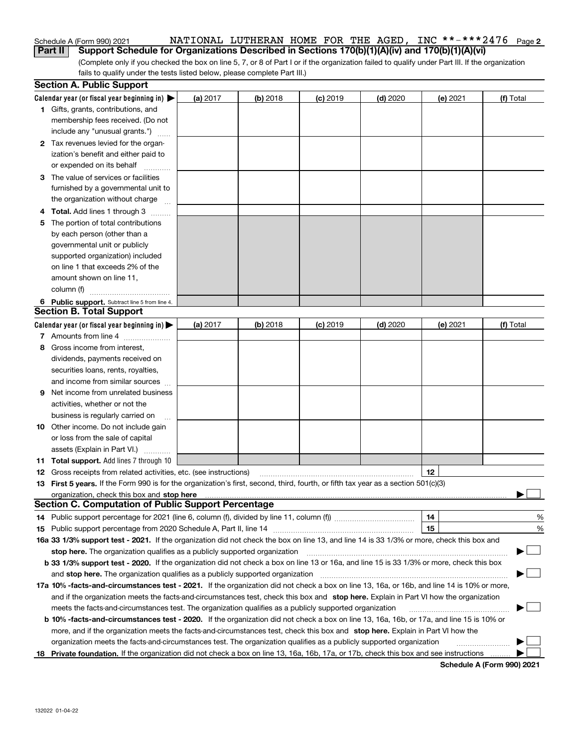### Schedule A (Form 990) 2021 NATIONAL LUTHERAN HOME FOR THE AGED,INC \*\*-\*\*\*2476 <sub>Page 2</sub> **Part II Support Schedule for Organizations Described in Sections 170(b)(1)(A)(iv) and 170(b)(1)(A)(vi)**

(Complete only if you checked the box on line 5, 7, or 8 of Part I or if the organization failed to qualify under Part III. If the organization fails to qualify under the tests listed below, please complete Part III.)

|    | <b>Section A. Public Support</b>                                                                                                                                                                                               |            |          |            |            |          |           |
|----|--------------------------------------------------------------------------------------------------------------------------------------------------------------------------------------------------------------------------------|------------|----------|------------|------------|----------|-----------|
|    | Calendar year (or fiscal year beginning in) $\blacktriangleright$                                                                                                                                                              | (a) 2017   | (b) 2018 | $(c)$ 2019 | $(d)$ 2020 | (e) 2021 | (f) Total |
|    | 1 Gifts, grants, contributions, and                                                                                                                                                                                            |            |          |            |            |          |           |
|    | membership fees received. (Do not                                                                                                                                                                                              |            |          |            |            |          |           |
|    | include any "unusual grants.")                                                                                                                                                                                                 |            |          |            |            |          |           |
|    | 2 Tax revenues levied for the organ-                                                                                                                                                                                           |            |          |            |            |          |           |
|    | ization's benefit and either paid to                                                                                                                                                                                           |            |          |            |            |          |           |
|    | or expended on its behalf                                                                                                                                                                                                      |            |          |            |            |          |           |
|    | 3 The value of services or facilities                                                                                                                                                                                          |            |          |            |            |          |           |
|    | furnished by a governmental unit to                                                                                                                                                                                            |            |          |            |            |          |           |
|    | the organization without charge                                                                                                                                                                                                |            |          |            |            |          |           |
|    | 4 Total. Add lines 1 through 3                                                                                                                                                                                                 |            |          |            |            |          |           |
| 5. | The portion of total contributions                                                                                                                                                                                             |            |          |            |            |          |           |
|    | by each person (other than a                                                                                                                                                                                                   |            |          |            |            |          |           |
|    | governmental unit or publicly                                                                                                                                                                                                  |            |          |            |            |          |           |
|    | supported organization) included                                                                                                                                                                                               |            |          |            |            |          |           |
|    | on line 1 that exceeds 2% of the                                                                                                                                                                                               |            |          |            |            |          |           |
|    | amount shown on line 11,                                                                                                                                                                                                       |            |          |            |            |          |           |
|    | column (f)                                                                                                                                                                                                                     |            |          |            |            |          |           |
|    | 6 Public support. Subtract line 5 from line 4.                                                                                                                                                                                 |            |          |            |            |          |           |
|    | <b>Section B. Total Support</b>                                                                                                                                                                                                |            |          |            |            |          |           |
|    | Calendar year (or fiscal year beginning in) $\blacktriangleright$                                                                                                                                                              | (a) $2017$ | (b) 2018 | $(c)$ 2019 | $(d)$ 2020 | (e) 2021 | (f) Total |
|    | 7 Amounts from line 4                                                                                                                                                                                                          |            |          |            |            |          |           |
| 8  | Gross income from interest,                                                                                                                                                                                                    |            |          |            |            |          |           |
|    | dividends, payments received on                                                                                                                                                                                                |            |          |            |            |          |           |
|    | securities loans, rents, royalties,                                                                                                                                                                                            |            |          |            |            |          |           |
|    | and income from similar sources                                                                                                                                                                                                |            |          |            |            |          |           |
| 9. | Net income from unrelated business                                                                                                                                                                                             |            |          |            |            |          |           |
|    | activities, whether or not the                                                                                                                                                                                                 |            |          |            |            |          |           |
|    | business is regularly carried on                                                                                                                                                                                               |            |          |            |            |          |           |
|    | <b>10</b> Other income. Do not include gain                                                                                                                                                                                    |            |          |            |            |          |           |
|    | or loss from the sale of capital                                                                                                                                                                                               |            |          |            |            |          |           |
|    | assets (Explain in Part VI.)                                                                                                                                                                                                   |            |          |            |            |          |           |
|    | 11 Total support. Add lines 7 through 10                                                                                                                                                                                       |            |          |            |            |          |           |
|    | <b>12</b> Gross receipts from related activities, etc. (see instructions)                                                                                                                                                      |            |          |            |            | 12       |           |
|    | 13 First 5 years. If the Form 990 is for the organization's first, second, third, fourth, or fifth tax year as a section 501(c)(3)                                                                                             |            |          |            |            |          |           |
|    | organization, check this box and stop here manufactured and the content of the state of the content of the content of the content of the content of the content of the content of the content of the content of the content of |            |          |            |            |          |           |
|    | <b>Section C. Computation of Public Support Percentage</b>                                                                                                                                                                     |            |          |            |            |          |           |
|    | 14 Public support percentage for 2021 (line 6, column (f), divided by line 11, column (f) <i>marroummaname</i>                                                                                                                 |            |          |            |            | 14       | %         |
|    |                                                                                                                                                                                                                                |            |          |            |            | 15       | %         |
|    | 16a 33 1/3% support test - 2021. If the organization did not check the box on line 13, and line 14 is 33 1/3% or more, check this box and                                                                                      |            |          |            |            |          |           |
|    | stop here. The organization qualifies as a publicly supported organization                                                                                                                                                     |            |          |            |            |          | ▔▁▏       |
|    | b 33 1/3% support test - 2020. If the organization did not check a box on line 13 or 16a, and line 15 is 33 1/3% or more, check this box                                                                                       |            |          |            |            |          |           |
|    | and stop here. The organization qualifies as a publicly supported organization                                                                                                                                                 |            |          |            |            |          |           |
|    | 17a 10% -facts-and-circumstances test - 2021. If the organization did not check a box on line 13, 16a, or 16b, and line 14 is 10% or more,                                                                                     |            |          |            |            |          |           |
|    | and if the organization meets the facts and circumstances test, check this box and stop here. Explain in Part VI how the organization                                                                                          |            |          |            |            |          |           |
|    | meets the facts-and-circumstances test. The organization qualifies as a publicly supported organization                                                                                                                        |            |          |            |            |          |           |
|    | <b>b 10% -facts-and-circumstances test - 2020.</b> If the organization did not check a box on line 13, 16a, 16b, or 17a, and line 15 is 10% or                                                                                 |            |          |            |            |          |           |
|    | more, and if the organization meets the facts-and-circumstances test, check this box and stop here. Explain in Part VI how the                                                                                                 |            |          |            |            |          |           |
|    | organization meets the facts-and-circumstances test. The organization qualifies as a publicly supported organization                                                                                                           |            |          |            |            |          |           |
|    | 18 Private foundation. If the organization did not check a box on line 13, 16a, 16b, 17a, or 17b, check this box and see instructions                                                                                          |            |          |            |            |          |           |

**Schedule A (Form 990) 2021**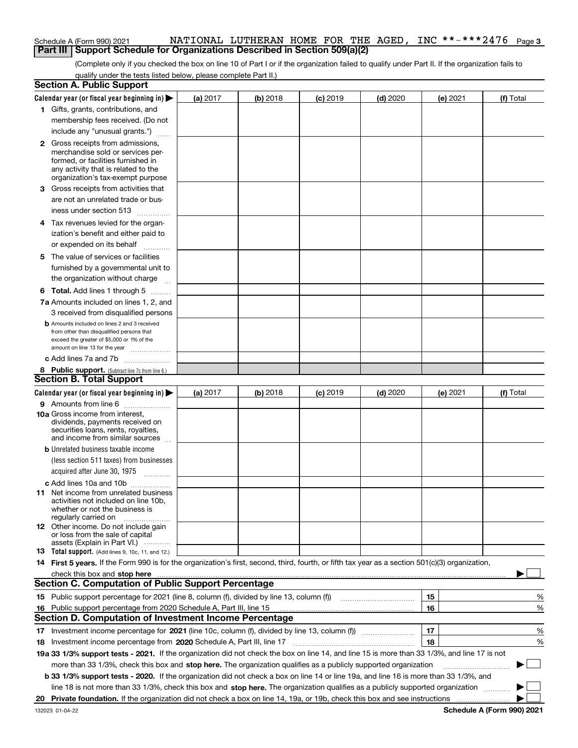#### **3**Schedule A (Form 990) 2021 NATIONAL LUTHERAN HOME FOR THE AGED, INC \* \* - \* \* \* 2 4 7 6 <sub>Page</sub> **Part III** | Support Schedule for Organizations Described in Section 509(a)(2)

(Complete only if you checked the box on line 10 of Part I or if the organization failed to qualify under Part II. If the organization fails to qualify under the tests listed below, please complete Part II.)

| <b>Section A. Public Support</b>                                                                                                                                              |          |          |                 |            |                 |           |
|-------------------------------------------------------------------------------------------------------------------------------------------------------------------------------|----------|----------|-----------------|------------|-----------------|-----------|
| Calendar year (or fiscal year beginning in)                                                                                                                                   | (a) 2017 | (b) 2018 | <b>(c)</b> 2019 | $(d)$ 2020 | <b>(e)</b> 2021 | (f) Total |
| 1 Gifts, grants, contributions, and                                                                                                                                           |          |          |                 |            |                 |           |
| membership fees received. (Do not                                                                                                                                             |          |          |                 |            |                 |           |
| include any "unusual grants.")                                                                                                                                                |          |          |                 |            |                 |           |
| 2 Gross receipts from admissions,                                                                                                                                             |          |          |                 |            |                 |           |
| merchandise sold or services per-                                                                                                                                             |          |          |                 |            |                 |           |
| formed, or facilities furnished in                                                                                                                                            |          |          |                 |            |                 |           |
| any activity that is related to the<br>organization's tax-exempt purpose                                                                                                      |          |          |                 |            |                 |           |
| 3 Gross receipts from activities that                                                                                                                                         |          |          |                 |            |                 |           |
| are not an unrelated trade or bus-                                                                                                                                            |          |          |                 |            |                 |           |
| iness under section 513                                                                                                                                                       |          |          |                 |            |                 |           |
| 4 Tax revenues levied for the organ-                                                                                                                                          |          |          |                 |            |                 |           |
| ization's benefit and either paid to                                                                                                                                          |          |          |                 |            |                 |           |
| or expended on its behalf                                                                                                                                                     |          |          |                 |            |                 |           |
|                                                                                                                                                                               |          |          |                 |            |                 |           |
| 5 The value of services or facilities                                                                                                                                         |          |          |                 |            |                 |           |
| furnished by a governmental unit to                                                                                                                                           |          |          |                 |            |                 |           |
| the organization without charge                                                                                                                                               |          |          |                 |            |                 |           |
| <b>6 Total.</b> Add lines 1 through 5                                                                                                                                         |          |          |                 |            |                 |           |
| 7a Amounts included on lines 1, 2, and                                                                                                                                        |          |          |                 |            |                 |           |
| 3 received from disqualified persons                                                                                                                                          |          |          |                 |            |                 |           |
| <b>b</b> Amounts included on lines 2 and 3 received<br>from other than disqualified persons that                                                                              |          |          |                 |            |                 |           |
| exceed the greater of \$5,000 or 1% of the                                                                                                                                    |          |          |                 |            |                 |           |
| amount on line 13 for the year                                                                                                                                                |          |          |                 |            |                 |           |
| c Add lines 7a and 7b                                                                                                                                                         |          |          |                 |            |                 |           |
| 8 Public support. (Subtract line 7c from line 6.)                                                                                                                             |          |          |                 |            |                 |           |
| <b>Section B. Total Support</b>                                                                                                                                               |          |          |                 |            |                 |           |
| Calendar year (or fiscal year beginning in)                                                                                                                                   | (a) 2017 | (b) 2018 | $(c)$ 2019      | $(d)$ 2020 | (e) 2021        | (f) Total |
| 9 Amounts from line 6                                                                                                                                                         |          |          |                 |            |                 |           |
| 10a Gross income from interest,                                                                                                                                               |          |          |                 |            |                 |           |
| dividends, payments received on<br>securities loans, rents, royalties,                                                                                                        |          |          |                 |            |                 |           |
| and income from similar sources                                                                                                                                               |          |          |                 |            |                 |           |
| <b>b</b> Unrelated business taxable income                                                                                                                                    |          |          |                 |            |                 |           |
| (less section 511 taxes) from businesses                                                                                                                                      |          |          |                 |            |                 |           |
| acquired after June 30, 1975                                                                                                                                                  |          |          |                 |            |                 |           |
| c Add lines 10a and 10b                                                                                                                                                       |          |          |                 |            |                 |           |
| <b>11</b> Net income from unrelated business                                                                                                                                  |          |          |                 |            |                 |           |
| activities not included on line 10b,                                                                                                                                          |          |          |                 |            |                 |           |
| whether or not the business is<br>regularly carried on                                                                                                                        |          |          |                 |            |                 |           |
| 12 Other income. Do not include gain                                                                                                                                          |          |          |                 |            |                 |           |
| or loss from the sale of capital                                                                                                                                              |          |          |                 |            |                 |           |
| assets (Explain in Part VI.)<br>13 Total support. (Add lines 9, 10c, 11, and 12.)                                                                                             |          |          |                 |            |                 |           |
| 14 First 5 years. If the Form 990 is for the organization's first, second, third, fourth, or fifth tax year as a section 501(c)(3) organization,                              |          |          |                 |            |                 |           |
|                                                                                                                                                                               |          |          |                 |            |                 |           |
| check this box and stop here measurements are constructed to the state of the state of the state of the state o<br><b>Section C. Computation of Public Support Percentage</b> |          |          |                 |            |                 |           |
| 15 Public support percentage for 2021 (line 8, column (f), divided by line 13, column (f))                                                                                    |          |          |                 |            | 15              | %         |
|                                                                                                                                                                               |          |          |                 |            | 16              | %         |
| 16 Public support percentage from 2020 Schedule A, Part III, line 15<br><b>Section D. Computation of Investment Income Percentage</b>                                         |          |          |                 |            |                 |           |
|                                                                                                                                                                               |          |          |                 |            |                 |           |
| 17 Investment income percentage for 2021 (line 10c, column (f), divided by line 13, column (f))                                                                               |          |          |                 |            | 17<br>18        | %         |
| 18 Investment income percentage from 2020 Schedule A, Part III, line 17                                                                                                       |          |          |                 |            |                 | %         |
| 19a 33 1/3% support tests - 2021. If the organization did not check the box on line 14, and line 15 is more than 33 1/3%, and line 17 is not                                  |          |          |                 |            |                 | $\sim$    |
| more than 33 1/3%, check this box and stop here. The organization qualifies as a publicly supported organization                                                              |          |          |                 |            |                 | ▶         |
| <b>b 33 1/3% support tests - 2020.</b> If the organization did not check a box on line 14 or line 19a, and line 16 is more than 33 1/3%, and                                  |          |          |                 |            |                 |           |
| line 18 is not more than 33 1/3%, check this box and stop here. The organization qualifies as a publicly supported organization                                               |          |          |                 |            |                 |           |
|                                                                                                                                                                               |          |          |                 |            |                 |           |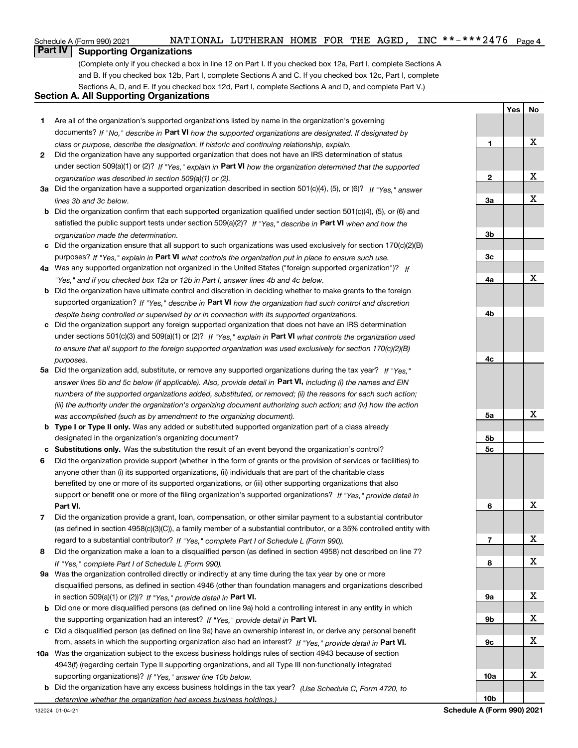# **Part IV** | Supporting Organizations

(Complete only if you checked a box in line 12 on Part I. If you checked box 12a, Part I, complete Sections A and B. If you checked box 12b, Part I, complete Sections A and C. If you checked box 12c, Part I, complete Sections A, D, and E. If you checked box 12d, Part I, complete Sections A and D, and complete Part V.)

# **Section A. All Supporting Organizations**

- **1** Are all of the organization's supported organizations listed by name in the organization's governing documents? If "No," describe in **Part VI** how the supported organizations are designated. If designated by *class or purpose, describe the designation. If historic and continuing relationship, explain.*
- **2** Did the organization have any supported organization that does not have an IRS determination of status under section 509(a)(1) or (2)? If "Yes," explain in Part VI how the organization determined that the supported *organization was described in section 509(a)(1) or (2).*
- **3a** Did the organization have a supported organization described in section 501(c)(4), (5), or (6)? If "Yes," answer *lines 3b and 3c below.*
- **b** Did the organization confirm that each supported organization qualified under section 501(c)(4), (5), or (6) and satisfied the public support tests under section 509(a)(2)? If "Yes," describe in **Part VI** when and how the *organization made the determination.*
- **c**Did the organization ensure that all support to such organizations was used exclusively for section 170(c)(2)(B) purposes? If "Yes," explain in **Part VI** what controls the organization put in place to ensure such use.
- **4a***If* Was any supported organization not organized in the United States ("foreign supported organization")? *"Yes," and if you checked box 12a or 12b in Part I, answer lines 4b and 4c below.*
- **b** Did the organization have ultimate control and discretion in deciding whether to make grants to the foreign supported organization? If "Yes," describe in **Part VI** how the organization had such control and discretion *despite being controlled or supervised by or in connection with its supported organizations.*
- **c** Did the organization support any foreign supported organization that does not have an IRS determination under sections 501(c)(3) and 509(a)(1) or (2)? If "Yes," explain in **Part VI** what controls the organization used *to ensure that all support to the foreign supported organization was used exclusively for section 170(c)(2)(B) purposes.*
- **5a***If "Yes,"* Did the organization add, substitute, or remove any supported organizations during the tax year? answer lines 5b and 5c below (if applicable). Also, provide detail in **Part VI,** including (i) the names and EIN *numbers of the supported organizations added, substituted, or removed; (ii) the reasons for each such action; (iii) the authority under the organization's organizing document authorizing such action; and (iv) how the action was accomplished (such as by amendment to the organizing document).*
- **b** Type I or Type II only. Was any added or substituted supported organization part of a class already designated in the organization's organizing document?
- **cSubstitutions only.**  Was the substitution the result of an event beyond the organization's control?
- **6** Did the organization provide support (whether in the form of grants or the provision of services or facilities) to **Part VI.** *If "Yes," provide detail in* support or benefit one or more of the filing organization's supported organizations? anyone other than (i) its supported organizations, (ii) individuals that are part of the charitable class benefited by one or more of its supported organizations, or (iii) other supporting organizations that also
- **7**regard to a substantial contributor? If "Yes," complete Part I of Schedule L (Form 990). Did the organization provide a grant, loan, compensation, or other similar payment to a substantial contributor (as defined in section 4958(c)(3)(C)), a family member of a substantial contributor, or a 35% controlled entity with
- **8** Did the organization make a loan to a disqualified person (as defined in section 4958) not described on line 7? *If "Yes," complete Part I of Schedule L (Form 990).*
- **9a** Was the organization controlled directly or indirectly at any time during the tax year by one or more in section 509(a)(1) or (2))? If "Yes," *provide detail in* <code>Part VI.</code> disqualified persons, as defined in section 4946 (other than foundation managers and organizations described
- **b**the supporting organization had an interest? If "Yes," provide detail in P**art VI**. Did one or more disqualified persons (as defined on line 9a) hold a controlling interest in any entity in which
- **c**Did a disqualified person (as defined on line 9a) have an ownership interest in, or derive any personal benefit from, assets in which the supporting organization also had an interest? If "Yes," provide detail in P**art VI.**
- **10a** Was the organization subject to the excess business holdings rules of section 4943 because of section supporting organizations)? If "Yes," answer line 10b below. 4943(f) (regarding certain Type II supporting organizations, and all Type III non-functionally integrated
- **b** Did the organization have any excess business holdings in the tax year? (Use Schedule C, Form 4720, to *determine whether the organization had excess business holdings.)*

|                        | Yes | <b>No</b> |
|------------------------|-----|-----------|
|                        |     |           |
|                        |     |           |
| 1                      |     | X         |
|                        |     |           |
|                        |     |           |
|                        |     |           |
| $\overline{2}$         |     | X         |
|                        |     |           |
| <u>3a</u>              |     | X         |
|                        |     |           |
|                        |     |           |
| 3 <sub>b</sub>         |     |           |
|                        |     |           |
| $\overline{\text{3c}}$ |     |           |
|                        |     |           |
| 4a                     |     | X         |
|                        |     |           |
|                        |     |           |
| 4 <sub>b</sub>         |     |           |
|                        |     |           |
|                        |     |           |
|                        |     |           |
|                        |     |           |
| 4 <sub>c</sub>         |     |           |
|                        |     |           |
|                        |     |           |
|                        |     |           |
|                        |     |           |
| <u>5a</u>              |     | X         |
|                        |     |           |
| <u>5b</u>              |     |           |
| <u>5c</u>              |     |           |
|                        |     |           |
|                        |     |           |
|                        |     |           |
|                        |     |           |
|                        |     |           |
| 6                      |     | X         |
|                        |     |           |
|                        |     |           |
| $\overline{1}$         |     | X         |
|                        |     |           |
| 8                      |     | X         |
|                        |     |           |
|                        |     |           |
| <u>9a</u>              |     | X         |
|                        |     |           |
|                        |     | X         |
| <u>9b</u>              |     |           |
|                        |     |           |
| 9 <sub>c</sub>         |     | X         |
|                        |     |           |
|                        |     |           |
| <u>10a</u>             |     | X         |
|                        |     |           |
| 10 <sub>b</sub>        |     |           |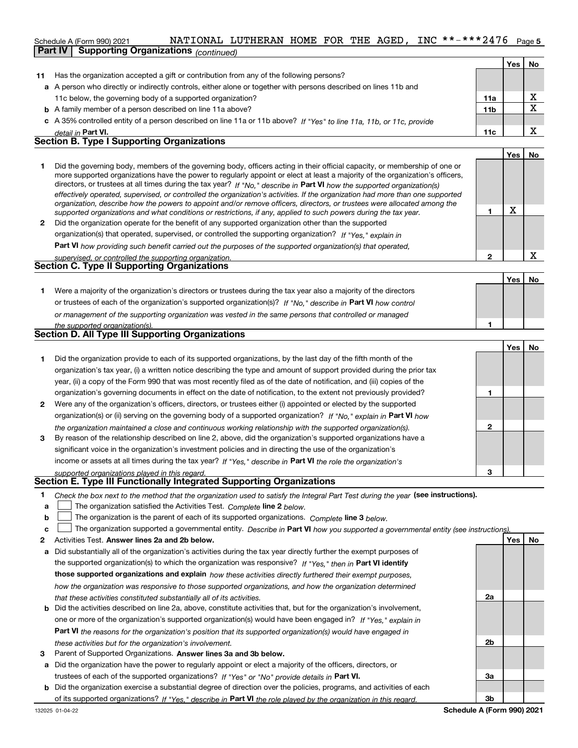#### INC \*\*-\*\*\*2476 Page 5 Schedule A (Form 990) 2021 NATIONAL LUTHERAN HOME FOR THE AGED, INC \* \* - \* \* \* 2 4 7 6 <sub>Page</sub> **Part IV Supporting Organizations** *(continued)*

|    |                                                                                                                      |                 | Yes | No     |
|----|----------------------------------------------------------------------------------------------------------------------|-----------------|-----|--------|
| 11 | Has the organization accepted a gift or contribution from any of the following persons?                              |                 |     |        |
|    | a A person who directly or indirectly controls, either alone or together with persons described on lines 11b and     |                 |     |        |
|    | 11c below, the governing body of a supported organization?                                                           | 11a             |     | v      |
|    | <b>b</b> A family member of a person described on line 11a above?                                                    | 11 <sub>b</sub> |     | v<br>▵ |
|    | c A 35% controlled entity of a person described on line 11a or 11b above? If "Yes" to line 11a, 11b, or 11c, provide |                 |     |        |
|    | detail in Part VI.                                                                                                   | 11c             |     | v      |
|    | <b>Section B. Type I Supporting Organizations</b>                                                                    |                 |     |        |
|    |                                                                                                                      |                 | Yes | No     |
|    |                                                                                                                      |                 |     |        |

|   | Did the governing body, members of the governing body, officers acting in their official capacity, or membership of one or<br>more supported organizations have the power to regularly appoint or elect at least a majority of the organization's officers,<br>directors, or trustees at all times during the tax year? If "No," describe in Part VI how the supported organization(s)<br>effectively operated, supervised, or controlled the organization's activities. If the organization had more than one supported<br>organization, describe how the powers to appoint and/or remove officers, directors, or trustees were allocated among the<br>supported organizations and what conditions or restrictions, if any, applied to such powers during the tax year. |  |
|---|--------------------------------------------------------------------------------------------------------------------------------------------------------------------------------------------------------------------------------------------------------------------------------------------------------------------------------------------------------------------------------------------------------------------------------------------------------------------------------------------------------------------------------------------------------------------------------------------------------------------------------------------------------------------------------------------------------------------------------------------------------------------------|--|
| 2 | Did the organization operate for the benefit of any supported organization other than the supported                                                                                                                                                                                                                                                                                                                                                                                                                                                                                                                                                                                                                                                                      |  |
|   | organization(s) that operated, supervised, or controlled the supporting organization? If "Yes," explain in                                                                                                                                                                                                                                                                                                                                                                                                                                                                                                                                                                                                                                                               |  |

**Part VI**  *how providing such benefit carried out the purposes of the supported organization(s) that operated,*

| supervised, or controlled the supporting organization. |  |
|--------------------------------------------------------|--|
| <b>Section C. Type II Supporting Organizations</b>     |  |

**1**or trustees of each of the organization's supported organization(s)? If "No," describe in **Part VI** how control **1***or management of the supporting organization was vested in the same persons that controlled or managed the supported organization(s).* Were a majority of the organization's directors or trustees during the tax year also a majority of the directors

| Section D. All Type III Supporting Organizations |  |
|--------------------------------------------------|--|
|                                                  |  |

|                |                                                                                                                        |   | Yes l | No |
|----------------|------------------------------------------------------------------------------------------------------------------------|---|-------|----|
|                | Did the organization provide to each of its supported organizations, by the last day of the fifth month of the         |   |       |    |
|                | organization's tax year, (i) a written notice describing the type and amount of support provided during the prior tax  |   |       |    |
|                | year, (ii) a copy of the Form 990 that was most recently filed as of the date of notification, and (iii) copies of the |   |       |    |
|                | organization's governing documents in effect on the date of notification, to the extent not previously provided?       |   |       |    |
| $\overline{2}$ | Were any of the organization's officers, directors, or trustees either (i) appointed or elected by the supported       |   |       |    |
|                | organization(s) or (ii) serving on the governing body of a supported organization? If "No," explain in Part VI how     |   |       |    |
|                | the organization maintained a close and continuous working relationship with the supported organization(s).            | 2 |       |    |
| 3              | By reason of the relationship described on line 2, above, did the organization's supported organizations have a        |   |       |    |
|                | significant voice in the organization's investment policies and in directing the use of the organization's             |   |       |    |
|                | income or assets at all times during the tax year? If "Yes," describe in Part VI the role the organization's           |   |       |    |
|                | supported organizations played in this regard.                                                                         | з |       |    |

# *supported organizations played in this regard.* **Section E. Type III Functionally Integrated Supporting Organizations**

- **1**Check the box next to the method that the organization used to satisfy the Integral Part Test during the year (see instructions).
- **alinupy** The organization satisfied the Activities Test. Complete line 2 below.
- **b**The organization is the parent of each of its supported organizations. *Complete* line 3 *below.*  $\mathcal{L}^{\text{max}}$

|  |  | c $\Box$ The organization supported a governmental entity. Describe in Part VI how you supported a governmental entity (see instructions). |  |  |  |  |  |  |
|--|--|--------------------------------------------------------------------------------------------------------------------------------------------|--|--|--|--|--|--|
|--|--|--------------------------------------------------------------------------------------------------------------------------------------------|--|--|--|--|--|--|

- **2Answer lines 2a and 2b below. Yes No** Activities Test.
- **a** Did substantially all of the organization's activities during the tax year directly further the exempt purposes of the supported organization(s) to which the organization was responsive? If "Yes," then in **Part VI identify those supported organizations and explain**  *how these activities directly furthered their exempt purposes, how the organization was responsive to those supported organizations, and how the organization determined that these activities constituted substantially all of its activities.*
- **b** Did the activities described on line 2a, above, constitute activities that, but for the organization's involvement, **Part VI**  *the reasons for the organization's position that its supported organization(s) would have engaged in* one or more of the organization's supported organization(s) would have been engaged in? If "Yes," e*xplain in these activities but for the organization's involvement.*
- **3** Parent of Supported Organizations. Answer lines 3a and 3b below.
- **a** Did the organization have the power to regularly appoint or elect a majority of the officers, directors, or trustees of each of the supported organizations? If "Yes" or "No" provide details in P**art VI.**
- **b** Did the organization exercise a substantial degree of direction over the policies, programs, and activities of each of its supported organizations? If "Yes," describe in Part VI the role played by the organization in this regard.

**2a 2b3a3b**

**2**

**YesNo**

X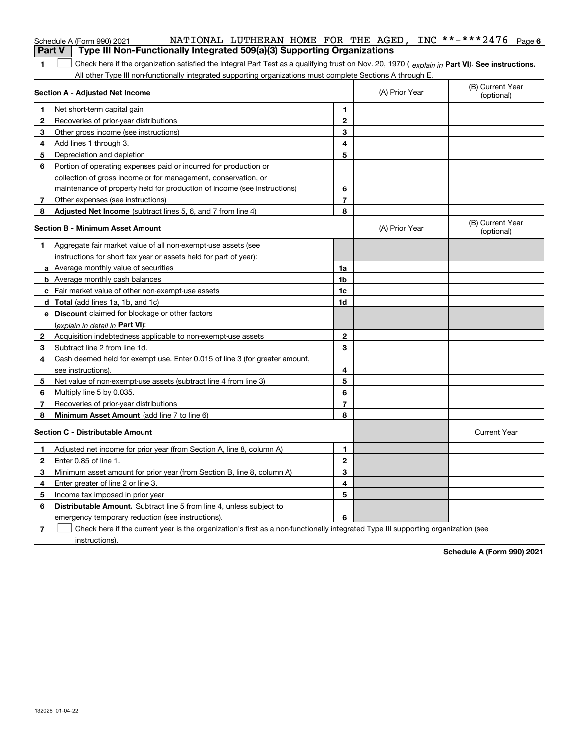|              | NATIONAL LUTHERAN HOME FOR THE AGED, INC **-***2476 Page 6<br>Schedule A (Form 990) 2021<br>Type III Non-Functionally Integrated 509(a)(3) Supporting Organizations<br><b>Part V</b> |                |                |                                |
|--------------|--------------------------------------------------------------------------------------------------------------------------------------------------------------------------------------|----------------|----------------|--------------------------------|
| 1            | Check here if the organization satisfied the Integral Part Test as a qualifying trust on Nov. 20, 1970 (explain in Part VI). See instructions.                                       |                |                |                                |
|              | All other Type III non-functionally integrated supporting organizations must complete Sections A through E.                                                                          |                |                |                                |
|              | Section A - Adjusted Net Income                                                                                                                                                      |                | (A) Prior Year | (B) Current Year<br>(optional) |
| 1.           | Net short-term capital gain                                                                                                                                                          | 1              |                |                                |
| $\mathbf{2}$ | Recoveries of prior-year distributions                                                                                                                                               | $\mathbf{2}$   |                |                                |
| 3            | Other gross income (see instructions)                                                                                                                                                | 3              |                |                                |
| 4            | Add lines 1 through 3.                                                                                                                                                               | 4              |                |                                |
| 5            | Depreciation and depletion                                                                                                                                                           | 5              |                |                                |
| 6            | Portion of operating expenses paid or incurred for production or                                                                                                                     |                |                |                                |
|              | collection of gross income or for management, conservation, or                                                                                                                       |                |                |                                |
|              | maintenance of property held for production of income (see instructions)                                                                                                             | 6              |                |                                |
| 7            | Other expenses (see instructions)                                                                                                                                                    | $\overline{7}$ |                |                                |
| 8            | Adjusted Net Income (subtract lines 5, 6, and 7 from line 4)                                                                                                                         | 8              |                |                                |
|              | <b>Section B - Minimum Asset Amount</b>                                                                                                                                              |                | (A) Prior Year | (B) Current Year<br>(optional) |
| 1            | Aggregate fair market value of all non-exempt-use assets (see                                                                                                                        |                |                |                                |
|              | instructions for short tax year or assets held for part of year):                                                                                                                    |                |                |                                |
|              | <b>a</b> Average monthly value of securities                                                                                                                                         | 1a             |                |                                |
|              | <b>b</b> Average monthly cash balances                                                                                                                                               | 1 <sub>b</sub> |                |                                |
|              | c Fair market value of other non-exempt-use assets                                                                                                                                   | 1 <sub>c</sub> |                |                                |
|              | <b>d</b> Total (add lines 1a, 1b, and 1c)                                                                                                                                            | 1d             |                |                                |
|              | e Discount claimed for blockage or other factors                                                                                                                                     |                |                |                                |
|              | (explain in detail in Part VI):                                                                                                                                                      |                |                |                                |
| $\mathbf{2}$ | Acquisition indebtedness applicable to non-exempt-use assets                                                                                                                         | $\mathbf{2}$   |                |                                |
| 3            | Subtract line 2 from line 1d.                                                                                                                                                        | 3              |                |                                |
| 4            | Cash deemed held for exempt use. Enter 0.015 of line 3 (for greater amount,                                                                                                          |                |                |                                |
|              | see instructions).                                                                                                                                                                   | 4              |                |                                |
| 5            | Net value of non-exempt-use assets (subtract line 4 from line 3)                                                                                                                     | 5              |                |                                |
| 6            | Multiply line 5 by 0.035.                                                                                                                                                            | 6              |                |                                |
| 7            | Recoveries of prior-year distributions                                                                                                                                               | $\overline{7}$ |                |                                |
| 8            | Minimum Asset Amount (add line 7 to line 6)                                                                                                                                          | 8              |                |                                |
|              | <b>Section C - Distributable Amount</b>                                                                                                                                              |                |                | <b>Current Year</b>            |
| 1            | Adjusted net income for prior year (from Section A, line 8, column A)                                                                                                                | 1              |                |                                |
| $\mathbf{2}$ | Enter 0.85 of line 1.                                                                                                                                                                | $\mathbf{2}$   |                |                                |
| 3            | Minimum asset amount for prior year (from Section B, line 8, column A)                                                                                                               | 3              |                |                                |
| 4            | Enter greater of line 2 or line 3.                                                                                                                                                   | 4              |                |                                |
| 5            | Income tax imposed in prior year                                                                                                                                                     | 5              |                |                                |
| 6            | <b>Distributable Amount.</b> Subtract line 5 from line 4, unless subject to                                                                                                          |                |                |                                |
|              | emergency temporary reduction (see instructions).                                                                                                                                    | 6              |                |                                |
|              |                                                                                                                                                                                      |                |                |                                |

**7** Check here if the current year is the organization's first as a non-functionally integrated Type III supporting organization (see instructions).

**Schedule A (Form 990) 2021**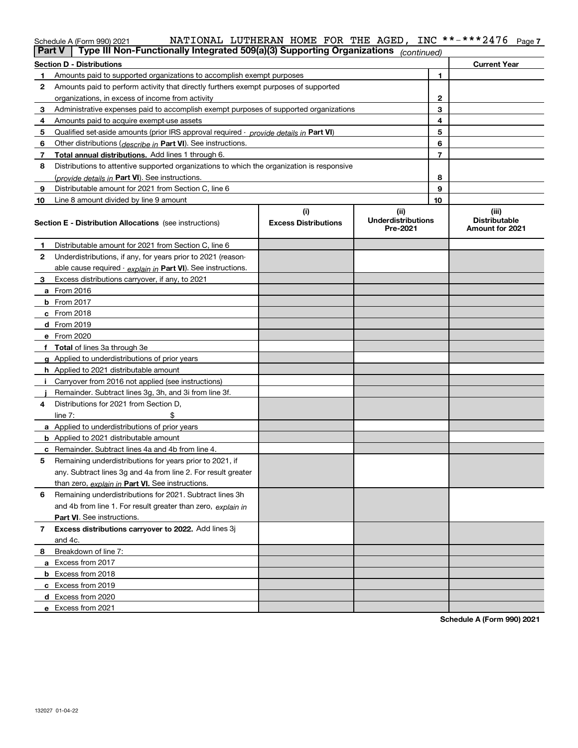| Schedule A (Form 990) 2021 |  |
|----------------------------|--|
|----------------------------|--|

#### **7** Schedule A (Form 990) 2021 NATIONAL LUTHERAN HOME FOR THE AGED, INC \* \* ~ \* \* \* 2 4 / 6 Page NATIONAL LUTHERAN HOME FOR THE AGED, INC \*\*-\*\*\*2476

|    | Type III Non-Functionally Integrated 509(a)(3) Supporting Organizations<br>  Part V        |                                    | (continued)                                   |                                                  |
|----|--------------------------------------------------------------------------------------------|------------------------------------|-----------------------------------------------|--------------------------------------------------|
|    | Section D - Distributions                                                                  |                                    |                                               | <b>Current Year</b>                              |
| 1  | Amounts paid to supported organizations to accomplish exempt purposes                      |                                    | 1                                             |                                                  |
| 2  | Amounts paid to perform activity that directly furthers exempt purposes of supported       |                                    |                                               |                                                  |
|    | organizations, in excess of income from activity                                           |                                    | $\mathbf{2}$                                  |                                                  |
| 3  | Administrative expenses paid to accomplish exempt purposes of supported organizations      |                                    | 3                                             |                                                  |
| 4  | Amounts paid to acquire exempt-use assets                                                  |                                    | 4                                             |                                                  |
| 5  | Qualified set aside amounts (prior IRS approval required - provide details in Part VI)     |                                    | 5                                             |                                                  |
| 6  | Other distributions ( <i>describe in</i> Part VI). See instructions.                       |                                    | 6                                             |                                                  |
| 7  | Total annual distributions. Add lines 1 through 6.                                         |                                    | $\overline{7}$                                |                                                  |
| 8  | Distributions to attentive supported organizations to which the organization is responsive |                                    |                                               |                                                  |
|    | (provide details in Part VI). See instructions.                                            |                                    | 8                                             |                                                  |
| 9  | Distributable amount for 2021 from Section C, line 6                                       |                                    | 9                                             |                                                  |
| 10 | Line 8 amount divided by line 9 amount                                                     |                                    | 10                                            |                                                  |
|    | <b>Section E - Distribution Allocations</b> (see instructions)                             | (i)<br><b>Excess Distributions</b> | (ii)<br><b>Underdistributions</b><br>Pre-2021 | (iii)<br><b>Distributable</b><br>Amount for 2021 |
| 1  | Distributable amount for 2021 from Section C, line 6                                       |                                    |                                               |                                                  |
| 2  | Underdistributions, if any, for years prior to 2021 (reason-                               |                                    |                                               |                                                  |
|    | able cause required - explain in Part VI). See instructions.                               |                                    |                                               |                                                  |
| 3  | Excess distributions carryover, if any, to 2021                                            |                                    |                                               |                                                  |
|    | a From 2016                                                                                |                                    |                                               |                                                  |
|    | <b>b</b> From 2017                                                                         |                                    |                                               |                                                  |
|    | <b>c</b> From 2018                                                                         |                                    |                                               |                                                  |
|    | d From 2019                                                                                |                                    |                                               |                                                  |
|    | e From 2020                                                                                |                                    |                                               |                                                  |
|    | f Total of lines 3a through 3e                                                             |                                    |                                               |                                                  |
|    | g Applied to underdistributions of prior years                                             |                                    |                                               |                                                  |
|    | <b>h</b> Applied to 2021 distributable amount                                              |                                    |                                               |                                                  |
|    | Carryover from 2016 not applied (see instructions)                                         |                                    |                                               |                                                  |
|    | Remainder. Subtract lines 3g, 3h, and 3i from line 3f.                                     |                                    |                                               |                                                  |
| 4  | Distributions for 2021 from Section D.                                                     |                                    |                                               |                                                  |
|    | line $7:$                                                                                  |                                    |                                               |                                                  |
|    | a Applied to underdistributions of prior years                                             |                                    |                                               |                                                  |
|    | <b>b</b> Applied to 2021 distributable amount                                              |                                    |                                               |                                                  |
|    | c Remainder. Subtract lines 4a and 4b from line 4.                                         |                                    |                                               |                                                  |
| 5. | Remaining underdistributions for years prior to 2021, if                                   |                                    |                                               |                                                  |
|    | any. Subtract lines 3g and 4a from line 2. For result greater                              |                                    |                                               |                                                  |
|    | than zero, explain in Part VI. See instructions.                                           |                                    |                                               |                                                  |
| 6  | Remaining underdistributions for 2021. Subtract lines 3h                                   |                                    |                                               |                                                  |
|    | and 4b from line 1. For result greater than zero, explain in                               |                                    |                                               |                                                  |
|    | Part VI. See instructions.                                                                 |                                    |                                               |                                                  |
| 7  | Excess distributions carryover to 2022. Add lines 3j                                       |                                    |                                               |                                                  |
|    | and 4c.                                                                                    |                                    |                                               |                                                  |
| 8  | Breakdown of line 7:                                                                       |                                    |                                               |                                                  |
|    | a Excess from 2017                                                                         |                                    |                                               |                                                  |
|    | <b>b</b> Excess from 2018                                                                  |                                    |                                               |                                                  |
|    | c Excess from 2019                                                                         |                                    |                                               |                                                  |
|    | d Excess from 2020                                                                         |                                    |                                               |                                                  |
|    | e Excess from 2021                                                                         |                                    |                                               |                                                  |

**Schedule A (Form 990) 2021**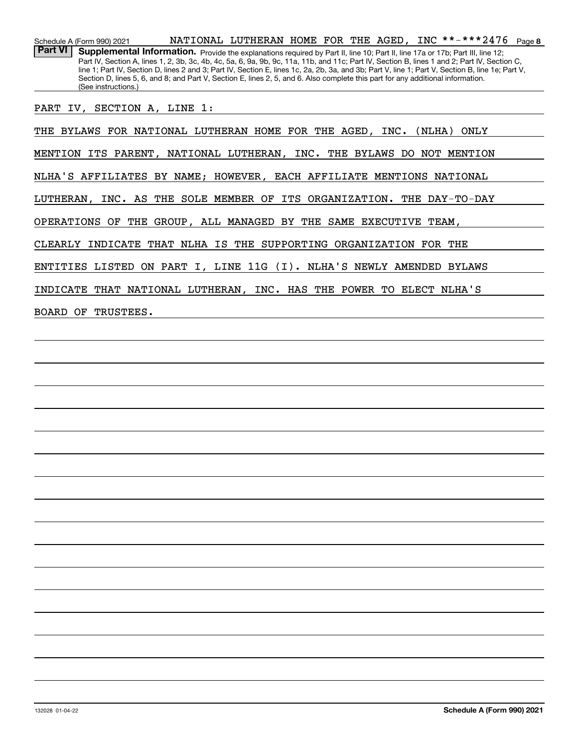**8**\*\*-\*\*\*2476Schedule A (Form 990) 2021 NATIONAL LUTHERAN HOME FOR THE AGED, INC \* \*-\* \* \* 2476 Page Part VI | Supplemental Information. Provide the explanations required by Part II, line 10; Part II, line 17a or 17b; Part III, line 12; Part IV, Section A, lines 1, 2, 3b, 3c, 4b, 4c, 5a, 6, 9a, 9b, 9c, 11a, 11b, and 11c; Part IV, Section B, lines 1 and 2; Part IV, Section C, line 1; Part IV, Section D, lines 2 and 3; Part IV, Section E, lines 1c, 2a, 2b, 3a, and 3b; Part V, line 1; Part V, Section B, line 1e; Part V, Section D, lines 5, 6, and 8; and Part V, Section E, lines 2, 5, and 6. Also complete this part for any additional information. (See instructions.)

PART IV, SECTION A, LINE 1:

THE BYLAWS FOR NATIONAL LUTHERAN HOME FOR THE AGED, INC. (NLHA) ONLY

MENTION ITS PARENT, NATIONAL LUTHERAN, INC. THE BYLAWS DO NOT MENTION

NLHA'S AFFILIATES BY NAME; HOWEVER, EACH AFFILIATE MENTIONS NATIONAL

LUTHERAN, INC. AS THE SOLE MEMBER OF ITS ORGANIZATION. THE DAY-TO-DAY

OPERATIONS OF THE GROUP, ALL MANAGED BY THE SAME EXECUTIVE TEAM,

CLEARLY INDICATE THAT NLHA IS THE SUPPORTING ORGANIZATION FOR THE

ENTITIES LISTED ON PART I, LINE 11G (I). NLHA'S NEWLY AMENDED BYLAWS

INDICATE THAT NATIONAL LUTHERAN, INC. HAS THE POWER TO ELECT NLHA'S

BOARD OF TRUSTEES.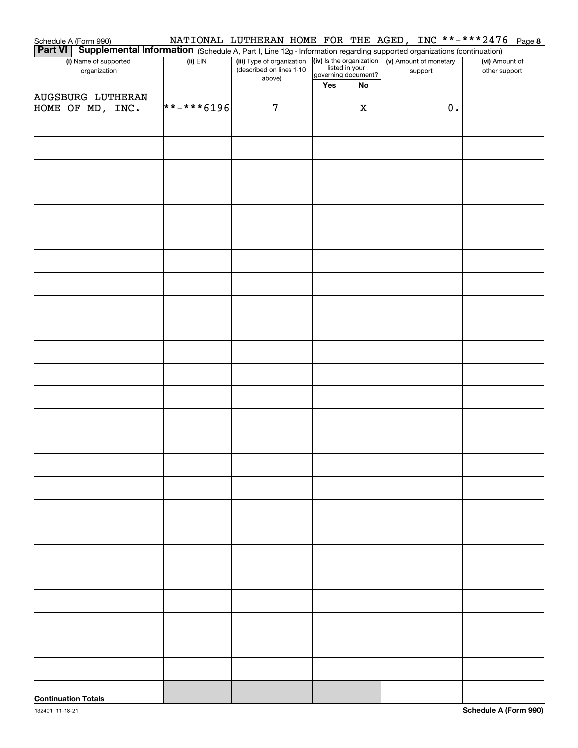|                                                                                                                                                                                                                                      |              |                            |     |    |                                                                                          | NATIONAL LUTHERAN HOME FOR THE AGED, INC **-***2476 Page 8 |
|--------------------------------------------------------------------------------------------------------------------------------------------------------------------------------------------------------------------------------------|--------------|----------------------------|-----|----|------------------------------------------------------------------------------------------|------------------------------------------------------------|
| Schedule A (Form 990) <b>MATIONAL LUTHERAN HOME FOR THE AGED, INC.</b> THE AGED <b>INC.</b> THE PORT <b>VI</b>   Supplemental Information (Schedule A, Part I, Line 12g Information regarding supported organizations (continuation) |              |                            |     |    |                                                                                          |                                                            |
| (i) Name of supported                                                                                                                                                                                                                | $(ii)$ EIN   | (iii) Type of organization |     |    | (iv) Is the organization<br>listed in your<br>governing document?<br>governing document? | (vi) Amount of                                             |
| organization                                                                                                                                                                                                                         |              | (described on lines 1-10   |     |    |                                                                                          | other support                                              |
|                                                                                                                                                                                                                                      |              | above)                     | Yes | No |                                                                                          |                                                            |
| <b>AUGSBURG LUTHERAN</b>                                                                                                                                                                                                             |              |                            |     |    |                                                                                          |                                                            |
| HOME OF MD, INC.                                                                                                                                                                                                                     | $******6196$ | 7                          |     | X  | $\mathbf 0$ .                                                                            |                                                            |
|                                                                                                                                                                                                                                      |              |                            |     |    |                                                                                          |                                                            |
|                                                                                                                                                                                                                                      |              |                            |     |    |                                                                                          |                                                            |
|                                                                                                                                                                                                                                      |              |                            |     |    |                                                                                          |                                                            |
|                                                                                                                                                                                                                                      |              |                            |     |    |                                                                                          |                                                            |
|                                                                                                                                                                                                                                      |              |                            |     |    |                                                                                          |                                                            |
|                                                                                                                                                                                                                                      |              |                            |     |    |                                                                                          |                                                            |
|                                                                                                                                                                                                                                      |              |                            |     |    |                                                                                          |                                                            |
|                                                                                                                                                                                                                                      |              |                            |     |    |                                                                                          |                                                            |
|                                                                                                                                                                                                                                      |              |                            |     |    |                                                                                          |                                                            |
|                                                                                                                                                                                                                                      |              |                            |     |    |                                                                                          |                                                            |
|                                                                                                                                                                                                                                      |              |                            |     |    |                                                                                          |                                                            |
|                                                                                                                                                                                                                                      |              |                            |     |    |                                                                                          |                                                            |
|                                                                                                                                                                                                                                      |              |                            |     |    |                                                                                          |                                                            |
|                                                                                                                                                                                                                                      |              |                            |     |    |                                                                                          |                                                            |
|                                                                                                                                                                                                                                      |              |                            |     |    |                                                                                          |                                                            |
|                                                                                                                                                                                                                                      |              |                            |     |    |                                                                                          |                                                            |
|                                                                                                                                                                                                                                      |              |                            |     |    |                                                                                          |                                                            |
|                                                                                                                                                                                                                                      |              |                            |     |    |                                                                                          |                                                            |
|                                                                                                                                                                                                                                      |              |                            |     |    |                                                                                          |                                                            |
|                                                                                                                                                                                                                                      |              |                            |     |    |                                                                                          |                                                            |
|                                                                                                                                                                                                                                      |              |                            |     |    |                                                                                          |                                                            |
|                                                                                                                                                                                                                                      |              |                            |     |    |                                                                                          |                                                            |
|                                                                                                                                                                                                                                      |              |                            |     |    |                                                                                          |                                                            |
|                                                                                                                                                                                                                                      |              |                            |     |    |                                                                                          |                                                            |
|                                                                                                                                                                                                                                      |              |                            |     |    |                                                                                          |                                                            |
|                                                                                                                                                                                                                                      |              |                            |     |    |                                                                                          |                                                            |
|                                                                                                                                                                                                                                      |              |                            |     |    |                                                                                          |                                                            |
|                                                                                                                                                                                                                                      |              |                            |     |    |                                                                                          |                                                            |
|                                                                                                                                                                                                                                      |              |                            |     |    |                                                                                          |                                                            |
|                                                                                                                                                                                                                                      |              |                            |     |    |                                                                                          |                                                            |
|                                                                                                                                                                                                                                      |              |                            |     |    |                                                                                          |                                                            |
|                                                                                                                                                                                                                                      |              |                            |     |    |                                                                                          |                                                            |
|                                                                                                                                                                                                                                      |              |                            |     |    |                                                                                          |                                                            |
|                                                                                                                                                                                                                                      |              |                            |     |    |                                                                                          |                                                            |
|                                                                                                                                                                                                                                      |              |                            |     |    |                                                                                          |                                                            |
|                                                                                                                                                                                                                                      |              |                            |     |    |                                                                                          |                                                            |
|                                                                                                                                                                                                                                      |              |                            |     |    |                                                                                          |                                                            |
|                                                                                                                                                                                                                                      |              |                            |     |    |                                                                                          |                                                            |
|                                                                                                                                                                                                                                      |              |                            |     |    |                                                                                          |                                                            |
|                                                                                                                                                                                                                                      |              |                            |     |    |                                                                                          |                                                            |
|                                                                                                                                                                                                                                      |              |                            |     |    |                                                                                          |                                                            |
|                                                                                                                                                                                                                                      |              |                            |     |    |                                                                                          |                                                            |
|                                                                                                                                                                                                                                      |              |                            |     |    |                                                                                          |                                                            |
|                                                                                                                                                                                                                                      |              |                            |     |    |                                                                                          |                                                            |
|                                                                                                                                                                                                                                      |              |                            |     |    |                                                                                          |                                                            |
|                                                                                                                                                                                                                                      |              |                            |     |    |                                                                                          |                                                            |
|                                                                                                                                                                                                                                      |              |                            |     |    |                                                                                          |                                                            |
|                                                                                                                                                                                                                                      |              |                            |     |    |                                                                                          |                                                            |
|                                                                                                                                                                                                                                      |              |                            |     |    |                                                                                          |                                                            |
|                                                                                                                                                                                                                                      |              |                            |     |    |                                                                                          |                                                            |
|                                                                                                                                                                                                                                      |              |                            |     |    |                                                                                          |                                                            |
|                                                                                                                                                                                                                                      |              |                            |     |    |                                                                                          |                                                            |
|                                                                                                                                                                                                                                      |              |                            |     |    |                                                                                          |                                                            |
|                                                                                                                                                                                                                                      |              |                            |     |    |                                                                                          |                                                            |
| <b>Continuation Totals</b>                                                                                                                                                                                                           |              |                            |     |    |                                                                                          |                                                            |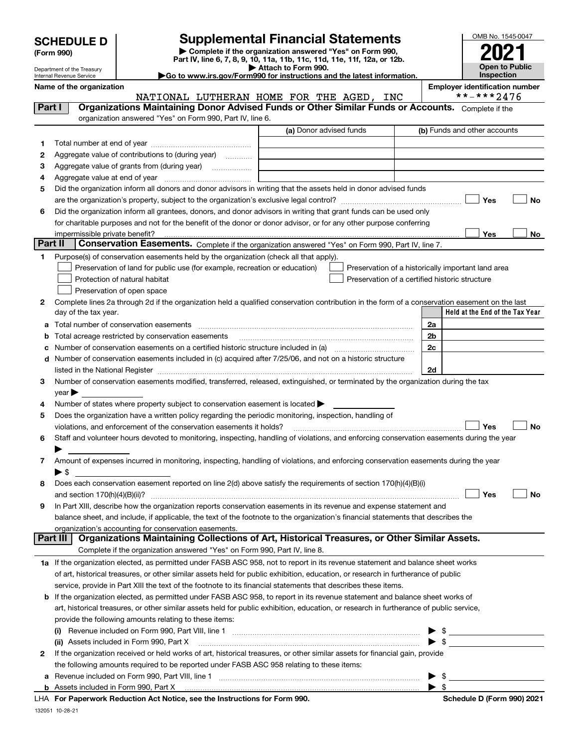| <b>SCHEDULE D</b> |  |
|-------------------|--|
|-------------------|--|

| (Form 990) |
|------------|
|            |

# **Supplemental Financial Statements**

**| Complete if the organization answered "Yes" on Form 990, Part IV, line 6, 7, 8, 9, 10, 11a, 11b, 11c, 11d, 11e, 11f, 12a, or 12b. | Attach to Form 990.**



Department of the Treasury Internal Revenue Service

**|Go to www.irs.gov/Form990 for instructions and the latest information.**

**Name of the organization Employer identification number**

|         |                                                                                                                                                                                                                               | NATIONAL LUTHERAN HOME FOR THE AGED, INC | **-***2476                                         |
|---------|-------------------------------------------------------------------------------------------------------------------------------------------------------------------------------------------------------------------------------|------------------------------------------|----------------------------------------------------|
| Part I  | Organizations Maintaining Donor Advised Funds or Other Similar Funds or Accounts. Complete if the                                                                                                                             |                                          |                                                    |
|         | organization answered "Yes" on Form 990, Part IV, line 6.                                                                                                                                                                     |                                          |                                                    |
|         |                                                                                                                                                                                                                               | (a) Donor advised funds                  | (b) Funds and other accounts                       |
| 1       |                                                                                                                                                                                                                               |                                          |                                                    |
| 2       | Aggregate value of contributions to (during year)                                                                                                                                                                             |                                          |                                                    |
| 3       | Aggregate value of grants from (during year)                                                                                                                                                                                  |                                          |                                                    |
| 4       |                                                                                                                                                                                                                               |                                          |                                                    |
| 5       | Did the organization inform all donors and donor advisors in writing that the assets held in donor advised funds                                                                                                              |                                          |                                                    |
|         |                                                                                                                                                                                                                               |                                          | Yes<br>No                                          |
| 6       | Did the organization inform all grantees, donors, and donor advisors in writing that grant funds can be used only                                                                                                             |                                          |                                                    |
|         | for charitable purposes and not for the benefit of the donor or donor advisor, or for any other purpose conferring                                                                                                            |                                          |                                                    |
|         | impermissible private benefit?                                                                                                                                                                                                |                                          | Yes<br>No.                                         |
| Part II | Conservation Easements. Complete if the organization answered "Yes" on Form 990, Part IV, line 7.                                                                                                                             |                                          |                                                    |
| 1.      | Purpose(s) of conservation easements held by the organization (check all that apply).                                                                                                                                         |                                          |                                                    |
|         | Preservation of land for public use (for example, recreation or education)                                                                                                                                                    |                                          | Preservation of a historically important land area |
|         | Protection of natural habitat                                                                                                                                                                                                 |                                          | Preservation of a certified historic structure     |
|         | Preservation of open space                                                                                                                                                                                                    |                                          |                                                    |
| 2       | Complete lines 2a through 2d if the organization held a qualified conservation contribution in the form of a conservation easement on the last                                                                                |                                          |                                                    |
|         | day of the tax year.                                                                                                                                                                                                          |                                          | Held at the End of the Tax Year                    |
| а       |                                                                                                                                                                                                                               |                                          | 2a                                                 |
| b       | Total acreage restricted by conservation easements                                                                                                                                                                            |                                          | 2b                                                 |
| c       |                                                                                                                                                                                                                               |                                          | 2c                                                 |
| d       | Number of conservation easements included in (c) acquired after 7/25/06, and not on a historic structure                                                                                                                      |                                          |                                                    |
|         | listed in the National Register [111] [12] The National Register [11] All also resonance in the National Register [11] [12] All also resonance in the National Register [11] All also resonance in the National Register [11] |                                          | 2d                                                 |
| 3       | Number of conservation easements modified, transferred, released, extinguished, or terminated by the organization during the tax                                                                                              |                                          |                                                    |
|         | year                                                                                                                                                                                                                          |                                          |                                                    |
| 4       | Number of states where property subject to conservation easement is located $\blacktriangleright$                                                                                                                             |                                          |                                                    |
| 5       | Does the organization have a written policy regarding the periodic monitoring, inspection, handling of                                                                                                                        |                                          |                                                    |
|         | violations, and enforcement of the conservation easements it holds?                                                                                                                                                           |                                          | Yes<br>No                                          |
| 6       | Staff and volunteer hours devoted to monitoring, inspecting, handling of violations, and enforcing conservation easements during the year                                                                                     |                                          |                                                    |
|         |                                                                                                                                                                                                                               |                                          |                                                    |
| 7       | Amount of expenses incurred in monitoring, inspecting, handling of violations, and enforcing conservation easements during the year                                                                                           |                                          |                                                    |
|         | $\blacktriangleright$ s                                                                                                                                                                                                       |                                          |                                                    |
| 8       | Does each conservation easement reported on line 2(d) above satisfy the requirements of section 170(h)(4)(B)(i)                                                                                                               |                                          |                                                    |
|         |                                                                                                                                                                                                                               |                                          | Yes<br>No                                          |
| 9       | In Part XIII, describe how the organization reports conservation easements in its revenue and expense statement and                                                                                                           |                                          |                                                    |
|         | balance sheet, and include, if applicable, the text of the footnote to the organization's financial statements that describes the                                                                                             |                                          |                                                    |
|         | organization's accounting for conservation easements.                                                                                                                                                                         |                                          |                                                    |
|         | Organizations Maintaining Collections of Art, Historical Treasures, or Other Similar Assets.<br>Part III                                                                                                                      |                                          |                                                    |
|         | Complete if the organization answered "Yes" on Form 990, Part IV, line 8.                                                                                                                                                     |                                          |                                                    |
|         | 1a If the organization elected, as permitted under FASB ASC 958, not to report in its revenue statement and balance sheet works                                                                                               |                                          |                                                    |
|         | of art, historical treasures, or other similar assets held for public exhibition, education, or research in furtherance of public                                                                                             |                                          |                                                    |
|         | service, provide in Part XIII the text of the footnote to its financial statements that describes these items.                                                                                                                |                                          |                                                    |
|         | <b>b</b> If the organization elected, as permitted under FASB ASC 958, to report in its revenue statement and balance sheet works of                                                                                          |                                          |                                                    |
|         | art, historical treasures, or other similar assets held for public exhibition, education, or research in furtherance of public service,                                                                                       |                                          |                                                    |
|         | provide the following amounts relating to these items:                                                                                                                                                                        |                                          |                                                    |
|         | (i)                                                                                                                                                                                                                           |                                          | \$                                                 |
|         | (ii) Assets included in Form 990, Part X                                                                                                                                                                                      |                                          | -\$                                                |
| 2       | If the organization received or held works of art, historical treasures, or other similar assets for financial gain, provide                                                                                                  |                                          |                                                    |
|         | the following amounts required to be reported under FASB ASC 958 relating to these items:                                                                                                                                     |                                          |                                                    |
| а       |                                                                                                                                                                                                                               |                                          | $\blacktriangleright$ \$                           |

**For Paperwork Reduction Act Notice, see the Instructions for Form 990. Schedule D (Form 990) 2021** LHA

 $\blacktriangleright$  \$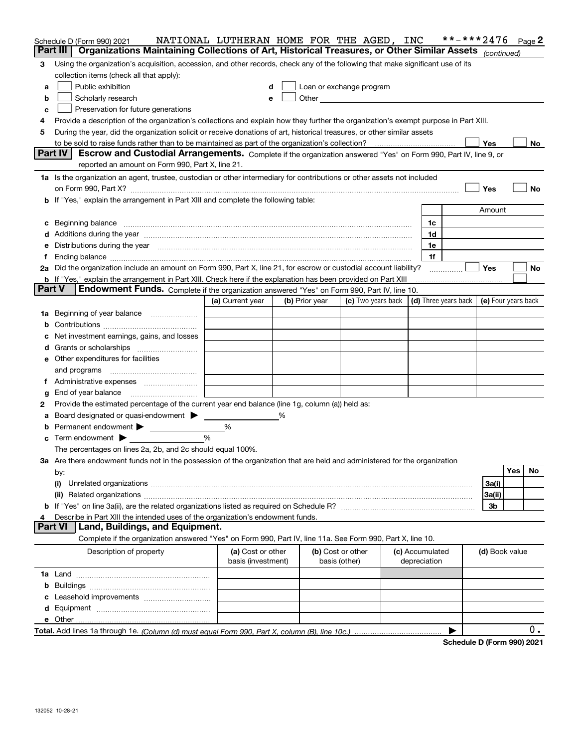|                | Schedule D (Form 990) 2021<br>Organizations Maintaining Collections of Art, Historical Treasures, or Other Similar Assets (continued)<br>Part III                                                                              | NATIONAL LUTHERAN HOME FOR THE AGED, INC |                |                                                                                                                                                                                                                                |                            |              |                 | **-***2476           |                     |     | Page 2 |
|----------------|--------------------------------------------------------------------------------------------------------------------------------------------------------------------------------------------------------------------------------|------------------------------------------|----------------|--------------------------------------------------------------------------------------------------------------------------------------------------------------------------------------------------------------------------------|----------------------------|--------------|-----------------|----------------------|---------------------|-----|--------|
|                |                                                                                                                                                                                                                                |                                          |                |                                                                                                                                                                                                                                |                            |              |                 |                      |                     |     |        |
| 3              | Using the organization's acquisition, accession, and other records, check any of the following that make significant use of its                                                                                                |                                          |                |                                                                                                                                                                                                                                |                            |              |                 |                      |                     |     |        |
|                | collection items (check all that apply):                                                                                                                                                                                       |                                          |                |                                                                                                                                                                                                                                |                            |              |                 |                      |                     |     |        |
| a              | Public exhibition<br>Loan or exchange program<br>d                                                                                                                                                                             |                                          |                |                                                                                                                                                                                                                                |                            |              |                 |                      |                     |     |        |
| b              | Scholarly research                                                                                                                                                                                                             | e                                        |                | Other and the control of the control of the control of the control of the control of the control of the control of the control of the control of the control of the control of the control of the control of the control of th |                            |              |                 |                      |                     |     |        |
| c              | Preservation for future generations                                                                                                                                                                                            |                                          |                |                                                                                                                                                                                                                                |                            |              |                 |                      |                     |     |        |
| 4              | Provide a description of the organization's collections and explain how they further the organization's exempt purpose in Part XIII.                                                                                           |                                          |                |                                                                                                                                                                                                                                |                            |              |                 |                      |                     |     |        |
| 5              | During the year, did the organization solicit or receive donations of art, historical treasures, or other similar assets                                                                                                       |                                          |                |                                                                                                                                                                                                                                |                            |              |                 |                      |                     |     |        |
|                |                                                                                                                                                                                                                                |                                          |                |                                                                                                                                                                                                                                |                            |              |                 |                      | Yes                 |     | No     |
|                | Part IV<br>Escrow and Custodial Arrangements. Complete if the organization answered "Yes" on Form 990, Part IV, line 9, or<br>reported an amount on Form 990, Part X, line 21.                                                 |                                          |                |                                                                                                                                                                                                                                |                            |              |                 |                      |                     |     |        |
|                | 1a Is the organization an agent, trustee, custodian or other intermediary for contributions or other assets not included                                                                                                       |                                          |                |                                                                                                                                                                                                                                |                            |              |                 |                      |                     |     |        |
|                |                                                                                                                                                                                                                                |                                          |                |                                                                                                                                                                                                                                |                            |              |                 |                      | Yes                 |     | No     |
|                | b If "Yes," explain the arrangement in Part XIII and complete the following table:                                                                                                                                             |                                          |                |                                                                                                                                                                                                                                |                            |              |                 |                      |                     |     |        |
|                |                                                                                                                                                                                                                                |                                          |                |                                                                                                                                                                                                                                |                            |              |                 |                      | Amount              |     |        |
|                | c Beginning balance measurements and the contract of the contract of the contract of the contract of the contract of the contract of the contract of the contract of the contract of the contract of the contract of the contr |                                          |                |                                                                                                                                                                                                                                |                            |              | 1c              |                      |                     |     |        |
|                | d Additions during the year measurements are all an according to the year measurement of the year measurement of the state of the state of the state of the state of the state of the state of the state of the state of the s |                                          |                |                                                                                                                                                                                                                                |                            |              | 1d              |                      |                     |     |        |
|                | e Distributions during the year manufactured and continuum and contact the year manufactured and contact the year manufactured and contact the year manufactured and contact the year manufactured and contact the year manufa |                                          |                |                                                                                                                                                                                                                                |                            |              | 1e              |                      |                     |     |        |
| f              |                                                                                                                                                                                                                                |                                          |                |                                                                                                                                                                                                                                |                            |              | 1f              |                      |                     |     |        |
|                | 2a Did the organization include an amount on Form 990, Part X, line 21, for escrow or custodial account liability?                                                                                                             |                                          |                |                                                                                                                                                                                                                                |                            |              | .               |                      | <b>Yes</b>          |     | No     |
|                | <b>b</b> If "Yes," explain the arrangement in Part XIII. Check here if the explanation has been provided on Part XIII                                                                                                          |                                          |                |                                                                                                                                                                                                                                |                            |              |                 |                      |                     |     |        |
| <b>Part V</b>  | Endowment Funds. Complete if the organization answered "Yes" on Form 990, Part IV, line 10.                                                                                                                                    |                                          |                |                                                                                                                                                                                                                                |                            |              |                 |                      |                     |     |        |
|                |                                                                                                                                                                                                                                | (a) Current year                         | (b) Prior year |                                                                                                                                                                                                                                | (c) Two years back $\vert$ |              |                 | (d) Three years back | (e) Four years back |     |        |
| 1a             | Beginning of year balance                                                                                                                                                                                                      |                                          |                |                                                                                                                                                                                                                                |                            |              |                 |                      |                     |     |        |
|                |                                                                                                                                                                                                                                |                                          |                |                                                                                                                                                                                                                                |                            |              |                 |                      |                     |     |        |
|                | c Net investment earnings, gains, and losses                                                                                                                                                                                   |                                          |                |                                                                                                                                                                                                                                |                            |              |                 |                      |                     |     |        |
|                |                                                                                                                                                                                                                                |                                          |                |                                                                                                                                                                                                                                |                            |              |                 |                      |                     |     |        |
|                | d Grants or scholarships                                                                                                                                                                                                       |                                          |                |                                                                                                                                                                                                                                |                            |              |                 |                      |                     |     |        |
|                | <b>e</b> Other expenditures for facilities                                                                                                                                                                                     |                                          |                |                                                                                                                                                                                                                                |                            |              |                 |                      |                     |     |        |
|                | and programs                                                                                                                                                                                                                   |                                          |                |                                                                                                                                                                                                                                |                            |              |                 |                      |                     |     |        |
|                |                                                                                                                                                                                                                                |                                          |                |                                                                                                                                                                                                                                |                            |              |                 |                      |                     |     |        |
| g              | End of year balance                                                                                                                                                                                                            |                                          |                |                                                                                                                                                                                                                                |                            |              |                 |                      |                     |     |        |
| 2              | Provide the estimated percentage of the current year end balance (line 1g, column (a)) held as:                                                                                                                                |                                          |                |                                                                                                                                                                                                                                |                            |              |                 |                      |                     |     |        |
| a              | Board designated or quasi-endowment                                                                                                                                                                                            |                                          | ℅              |                                                                                                                                                                                                                                |                            |              |                 |                      |                     |     |        |
|                | <b>b</b> Permanent endowment                                                                                                                                                                                                   | %                                        |                |                                                                                                                                                                                                                                |                            |              |                 |                      |                     |     |        |
|                | $\mathbf c$ Term endowment $\blacktriangleright$                                                                                                                                                                               | %                                        |                |                                                                                                                                                                                                                                |                            |              |                 |                      |                     |     |        |
|                | The percentages on lines 2a, 2b, and 2c should equal 100%.                                                                                                                                                                     |                                          |                |                                                                                                                                                                                                                                |                            |              |                 |                      |                     |     |        |
|                | 3a Are there endowment funds not in the possession of the organization that are held and administered for the organization                                                                                                     |                                          |                |                                                                                                                                                                                                                                |                            |              |                 |                      |                     |     |        |
|                | by:                                                                                                                                                                                                                            |                                          |                |                                                                                                                                                                                                                                |                            |              |                 |                      |                     | Yes | No     |
|                | (i)                                                                                                                                                                                                                            |                                          |                |                                                                                                                                                                                                                                |                            |              |                 |                      | 3a(i)               |     |        |
|                |                                                                                                                                                                                                                                |                                          |                |                                                                                                                                                                                                                                |                            |              |                 |                      | 3a(ii)              |     |        |
|                |                                                                                                                                                                                                                                |                                          |                |                                                                                                                                                                                                                                |                            |              |                 |                      | 3b                  |     |        |
| 4              | Describe in Part XIII the intended uses of the organization's endowment funds.                                                                                                                                                 |                                          |                |                                                                                                                                                                                                                                |                            |              |                 |                      |                     |     |        |
| <b>Part VI</b> | Land, Buildings, and Equipment.                                                                                                                                                                                                |                                          |                |                                                                                                                                                                                                                                |                            |              |                 |                      |                     |     |        |
|                | Complete if the organization answered "Yes" on Form 990, Part IV, line 11a. See Form 990, Part X, line 10.                                                                                                                     |                                          |                |                                                                                                                                                                                                                                |                            |              |                 |                      |                     |     |        |
|                | Description of property                                                                                                                                                                                                        | (a) Cost or other<br>basis (investment)  |                | (b) Cost or other<br>basis (other)                                                                                                                                                                                             |                            | depreciation | (c) Accumulated |                      | (d) Book value      |     |        |
|                |                                                                                                                                                                                                                                |                                          |                |                                                                                                                                                                                                                                |                            |              |                 |                      |                     |     |        |
|                |                                                                                                                                                                                                                                |                                          |                |                                                                                                                                                                                                                                |                            |              |                 |                      |                     |     |        |
|                |                                                                                                                                                                                                                                |                                          |                |                                                                                                                                                                                                                                |                            |              |                 |                      |                     |     |        |
|                |                                                                                                                                                                                                                                |                                          |                |                                                                                                                                                                                                                                |                            |              |                 |                      |                     |     |        |
|                |                                                                                                                                                                                                                                |                                          |                |                                                                                                                                                                                                                                |                            |              |                 |                      |                     |     |        |
|                |                                                                                                                                                                                                                                |                                          |                |                                                                                                                                                                                                                                |                            |              |                 | ▶                    |                     |     | 0.     |
|                |                                                                                                                                                                                                                                |                                          |                |                                                                                                                                                                                                                                |                            |              |                 |                      |                     |     |        |

**Schedule D (Form 990) 2021**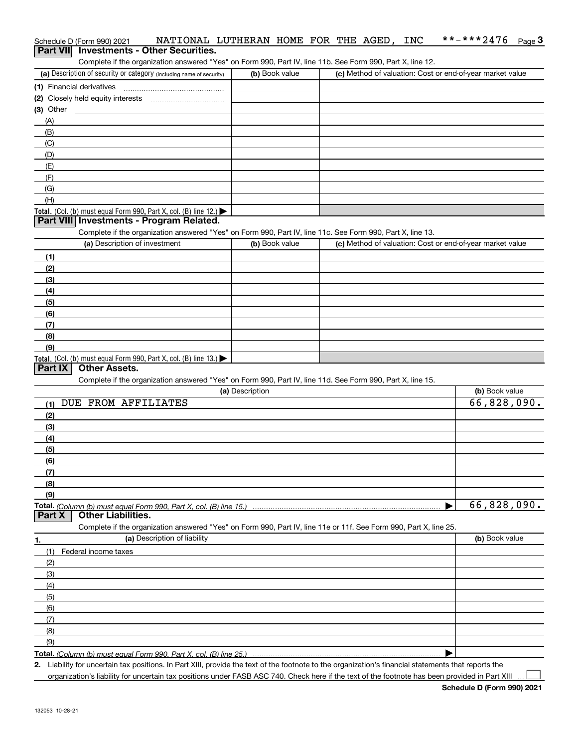### Schedule D (Form 990) 2021 NATIONAL LUTHERAN HOME FOR THE AGED,INC \*\*-\*\*\*2476 <sub>Page</sub> 3<br>| **Part VII** | Investments - Other Securities. \*\*-\*\*\*2476  $_{Page}$ 3

Complete if the organization answered "Yes" on Form 990, Part IV, line 11b. See Form 990, Part X, line 12.

| (a) Description of security or category (including name of security) | (b) Book value | (c) Method of valuation: Cost or end-of-year market value |
|----------------------------------------------------------------------|----------------|-----------------------------------------------------------|
| (1) Financial derivatives                                            |                |                                                           |
| (2) Closely held equity interests                                    |                |                                                           |
| (3) Other                                                            |                |                                                           |
| (A)                                                                  |                |                                                           |
| (B)                                                                  |                |                                                           |
| (C)                                                                  |                |                                                           |
| (D)                                                                  |                |                                                           |
| (E)                                                                  |                |                                                           |
| (E)                                                                  |                |                                                           |
| (G)                                                                  |                |                                                           |
| (H)                                                                  |                |                                                           |
| Total. (Col. (b) must equal Form 990, Part X, col. (B) line $12$ .)  |                |                                                           |

#### **Part VIII Investments - Program Related.**

Complete if the organization answered "Yes" on Form 990, Part IV, line 11c. See Form 990, Part X, line 13.

| (a) Description of investment                                    | (b) Book value | (c) Method of valuation: Cost or end-of-year market value |
|------------------------------------------------------------------|----------------|-----------------------------------------------------------|
| (1)                                                              |                |                                                           |
| (2)                                                              |                |                                                           |
| (3)                                                              |                |                                                           |
| (4)                                                              |                |                                                           |
| $\frac{1}{2}$                                                    |                |                                                           |
| (6)                                                              |                |                                                           |
| (7)                                                              |                |                                                           |
| (8)                                                              |                |                                                           |
| (9)                                                              |                |                                                           |
| Total. (Col. (b) must equal Form 990, Part X, col. (B) line 13.) |                |                                                           |

### **Part IX Other Assets.**

Complete if the organization answered "Yes" on Form 990, Part IV, line 11d. See Form 990, Part X, line 15.

|        | (a) Description                                                                                                   | (b) Book value |
|--------|-------------------------------------------------------------------------------------------------------------------|----------------|
| (1)    | FROM AFFILIATES<br>DUE                                                                                            | 66,828,090.    |
| (2)    |                                                                                                                   |                |
| (3)    |                                                                                                                   |                |
| (4)    |                                                                                                                   |                |
| (5)    |                                                                                                                   |                |
| (6)    |                                                                                                                   |                |
| (7)    |                                                                                                                   |                |
| (8)    |                                                                                                                   |                |
| (9)    |                                                                                                                   |                |
|        |                                                                                                                   | 66,828,090.    |
| Part X | <b>Other Liabilities.</b>                                                                                         |                |
|        | Complete if the organization answered "Yes" on Form 990, Part IV, line 11e or 11f. See Form 990, Part X, line 25. |                |
| 1.     | (a) Description of liability                                                                                      | (b) Book value |
| (1)    | Federal income taxes                                                                                              |                |
| (2)    |                                                                                                                   |                |
| (3)    |                                                                                                                   |                |
| (4)    |                                                                                                                   |                |
| (5)    |                                                                                                                   |                |
| (6)    |                                                                                                                   |                |
|        |                                                                                                                   |                |
| (7)    |                                                                                                                   |                |
| (8)    |                                                                                                                   |                |
| (9)    |                                                                                                                   |                |

**Total.**  *(Column (b) must equal Form 990, Part X, col. (B) line 25.)* 

**2.** Liability for uncertain tax positions. In Part XIII, provide the text of the footnote to the organization's financial statements that reports the

organization's liability for uncertain tax positions under FASB ASC 740. Check here if the text of the footnote has been provided in Part XIII  $\mathcal{L}^{\text{max}}$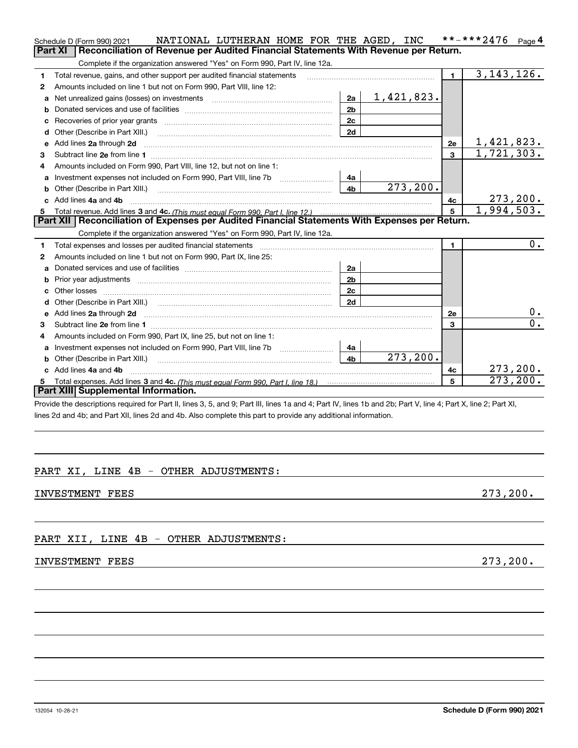|    | Schedule D (Form 990) 2021                                                                                                                                                                                                     | NATIONAL LUTHERAN HOME FOR THE AGED, INC |                |                      |                | **-***2476 Page 4         |                         |
|----|--------------------------------------------------------------------------------------------------------------------------------------------------------------------------------------------------------------------------------|------------------------------------------|----------------|----------------------|----------------|---------------------------|-------------------------|
|    | Part XI<br>Reconciliation of Revenue per Audited Financial Statements With Revenue per Return.                                                                                                                                 |                                          |                |                      |                |                           |                         |
|    | Complete if the organization answered "Yes" on Form 990, Part IV, line 12a.                                                                                                                                                    |                                          |                |                      |                |                           |                         |
| 1  | Total revenue, gains, and other support per audited financial statements                                                                                                                                                       |                                          |                |                      | 1 <sup>1</sup> | 3, 143, 126.              |                         |
| 2  | Amounts included on line 1 but not on Form 990, Part VIII, line 12:                                                                                                                                                            |                                          |                |                      |                |                           |                         |
| a  | Net unrealized gains (losses) on investments [11] matter contracts and the unrealized gains (losses) on investments                                                                                                            |                                          |                | $2a \mid 1,421,823.$ |                |                           |                         |
| b  | Donated services and use of facilities <b>EXAMPLE 2008</b>                                                                                                                                                                     |                                          | 2 <sub>b</sub> |                      |                |                           |                         |
| c  |                                                                                                                                                                                                                                |                                          | 2c             |                      |                |                           |                         |
| d  | Other (Describe in Part XIII.)                                                                                                                                                                                                 |                                          | 2d             |                      |                |                           |                         |
| е  | Add lines 2a through 2d                                                                                                                                                                                                        |                                          |                |                      | 2e             | 1,421,823.                |                         |
| з  |                                                                                                                                                                                                                                |                                          |                |                      | 3              | $\overline{1,721}$ , 303. |                         |
| 4  | Amounts included on Form 990, Part VIII, line 12, but not on line 1:                                                                                                                                                           |                                          |                |                      |                |                           |                         |
| a  | Investment expenses not included on Form 990, Part VIII, line 7b [1000000000000000000000000000000000                                                                                                                           |                                          | 4a             |                      |                |                           |                         |
| b  | Other (Describe in Part XIII.) <b>Construction Contract Construction</b> Chemistry Chemistry Chemistry Chemistry Chemistry                                                                                                     |                                          | 4 <sub>b</sub> | 273, 200.            |                |                           |                         |
| C. | Add lines 4a and 4b                                                                                                                                                                                                            |                                          |                |                      | 4с             |                           | 273, 200.               |
|    |                                                                                                                                                                                                                                |                                          |                |                      | $5^{\circ}$    | $\overline{1,994,503}$ .  |                         |
|    |                                                                                                                                                                                                                                |                                          |                |                      |                |                           |                         |
|    | Part XII   Reconciliation of Expenses per Audited Financial Statements With Expenses per Return.                                                                                                                               |                                          |                |                      |                |                           |                         |
|    | Complete if the organization answered "Yes" on Form 990, Part IV, line 12a.                                                                                                                                                    |                                          |                |                      |                |                           |                         |
| 1  | Total expenses and losses per audited financial statements [111] [12] contraction controller and contract the statements [13] [13] [13] contract expenses and losses per audited financial statements [13] [13] [13] [13] [13] |                                          |                |                      | $\mathbf 1$    |                           | 0.                      |
| 2  | Amounts included on line 1 but not on Form 990, Part IX, line 25:                                                                                                                                                              |                                          |                |                      |                |                           |                         |
| a  |                                                                                                                                                                                                                                |                                          | 2a             |                      |                |                           |                         |
| b  | Prior year adjustments <i>www.www.www.www.www.www.www.www.www.</i> ww.                                                                                                                                                         |                                          | 2 <sub>b</sub> |                      |                |                           |                         |
|    |                                                                                                                                                                                                                                |                                          | 2c             |                      |                |                           |                         |
| d  |                                                                                                                                                                                                                                |                                          | 2d             |                      |                |                           |                         |
| е  | Add lines 2a through 2d                                                                                                                                                                                                        |                                          |                |                      | 2e             |                           | $0$ .                   |
| з  |                                                                                                                                                                                                                                |                                          |                |                      | 3              |                           | 0.                      |
| 4  | Amounts included on Form 990, Part IX, line 25, but not on line 1:                                                                                                                                                             |                                          |                |                      |                |                           |                         |
| a  |                                                                                                                                                                                                                                |                                          | 4a             |                      |                |                           |                         |
|    | Other (Describe in Part XIII.)                                                                                                                                                                                                 |                                          | 4 <sub>b</sub> | 273, 200.            |                |                           |                         |
|    | Add lines 4a and 4b                                                                                                                                                                                                            |                                          |                |                      | 4c             |                           | 273, 200.               |
| 5  | Part XIII Supplemental Information.                                                                                                                                                                                            |                                          |                |                      | 5              |                           | $\overline{273}$ , 200. |

Provide the descriptions required for Part II, lines 3, 5, and 9; Part III, lines 1a and 4; Part IV, lines 1b and 2b; Part V, line 4; Part X, line 2; Part XI, lines 2d and 4b; and Part XII, lines 2d and 4b. Also complete this part to provide any additional information.

# PART XI, LINE 4B - OTHER ADJUSTMENTS:

INVESTMENT FEES 273, 200.

PART XII, LINE 4B - OTHER ADJUSTMENTS:

## INVESTMENT FEES 273, 200.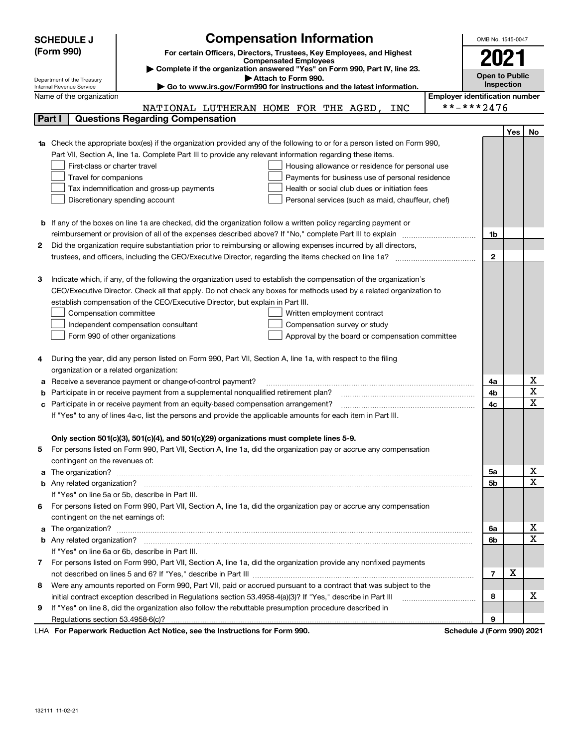|   | <b>Compensation Information</b><br><b>SCHEDULE J</b>                                                                             | OMB No. 1545-0047                     |            |             |
|---|----------------------------------------------------------------------------------------------------------------------------------|---------------------------------------|------------|-------------|
|   | (Form 990)<br>For certain Officers, Directors, Trustees, Key Employees, and Highest                                              |                                       |            |             |
|   | <b>Compensated Employees</b>                                                                                                     | 2021                                  |            |             |
|   | Complete if the organization answered "Yes" on Form 990, Part IV, line 23.<br>Attach to Form 990.                                | <b>Open to Public</b>                 |            |             |
|   | Department of the Treasury<br>Go to www.irs.gov/Form990 for instructions and the latest information.<br>Internal Revenue Service |                                       | Inspection |             |
|   | Name of the organization                                                                                                         | <b>Employer identification number</b> |            |             |
|   | NATIONAL LUTHERAN HOME FOR THE AGED,<br>INC                                                                                      | **-***2476                            |            |             |
|   | <b>Questions Regarding Compensation</b><br>Part I                                                                                |                                       |            |             |
|   |                                                                                                                                  |                                       | Yes        | No          |
|   | Check the appropriate box(es) if the organization provided any of the following to or for a person listed on Form 990,           |                                       |            |             |
|   | Part VII, Section A, line 1a. Complete Part III to provide any relevant information regarding these items.                       |                                       |            |             |
|   | First-class or charter travel<br>Housing allowance or residence for personal use                                                 |                                       |            |             |
|   | Travel for companions<br>Payments for business use of personal residence                                                         |                                       |            |             |
|   | Health or social club dues or initiation fees<br>Tax indemnification and gross-up payments                                       |                                       |            |             |
|   | Discretionary spending account<br>Personal services (such as maid, chauffeur, chef)                                              |                                       |            |             |
|   |                                                                                                                                  |                                       |            |             |
| b | If any of the boxes on line 1a are checked, did the organization follow a written policy regarding payment or                    |                                       |            |             |
|   | reimbursement or provision of all of the expenses described above? If "No," complete Part III to explain                         | 1b                                    |            |             |
| 2 | Did the organization require substantiation prior to reimbursing or allowing expenses incurred by all directors,                 |                                       |            |             |
|   |                                                                                                                                  | $\mathbf{2}$                          |            |             |
|   |                                                                                                                                  |                                       |            |             |
| з | Indicate which, if any, of the following the organization used to establish the compensation of the organization's               |                                       |            |             |
|   | CEO/Executive Director. Check all that apply. Do not check any boxes for methods used by a related organization to               |                                       |            |             |
|   | establish compensation of the CEO/Executive Director, but explain in Part III.                                                   |                                       |            |             |
|   | Compensation committee<br>Written employment contract                                                                            |                                       |            |             |
|   | Compensation survey or study<br>Independent compensation consultant                                                              |                                       |            |             |
|   | Form 990 of other organizations<br>Approval by the board or compensation committee                                               |                                       |            |             |
|   |                                                                                                                                  |                                       |            |             |
| 4 | During the year, did any person listed on Form 990, Part VII, Section A, line 1a, with respect to the filing                     |                                       |            |             |
|   | organization or a related organization:                                                                                          |                                       |            |             |
| а | Receive a severance payment or change-of-control payment?                                                                        | 4a                                    |            | х           |
|   | Participate in or receive payment from a supplemental nonqualified retirement plan?                                              | 4b                                    |            | $\mathbf X$ |
| с | Participate in or receive payment from an equity-based compensation arrangement?                                                 | 4c                                    |            | X           |
|   | If "Yes" to any of lines 4a-c, list the persons and provide the applicable amounts for each item in Part III.                    |                                       |            |             |
|   |                                                                                                                                  |                                       |            |             |
|   | Only section 501(c)(3), 501(c)(4), and 501(c)(29) organizations must complete lines 5-9.                                         |                                       |            |             |
|   | For persons listed on Form 990, Part VII, Section A, line 1a, did the organization pay or accrue any compensation                |                                       |            |             |
|   | contingent on the revenues of:                                                                                                   |                                       |            | х           |
| a |                                                                                                                                  | 5a                                    |            | X           |
|   |                                                                                                                                  | 5b                                    |            |             |
|   | If "Yes" on line 5a or 5b, describe in Part III.                                                                                 |                                       |            |             |
|   | 6 For persons listed on Form 990, Part VII, Section A, line 1a, did the organization pay or accrue any compensation              |                                       |            |             |
| a | contingent on the net earnings of:                                                                                               | 6a                                    |            | х           |
|   | The organization? <b>With the organization? Constitution of the organization</b> of the organization?                            | 6b                                    |            | X           |
|   | If "Yes" on line 6a or 6b, describe in Part III.                                                                                 |                                       |            |             |
|   | 7 For persons listed on Form 990, Part VII, Section A, line 1a, did the organization provide any nonfixed payments               |                                       |            |             |
|   |                                                                                                                                  | $\overline{7}$                        | X          |             |
| 8 | Were any amounts reported on Form 990, Part VII, paid or accrued pursuant to a contract that was subject to the                  |                                       |            |             |
|   | initial contract exception described in Regulations section 53.4958-4(a)(3)? If "Yes," describe in Part III                      | 8                                     |            | x           |
| 9 | If "Yes" on line 8, did the organization also follow the rebuttable presumption procedure described in                           |                                       |            |             |
|   |                                                                                                                                  | 9                                     |            |             |
|   | $\mathbf{r}$ $\mathbf{r}$ $\mathbf{r}$ $\mathbf{r}$ $\mathbf{r}$                                                                 |                                       |            |             |

LHA For Paperwork Reduction Act Notice, see the Instructions for Form 990. Schedule J (Form 990) 2021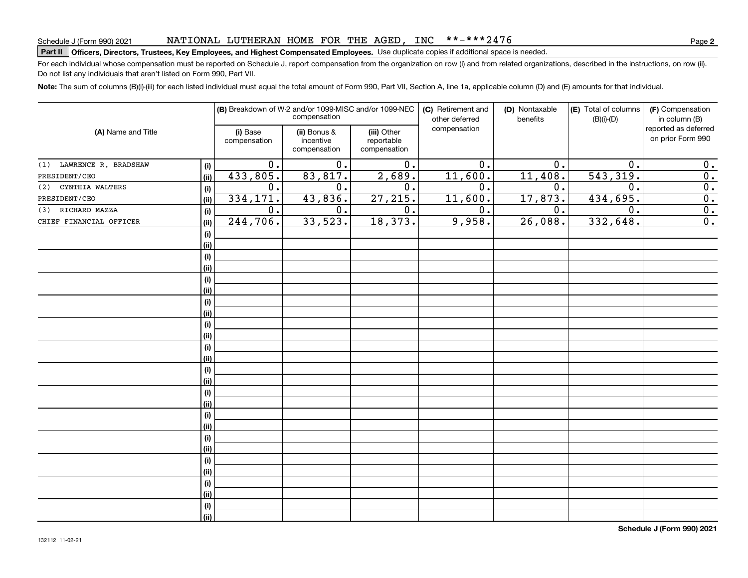### NATIONAL LUTHERAN HOME FOR THE AGED, INC \*\*-\*\*\*2476

# Schedule J (Form 990) 2021 NAT LONAL LUTHEKAN HOME F'OK THE AGED , INC \* \* – \* \* \* 24 / 6<br>| **Part II | Officers, Directors, Trustees, Key Employees, and Highest Compensated Employees**

For each individual whose compensation must be reported on Schedule J, report compensation from the organization on row (i) and from related organizations, described in the instructions, on row (ii). Do not list any individuals that aren't listed on Form 990, Part VII.

**Note:**  The sum of columns (B)(i)-(iii) for each listed individual must equal the total amount of Form 990, Part VII, Section A, line 1a, applicable column (D) and (E) amounts for that individual.

|                                 | (B) Breakdown of W-2 and/or 1099-MISC and/or 1099-NEC<br>compensation |                                           |                                           | (C) Retirement and<br>other deferred | (D) Nontaxable<br>benefits | (E) Total of columns<br>$(B)(i)-(D)$ | (F) Compensation<br>in column (B)         |
|---------------------------------|-----------------------------------------------------------------------|-------------------------------------------|-------------------------------------------|--------------------------------------|----------------------------|--------------------------------------|-------------------------------------------|
| (A) Name and Title              | (i) Base<br>compensation                                              | (ii) Bonus &<br>incentive<br>compensation | (iii) Other<br>reportable<br>compensation | compensation                         |                            |                                      | reported as deferred<br>on prior Form 990 |
| (1) LAWRENCE R. BRADSHAW<br>(i) | 0.                                                                    | 0.                                        | 0.                                        | 0.                                   | 0.                         | 0.                                   | 0.                                        |
| PRESIDENT/CEO<br>(ii)           | 433,805.                                                              | 83,817.                                   | 2,689.                                    | 11,600.                              | 11,408.                    | 543, 319.                            | $\overline{0}$ .                          |
| CYNTHIA WALTERS<br>(2)<br>(i)   | $0$ .                                                                 | 0.                                        | $\overline{0}$ .                          | 0.                                   | 0.                         | $\mathbf 0$ .                        | $\overline{0}$ .                          |
| PRESIDENT/CEO<br>(i)            | 334,171.                                                              | 43,836.                                   | 27, 215.                                  | 11,600.                              | 17,873.                    | 434,695.                             | $\overline{0}$ .                          |
| (3) RICHARD MAZZA<br>(i)        | $0$ .                                                                 | 0.                                        | $\overline{0}$ .                          | 0.                                   | 0.                         | $\mathbf 0$ .                        | $\overline{0}$ .                          |
| CHIEF FINANCIAL OFFICER<br>(ii) | 244,706.                                                              | 33,523.                                   | 18,373.                                   | 9,958.                               | 26,088.                    | 332,648.                             | $\overline{0}$ .                          |
| (i)                             |                                                                       |                                           |                                           |                                      |                            |                                      |                                           |
| (ii)                            |                                                                       |                                           |                                           |                                      |                            |                                      |                                           |
| (i)                             |                                                                       |                                           |                                           |                                      |                            |                                      |                                           |
| (ii)                            |                                                                       |                                           |                                           |                                      |                            |                                      |                                           |
| (i)                             |                                                                       |                                           |                                           |                                      |                            |                                      |                                           |
| (ii)                            |                                                                       |                                           |                                           |                                      |                            |                                      |                                           |
| (i)                             |                                                                       |                                           |                                           |                                      |                            |                                      |                                           |
| (ii)                            |                                                                       |                                           |                                           |                                      |                            |                                      |                                           |
| (i)                             |                                                                       |                                           |                                           |                                      |                            |                                      |                                           |
| (ii)                            |                                                                       |                                           |                                           |                                      |                            |                                      |                                           |
| (i)                             |                                                                       |                                           |                                           |                                      |                            |                                      |                                           |
| (ii)                            |                                                                       |                                           |                                           |                                      |                            |                                      |                                           |
| (i)                             |                                                                       |                                           |                                           |                                      |                            |                                      |                                           |
| (ii)                            |                                                                       |                                           |                                           |                                      |                            |                                      |                                           |
| (i)                             |                                                                       |                                           |                                           |                                      |                            |                                      |                                           |
| (ii)                            |                                                                       |                                           |                                           |                                      |                            |                                      |                                           |
| (i)                             |                                                                       |                                           |                                           |                                      |                            |                                      |                                           |
| (ii)                            |                                                                       |                                           |                                           |                                      |                            |                                      |                                           |
| (i)                             |                                                                       |                                           |                                           |                                      |                            |                                      |                                           |
| (ii)                            |                                                                       |                                           |                                           |                                      |                            |                                      |                                           |
| (i)                             |                                                                       |                                           |                                           |                                      |                            |                                      |                                           |
| (ii)                            |                                                                       |                                           |                                           |                                      |                            |                                      |                                           |
| (i)                             |                                                                       |                                           |                                           |                                      |                            |                                      |                                           |
| (ii)                            |                                                                       |                                           |                                           |                                      |                            |                                      |                                           |
| (i)                             |                                                                       |                                           |                                           |                                      |                            |                                      |                                           |
| (ii)                            |                                                                       |                                           |                                           |                                      |                            |                                      |                                           |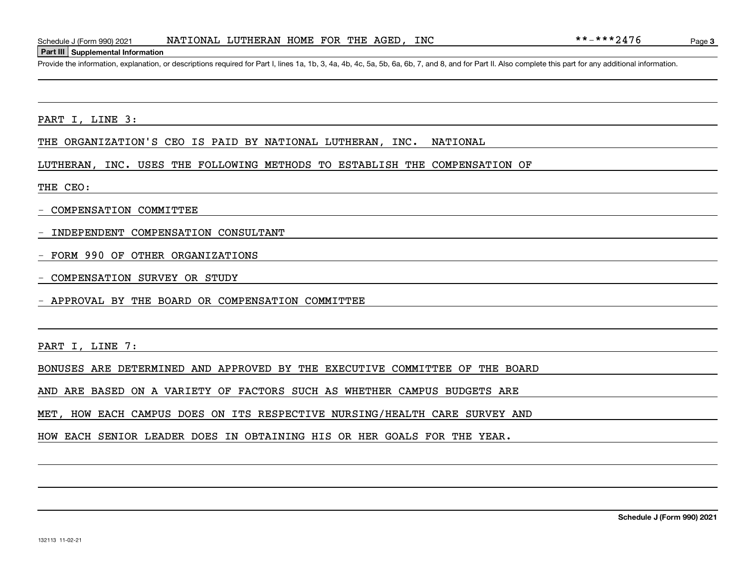#### **Part III Supplemental Information**

Schedule J (Form 990) 2021 **NATIONAL LUTHERAN HOME FOR THE AGED, INC**  $***-**2476$ <br>**Part III** Supplemental Information<br>Provide the information, explanation, or descriptions required for Part I, lines 1a, 1b, 3, 4a, 4b, 4c, 5

PART I, LINE 3:

THE ORGANIZATION'S CEO IS PAID BY NATIONAL LUTHERAN, INC. NATIONAL

LUTHERAN, INC. USES THE FOLLOWING METHODS TO ESTABLISH THE COMPENSATION OF

THE CEO:

- COMPENSATION COMMITTEE

- INDEPENDENT COMPENSATION CONSULTANT

- FORM 990 OF OTHER ORGANIZATIONS

COMPENSATION SURVEY OR STUDY

- APPROVAL BY THE BOARD OR COMPENSATION COMMITTEE

PART I, LINE 7:

BONUSES ARE DETERMINED AND APPROVED BY THE EXECUTIVE COMMITTEE OF THE BOARD

AND ARE BASED ON A VARIETY OF FACTORS SUCH AS WHETHER CAMPUS BUDGETS ARE

MET, HOW EACH CAMPUS DOES ON ITS RESPECTIVE NURSING/HEALTH CARE SURVEY AND

HOW EACH SENIOR LEADER DOES IN OBTAINING HIS OR HER GOALS FOR THE YEAR.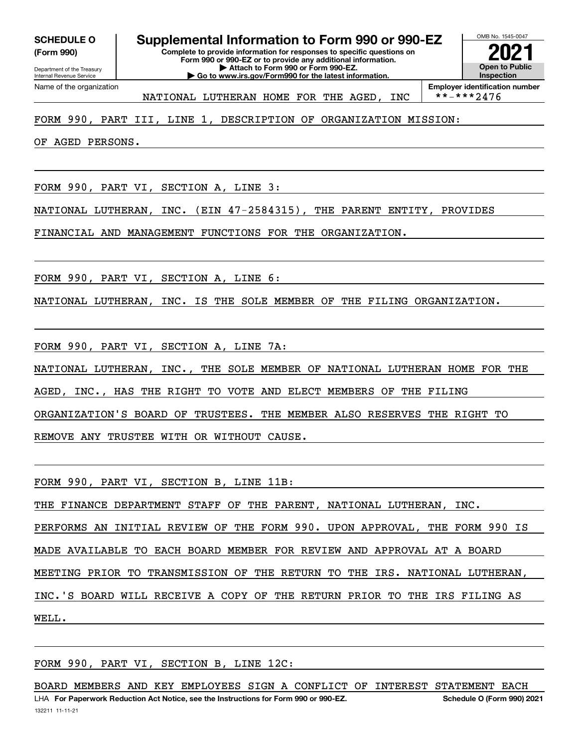**(Form 990)**

**Complete to provide information for responses to specific questions on Form 990 or 990-EZ or to provide any additional information. | Attach to Form 990 or Form 990-EZ. | Go to www.irs.gov/Form990 for the latest information. SCHEDULE O Supplemental Information to Form 990 or 990-EZ**



**Employer identification number**<br>\*\*-\*\*\*2476 NATIONAL LUTHERAN HOME FOR THE AGED, INC

## FORM 990, PART III, LINE 1, DESCRIPTION OF ORGANIZATION MISSION:

OF AGED PERSONS.

FORM 990, PART VI, SECTION A, LINE 3:

NATIONAL LUTHERAN, INC. (EIN 47-2584315), THE PARENT ENTITY, PROVIDES

FINANCIAL AND MANAGEMENT FUNCTIONS FOR THE ORGANIZATION.

FORM 990, PART VI, SECTION A, LINE 6:

NATIONAL LUTHERAN, INC. IS THE SOLE MEMBER OF THE FILING ORGANIZATION.

FORM 990, PART VI, SECTION A, LINE 7A:

NATIONAL LUTHERAN, INC., THE SOLE MEMBER OF NATIONAL LUTHERAN HOME FOR THE

AGED, INC., HAS THE RIGHT TO VOTE AND ELECT MEMBERS OF THE FILING

ORGANIZATION'S BOARD OF TRUSTEES. THE MEMBER ALSO RESERVES THE RIGHT TO

REMOVE ANY TRUSTEE WITH OR WITHOUT CAUSE.

FORM 990, PART VI, SECTION B, LINE 11B:

THE FINANCE DEPARTMENT STAFF OF THE PARENT, NATIONAL LUTHERAN, INC.

PERFORMS AN INITIAL REVIEW OF THE FORM 990. UPON APPROVAL, THE FORM 990 IS

MADE AVAILABLE TO EACH BOARD MEMBER FOR REVIEW AND APPROVAL AT A BOARD

MEETING PRIOR TO TRANSMISSION OF THE RETURN TO THE IRS. NATIONAL LUTHERAN,

INC.'S BOARD WILL RECEIVE A COPY OF THE RETURN PRIOR TO THE IRS FILING AS

WELL.

FORM 990, PART VI, SECTION B, LINE 12C:

BOARD MEMBERS AND KEY EMPLOYEES SIGN A CONFLICT OF INTEREST STATEMENT EACH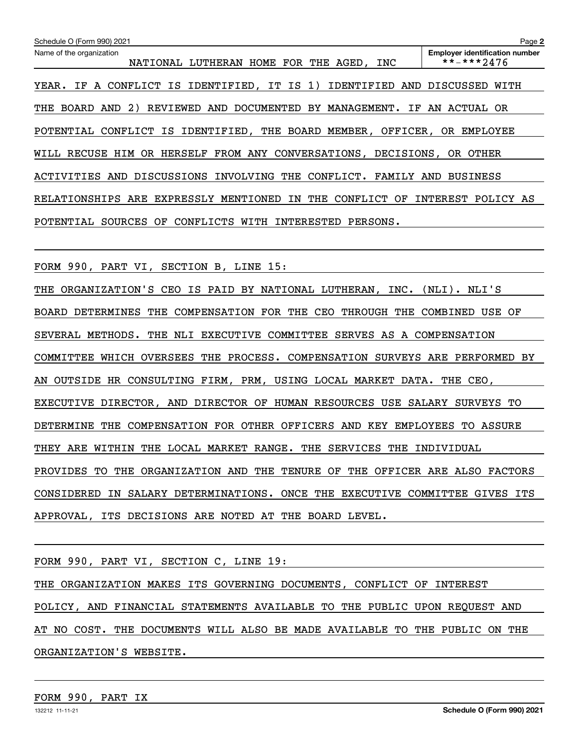| Schedule O (Form 990) 2021                                                 | Page 2                                              |
|----------------------------------------------------------------------------|-----------------------------------------------------|
| Name of the organization<br>NATIONAL LUTHERAN HOME FOR THE AGED, INC       | <b>Employer identification number</b><br>**-***2476 |
| A CONFLICT IS IDENTIFIED, IT IS 1) IDENTIFIED AND<br>YEAR.<br>IF           | DISCUSSED<br>WITH                                   |
| REVIEWED AND DOCUMENTED BY MANAGEMENT.<br>BOARD AND<br>2)<br>THE<br>IF     | AN ACTUAL OR                                        |
| POTENTIAL CONFLICT IS IDENTIFIED, THE BOARD MEMBER, OFFICER, OR EMPLOYEE   |                                                     |
| WILL RECUSE HIM OR HERSELF FROM ANY CONVERSATIONS, DECISIONS, OR OTHER     |                                                     |
| DISCUSSIONS INVOLVING THE CONFLICT.<br>ACTIVITIES AND                      | FAMILY AND BUSINESS                                 |
| EXPRESSLY MENTIONED<br>THE<br>CONFLICT<br>RELATIONSHIPS<br>ARE<br>ΙN<br>OF | INTEREST POLICY AS                                  |
| CONFLICTS WITH INTERESTED<br>POTENTIAL SOURCES OF<br>PERSONS.              |                                                     |
|                                                                            |                                                     |
| FORM 990, PART VI, SECTION B, LINE 15:                                     |                                                     |

THE ORGANIZATION'S CEO IS PAID BY NATIONAL LUTHERAN, INC. (NLI). NLI'S BOARD DETERMINES THE COMPENSATION FOR THE CEO THROUGH THE COMBINED USE OF SEVERAL METHODS. THE NLI EXECUTIVE COMMITTEE SERVES AS A COMPENSATION COMMITTEE WHICH OVERSEES THE PROCESS. COMPENSATION SURVEYS ARE PERFORMED BY AN OUTSIDE HR CONSULTING FIRM, PRM, USING LOCAL MARKET DATA. THE CEO, EXECUTIVE DIRECTOR, AND DIRECTOR OF HUMAN RESOURCES USE SALARY SURVEYS TO DETERMINE THE COMPENSATION FOR OTHER OFFICERS AND KEY EMPLOYEES TO ASSURE THEY ARE WITHIN THE LOCAL MARKET RANGE. THE SERVICES THE INDIVIDUAL PROVIDES TO THE ORGANIZATION AND THE TENURE OF THE OFFICER ARE ALSO FACTORS CONSIDERED IN SALARY DETERMINATIONS. ONCE THE EXECUTIVE COMMITTEE GIVES ITS APPROVAL, ITS DECISIONS ARE NOTED AT THE BOARD LEVEL.

FORM 990, PART VI, SECTION C, LINE 19:

THE ORGANIZATION MAKES ITS GOVERNING DOCUMENTS, CONFLICT OF INTEREST POLICY, AND FINANCIAL STATEMENTS AVAILABLE TO THE PUBLIC UPON REQUEST AND AT NO COST. THE DOCUMENTS WILL ALSO BE MADE AVAILABLE TO THE PUBLIC ON THE ORGANIZATION'S WEBSITE.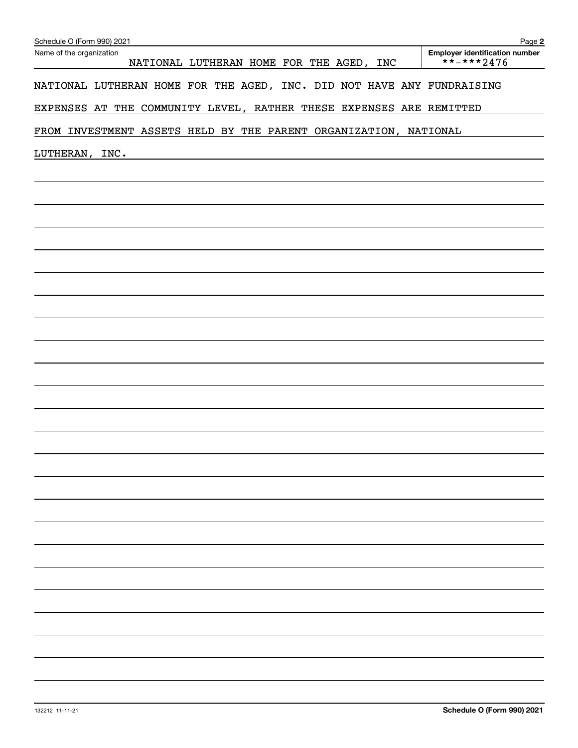| Schedule O (Form 990) 2021                                             | Page 2                                                      |
|------------------------------------------------------------------------|-------------------------------------------------------------|
| Name of the organization<br>NATIONAL LUTHERAN HOME FOR THE AGED, INC   | <b>Employer identification number</b><br>$***$ * * * * 2476 |
| NATIONAL LUTHERAN HOME FOR THE AGED, INC. DID NOT HAVE ANY FUNDRAISING |                                                             |
| EXPENSES AT THE COMMUNITY LEVEL, RATHER THESE EXPENSES ARE REMITTED    |                                                             |
| FROM INVESTMENT ASSETS HELD BY THE PARENT ORGANIZATION, NATIONAL       |                                                             |
| LUTHERAN, INC.                                                         |                                                             |
|                                                                        |                                                             |
|                                                                        |                                                             |
|                                                                        |                                                             |
|                                                                        |                                                             |
|                                                                        |                                                             |
|                                                                        |                                                             |
|                                                                        |                                                             |
|                                                                        |                                                             |
|                                                                        |                                                             |
|                                                                        |                                                             |
|                                                                        |                                                             |
|                                                                        |                                                             |
|                                                                        |                                                             |
|                                                                        |                                                             |
|                                                                        |                                                             |
|                                                                        |                                                             |
|                                                                        |                                                             |
|                                                                        |                                                             |
|                                                                        |                                                             |
|                                                                        |                                                             |
|                                                                        |                                                             |
|                                                                        |                                                             |
|                                                                        |                                                             |
|                                                                        |                                                             |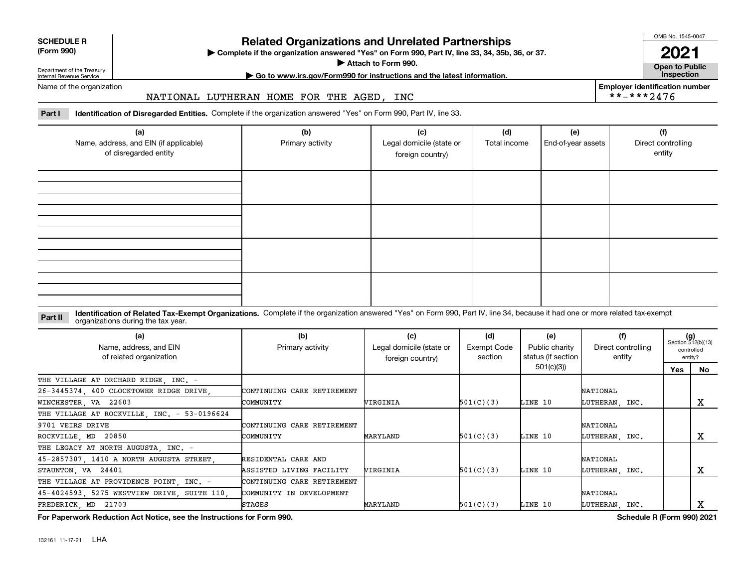| <b>SCHEDULE R</b> |  |
|-------------------|--|
| (Form 990)        |  |

#### **(Form 990)**

# **Related Organizations and Unrelated Partnerships**

**Complete if the organization answered "Yes" on Form 990, Part IV, line 33, 34, 35b, 36, or 37.** |

**Attach to Form 990.**  |

OMB No. 1545-0047

**Open to Public 2021**

**Employer identification number**

 $***$  \*\*\*\* 2476

Department of the Treasury Internal Revenue Service

# **| Go to www.irs.gov/Form990 for instructions and the latest information. Inspection**

Name of the organization

### NATIONAL LUTHERAN HOME FOR THE AGED, INC

**Part I Identification of Disregarded Entities.**  Complete if the organization answered "Yes" on Form 990, Part IV, line 33.

| (a)<br>Name, address, and EIN (if applicable)<br>of disregarded entity | (b)<br>Primary activity | (c)<br>Legal domicile (state or<br>foreign country) | (d)<br>Total income | (e)<br>End-of-year assets | (f)<br>Direct controlling<br>entity |
|------------------------------------------------------------------------|-------------------------|-----------------------------------------------------|---------------------|---------------------------|-------------------------------------|
|                                                                        |                         |                                                     |                     |                           |                                     |
|                                                                        |                         |                                                     |                     |                           |                                     |
|                                                                        |                         |                                                     |                     |                           |                                     |
|                                                                        |                         |                                                     |                     |                           |                                     |

#### **Identification of Related Tax-Exempt Organizations.** Complete if the organization answered "Yes" on Form 990, Part IV, line 34, because it had one or more related tax-exempt **Part II** organizations during the tax year.

| (a)<br>Name, address, and EIN<br>of related organization | (b)<br>Primary activity    | (c)<br>Legal domicile (state or<br>foreign country) | (d)<br>Exempt Code<br>section | (e)<br>Public charity<br>status (if section | (f)<br>Direct controlling<br>entity |     | $(g)$<br>Section 512(b)(13)<br>controlled<br>entity? |
|----------------------------------------------------------|----------------------------|-----------------------------------------------------|-------------------------------|---------------------------------------------|-------------------------------------|-----|------------------------------------------------------|
|                                                          |                            |                                                     |                               | 501(c)(3))                                  |                                     | Yes | No.                                                  |
| THE VILLAGE AT ORCHARD RIDGE, INC. -                     |                            |                                                     |                               |                                             |                                     |     |                                                      |
| 26-3445374, 400 CLOCKTOWER RIDGE DRIVE,                  | CONTINUING CARE RETIREMENT |                                                     |                               |                                             | NATIONAL                            |     |                                                      |
| WINCHESTER, VA 22603                                     | COMMUNITY                  | VIRGINIA                                            | 501(C)(3)                     | LINE 10                                     | LUTHERAN, INC.                      |     | A                                                    |
| THE VILLAGE AT ROCKVILLE, INC. - 53-0196624              |                            |                                                     |                               |                                             |                                     |     |                                                      |
| 9701 VEIRS DRIVE                                         | CONTINUING CARE RETIREMENT |                                                     |                               |                                             | NATIONAL                            |     |                                                      |
| ROCKVILLE, MD 20850                                      | COMMUNITY                  | MARYLAND                                            | 501(C)(3)                     | LINE 10                                     | LUTHERAN, INC.                      |     | х                                                    |
| THE LEGACY AT NORTH AUGUSTA, INC. -                      |                            |                                                     |                               |                                             |                                     |     |                                                      |
| 45-2857307, 1410 A NORTH AUGUSTA STREET,                 | RESIDENTAL CARE AND        |                                                     |                               |                                             | NATIONAL                            |     |                                                      |
| STAUNTON VA 24401                                        | ASSISTED LIVING FACILITY   | VIRGINIA                                            | 501(C)(3)                     | LINE 10                                     | LUTHERAN, INC.                      |     | х                                                    |
| THE VILLAGE AT PROVIDENCE POINT INC. -                   | CONTINUING CARE RETIREMENT |                                                     |                               |                                             |                                     |     |                                                      |
| 45-4024593, 5275 WESTVIEW DRIVE, SUITE 110,              | COMMUNITY IN DEVELOPMENT   |                                                     |                               |                                             | NATIONAL                            |     |                                                      |
| FREDERICK, MD 21703                                      | STAGES                     | MARYLAND                                            | 501(C)(3)                     | LINE 10                                     | LUTHERAN, INC.                      |     | x                                                    |

**For Paperwork Reduction Act Notice, see the Instructions for Form 990. Schedule R (Form 990) 2021**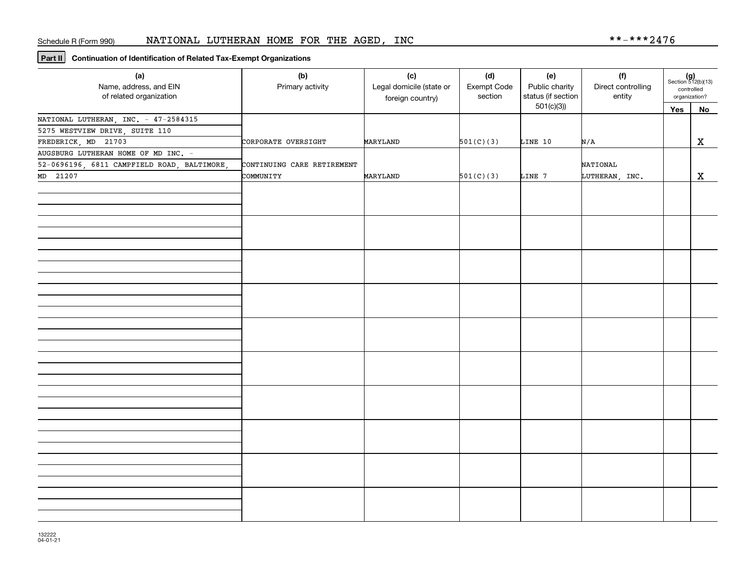**Part II Continuation of Identification of Related Tax-Exempt Organizations**

| (a)<br>Name, address, and EIN<br>of related organization | (b)<br>Primary activity    | (c)<br>Legal domicile (state or<br>foreign country) | (d)<br>Exempt Code<br>section | (e)<br>Public charity<br>status (if section | (f)<br>Direct controlling<br>entity |     | $(g)$<br>Section 512(b)(13)<br>controlled<br>organization? |
|----------------------------------------------------------|----------------------------|-----------------------------------------------------|-------------------------------|---------------------------------------------|-------------------------------------|-----|------------------------------------------------------------|
|                                                          |                            |                                                     |                               | 501(c)(3)                                   |                                     | Yes | <b>No</b>                                                  |
| NATIONAL LUTHERAN, INC. - 47-2584315                     |                            |                                                     |                               |                                             |                                     |     |                                                            |
| 5275 WESTVIEW DRIVE, SUITE 110                           |                            |                                                     |                               |                                             |                                     |     |                                                            |
| FREDERICK, MD 21703                                      | CORPORATE OVERSIGHT        | MARYLAND                                            | 501(C)(3)                     | LINE 10                                     | N/A                                 |     | X                                                          |
| AUGSBURG LUTHERAN HOME OF MD INC. -                      |                            |                                                     |                               |                                             |                                     |     |                                                            |
| 52-0696196, 6811 CAMPFIELD ROAD, BALTIMORE,              | CONTINUING CARE RETIREMENT |                                                     |                               |                                             | NATIONAL                            |     |                                                            |
| MD 21207                                                 | COMMUNITY                  | MARYLAND                                            | 501(C)(3)                     | LINE 7                                      | LUTHERAN, INC.                      |     | $\mathbf{x}$                                               |
|                                                          |                            |                                                     |                               |                                             |                                     |     |                                                            |
|                                                          |                            |                                                     |                               |                                             |                                     |     |                                                            |
|                                                          |                            |                                                     |                               |                                             |                                     |     |                                                            |
|                                                          |                            |                                                     |                               |                                             |                                     |     |                                                            |
|                                                          |                            |                                                     |                               |                                             |                                     |     |                                                            |
|                                                          |                            |                                                     |                               |                                             |                                     |     |                                                            |
|                                                          |                            |                                                     |                               |                                             |                                     |     |                                                            |
|                                                          |                            |                                                     |                               |                                             |                                     |     |                                                            |
|                                                          |                            |                                                     |                               |                                             |                                     |     |                                                            |
|                                                          |                            |                                                     |                               |                                             |                                     |     |                                                            |
|                                                          |                            |                                                     |                               |                                             |                                     |     |                                                            |
|                                                          |                            |                                                     |                               |                                             |                                     |     |                                                            |
|                                                          |                            |                                                     |                               |                                             |                                     |     |                                                            |
|                                                          |                            |                                                     |                               |                                             |                                     |     |                                                            |
|                                                          |                            |                                                     |                               |                                             |                                     |     |                                                            |
|                                                          |                            |                                                     |                               |                                             |                                     |     |                                                            |
|                                                          |                            |                                                     |                               |                                             |                                     |     |                                                            |
|                                                          |                            |                                                     |                               |                                             |                                     |     |                                                            |
|                                                          |                            |                                                     |                               |                                             |                                     |     |                                                            |
|                                                          |                            |                                                     |                               |                                             |                                     |     |                                                            |
|                                                          |                            |                                                     |                               |                                             |                                     |     |                                                            |
|                                                          |                            |                                                     |                               |                                             |                                     |     |                                                            |
|                                                          |                            |                                                     |                               |                                             |                                     |     |                                                            |
|                                                          |                            |                                                     |                               |                                             |                                     |     |                                                            |
|                                                          |                            |                                                     |                               |                                             |                                     |     |                                                            |
|                                                          |                            |                                                     |                               |                                             |                                     |     |                                                            |
|                                                          |                            |                                                     |                               |                                             |                                     |     |                                                            |
|                                                          |                            |                                                     |                               |                                             |                                     |     |                                                            |
|                                                          |                            |                                                     |                               |                                             |                                     |     |                                                            |
|                                                          |                            |                                                     |                               |                                             |                                     |     |                                                            |
|                                                          |                            |                                                     |                               |                                             |                                     |     |                                                            |
|                                                          |                            |                                                     |                               |                                             |                                     |     |                                                            |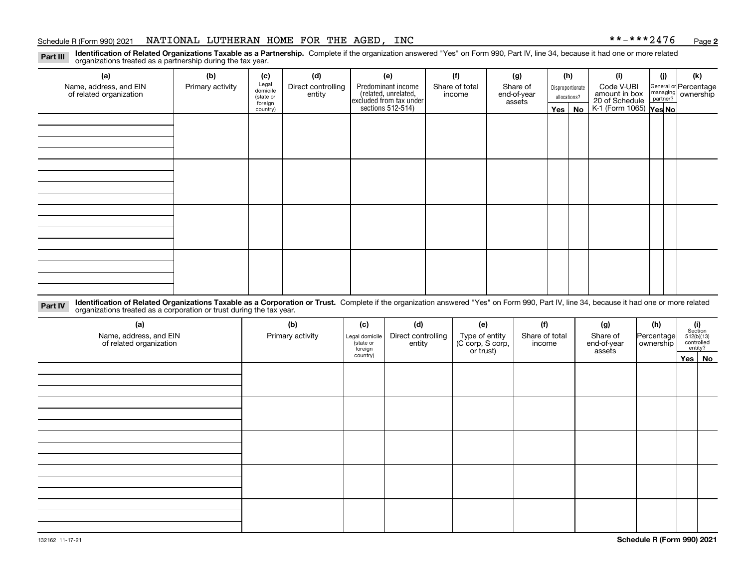#### Schedule R (Form 990) 2021 NATIONAL LUTHERAN HOME FOR THE AGED, INC \* \*-\* \* \* 2 4 7 6 <sub>Page</sub>

**2**

**Identification of Related Organizations Taxable as a Partnership.** Complete if the organization answered "Yes" on Form 990, Part IV, line 34, because it had one or more related **Part III** organizations treated as a partnership during the tax year.

| (a)<br>Name, address, and EIN<br>of related organization | (b)<br>Primary activity | (c)<br>Legal<br>domicile<br>(state or<br>foreign<br>country) | (d)<br>Direct controlling<br>entity | (e)<br>Predominant income<br>(related, unrelated,<br>excluded from tax under<br>sections 512-514) | (f)<br>Share of total<br>income | (g)<br>Share of<br>end-of-year<br>assets | (h)<br>Yes $ $ | Disproportionate<br>allocations?<br>No | (i)<br>Code V-UBI<br>amount in box<br>20 of Schedule<br>K-1 (Form 1065) Yes No | (j) | (k)<br>General or Percentage<br>managing<br>partner?<br>partner? |
|----------------------------------------------------------|-------------------------|--------------------------------------------------------------|-------------------------------------|---------------------------------------------------------------------------------------------------|---------------------------------|------------------------------------------|----------------|----------------------------------------|--------------------------------------------------------------------------------|-----|------------------------------------------------------------------|
|                                                          |                         |                                                              |                                     |                                                                                                   |                                 |                                          |                |                                        |                                                                                |     |                                                                  |
|                                                          |                         |                                                              |                                     |                                                                                                   |                                 |                                          |                |                                        |                                                                                |     |                                                                  |
|                                                          |                         |                                                              |                                     |                                                                                                   |                                 |                                          |                |                                        |                                                                                |     |                                                                  |
|                                                          |                         |                                                              |                                     |                                                                                                   |                                 |                                          |                |                                        |                                                                                |     |                                                                  |

**Identification of Related Organizations Taxable as a Corporation or Trust.** Complete if the organization answered "Yes" on Form 990, Part IV, line 34, because it had one or more related **Part IV** organizations treated as a corporation or trust during the tax year.

| (a)<br>Name, address, and EIN<br>of related organization | (b)<br>Primary activity | (c)<br>Legal domicile<br>(state or<br>foreign | (d)<br>Direct controlling<br>entity | (e)<br>Type of entity<br>(C corp, S corp,<br>or trust) | (f)<br>Share of total<br>income | (g)<br>Share of<br>end-of-year<br>assets | (h)<br>Percentage<br>ownership | $\begin{array}{c} \textbf{(i)}\\ \text{Section}\\ 512 \text{(b)} \text{(13)}\\ \text{controlled}\\ \text{entity?} \end{array}$ |        |
|----------------------------------------------------------|-------------------------|-----------------------------------------------|-------------------------------------|--------------------------------------------------------|---------------------------------|------------------------------------------|--------------------------------|--------------------------------------------------------------------------------------------------------------------------------|--------|
|                                                          |                         | country)                                      |                                     |                                                        |                                 |                                          |                                |                                                                                                                                | Yes No |
|                                                          |                         |                                               |                                     |                                                        |                                 |                                          |                                |                                                                                                                                |        |
|                                                          |                         |                                               |                                     |                                                        |                                 |                                          |                                |                                                                                                                                |        |
|                                                          |                         |                                               |                                     |                                                        |                                 |                                          |                                |                                                                                                                                |        |
|                                                          |                         |                                               |                                     |                                                        |                                 |                                          |                                |                                                                                                                                |        |
|                                                          |                         |                                               |                                     |                                                        |                                 |                                          |                                |                                                                                                                                |        |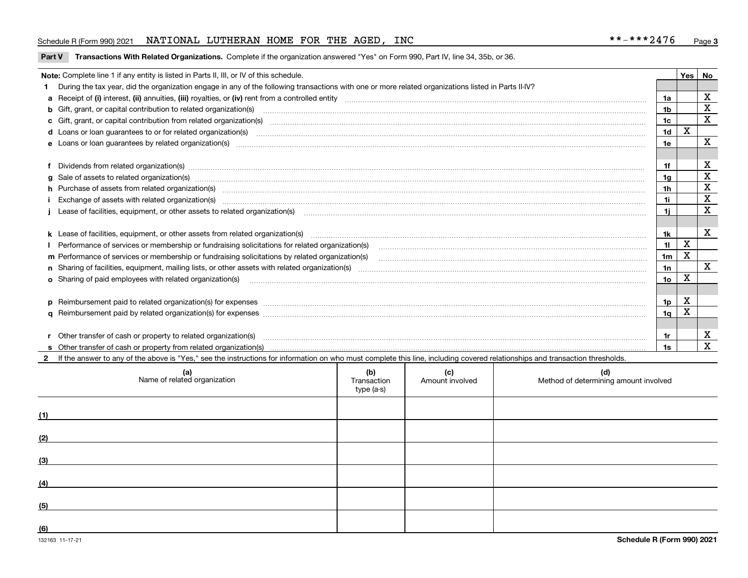#### Schedule R (Form 990) 2021 NATIONAL LUTHERAN HOME FOR THE AGED, INC \* \*-\* \* \* 2 4 7 6 <sub>Page</sub>

**Part V** T**ransactions With Related Organizations.** Complete if the organization answered "Yes" on Form 990, Part IV, line 34, 35b, or 36.

| Note: Complete line 1 if any entity is listed in Parts II, III, or IV of this schedule. |                                                                                                                                                                                                                                     |                 |   |                   |  |
|-----------------------------------------------------------------------------------------|-------------------------------------------------------------------------------------------------------------------------------------------------------------------------------------------------------------------------------------|-----------------|---|-------------------|--|
|                                                                                         | During the tax year, did the organization engage in any of the following transactions with one or more related organizations listed in Parts II-IV?                                                                                 |                 |   |                   |  |
|                                                                                         |                                                                                                                                                                                                                                     | 1a              |   | X                 |  |
|                                                                                         | b Gift, grant, or capital contribution to related organization(s) manufaction contracts and contribution to related organization(s) manufaction contribution to related organization(s)                                             | 1b              |   | X                 |  |
|                                                                                         |                                                                                                                                                                                                                                     | 1 <sub>c</sub>  |   | $\mathbf X$       |  |
|                                                                                         |                                                                                                                                                                                                                                     | 1 <sub>d</sub>  | х | $\mathbf X$       |  |
|                                                                                         |                                                                                                                                                                                                                                     |                 |   |                   |  |
|                                                                                         |                                                                                                                                                                                                                                     |                 |   |                   |  |
|                                                                                         |                                                                                                                                                                                                                                     | 1f              |   | X<br>$\mathbf X$  |  |
|                                                                                         | Sale of assets to related organization(s) material contents and content and content to the state of assets to related organization(s) material content of the set of assets to related organization(s) material content of the<br>a |                 |   |                   |  |
|                                                                                         | h Purchase of assets from related organization(s) manufactured content to content the content of the content of the content of the content of the content of the content of the content of the content of the content of the c      | 1 <sub>h</sub>  |   | X                 |  |
|                                                                                         |                                                                                                                                                                                                                                     | 1i              |   | $\mathbf x$       |  |
|                                                                                         | Lease of facilities, equipment, or other assets to related organization(s) manufactured content and content and content and content and content and content and content and content and content and content and content and co      | 1i.             |   | X                 |  |
|                                                                                         |                                                                                                                                                                                                                                     |                 |   |                   |  |
|                                                                                         |                                                                                                                                                                                                                                     | 1k              |   | X                 |  |
|                                                                                         |                                                                                                                                                                                                                                     | 11              | X |                   |  |
|                                                                                         |                                                                                                                                                                                                                                     | 1 <sub>m</sub>  | X |                   |  |
|                                                                                         |                                                                                                                                                                                                                                     | 1n              |   | $\mathbf{x}$      |  |
|                                                                                         | <b>o</b> Sharing of paid employees with related organization(s)                                                                                                                                                                     | 10 <sub>o</sub> | х |                   |  |
|                                                                                         |                                                                                                                                                                                                                                     |                 |   |                   |  |
|                                                                                         |                                                                                                                                                                                                                                     | 1p              | X |                   |  |
|                                                                                         |                                                                                                                                                                                                                                     | 1 <sub>q</sub>  | x |                   |  |
|                                                                                         |                                                                                                                                                                                                                                     |                 |   |                   |  |
|                                                                                         | r Other transfer of cash or property to related organization(s)                                                                                                                                                                     | 1r              |   | X<br>$\mathbf{x}$ |  |
|                                                                                         |                                                                                                                                                                                                                                     |                 |   |                   |  |
|                                                                                         | 2 If the answer to any of the above is "Yes," see the instructions for information on who must complete this line, including covered relationships and transaction thresholds.                                                      |                 |   |                   |  |

|     | (a)<br>Name of related organization | (b)<br>Transaction<br>type (a-s) | (c)<br>Amount involved | (d)<br>Method of determining amount involved |
|-----|-------------------------------------|----------------------------------|------------------------|----------------------------------------------|
| (1) |                                     |                                  |                        |                                              |
| (2) |                                     |                                  |                        |                                              |
| (3) |                                     |                                  |                        |                                              |
| (4) |                                     |                                  |                        |                                              |
| (5) |                                     |                                  |                        |                                              |
| (6) |                                     |                                  |                        |                                              |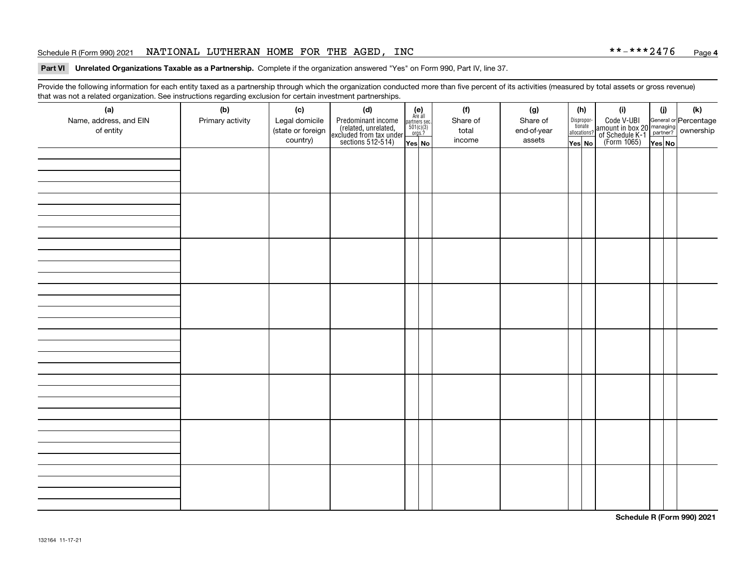#### Schedule R (Form 990) 2021 NATIONAL LUTHERAN HOME FOR THE AGED, INC \* \*-\* \* \* 2 4 7 6 <sub>Page</sub>

#### **Part VI Unrelated Organizations Taxable as a Partnership. Complete if the organization answered "Yes" on Form 990, Part IV, line 37.**

Provide the following information for each entity taxed as a partnership through which the organization conducted more than five percent of its activities (measured by total assets or gross revenue) that was not a related organization. See instructions regarding exclusion for certain investment partnerships.

| that was not a related erganization. See includitions regarding exclusion for collain investment partnerships.<br>(a) | (b)              | (c)               | (d)                                                                                        |                                                                                                                  | (f)      | (g)         | (h)                   | (i)                                                                     | (j)    |  | (k)                                                        |
|-----------------------------------------------------------------------------------------------------------------------|------------------|-------------------|--------------------------------------------------------------------------------------------|------------------------------------------------------------------------------------------------------------------|----------|-------------|-----------------------|-------------------------------------------------------------------------|--------|--|------------------------------------------------------------|
| Name, address, and EIN                                                                                                | Primary activity | Legal domicile    | Predominant income<br>(related, unrelated,<br>excluded from tax under<br>sections 512-514) | $\begin{array}{c} \textbf{(e)}\\ \text{Are all} \\ \text{partners sec.}\\ 501(c)(3)\\ \text{orgs.?} \end{array}$ | Share of | Share of    | Dispropor-<br>tionate | Code V-UBI<br>  amount in box 20<br> - of Schedule K-1<br>  (Form 1065) |        |  | General or Percentage<br>managing<br>partner?<br>ownership |
| of entity                                                                                                             |                  | (state or foreign |                                                                                            |                                                                                                                  | total    | end-of-year | allocations?          |                                                                         |        |  |                                                            |
|                                                                                                                       |                  | country)          |                                                                                            | Yes No                                                                                                           | income   | assets      | Yes No                |                                                                         | Yes No |  |                                                            |
|                                                                                                                       |                  |                   |                                                                                            |                                                                                                                  |          |             |                       |                                                                         |        |  |                                                            |
|                                                                                                                       |                  |                   |                                                                                            |                                                                                                                  |          |             |                       |                                                                         |        |  |                                                            |
|                                                                                                                       |                  |                   |                                                                                            |                                                                                                                  |          |             |                       |                                                                         |        |  |                                                            |
|                                                                                                                       |                  |                   |                                                                                            |                                                                                                                  |          |             |                       |                                                                         |        |  |                                                            |
|                                                                                                                       |                  |                   |                                                                                            |                                                                                                                  |          |             |                       |                                                                         |        |  |                                                            |
|                                                                                                                       |                  |                   |                                                                                            |                                                                                                                  |          |             |                       |                                                                         |        |  |                                                            |
|                                                                                                                       |                  |                   |                                                                                            |                                                                                                                  |          |             |                       |                                                                         |        |  |                                                            |
|                                                                                                                       |                  |                   |                                                                                            |                                                                                                                  |          |             |                       |                                                                         |        |  |                                                            |
|                                                                                                                       |                  |                   |                                                                                            |                                                                                                                  |          |             |                       |                                                                         |        |  |                                                            |
|                                                                                                                       |                  |                   |                                                                                            |                                                                                                                  |          |             |                       |                                                                         |        |  |                                                            |
|                                                                                                                       |                  |                   |                                                                                            |                                                                                                                  |          |             |                       |                                                                         |        |  |                                                            |
|                                                                                                                       |                  |                   |                                                                                            |                                                                                                                  |          |             |                       |                                                                         |        |  |                                                            |
|                                                                                                                       |                  |                   |                                                                                            |                                                                                                                  |          |             |                       |                                                                         |        |  |                                                            |
|                                                                                                                       |                  |                   |                                                                                            |                                                                                                                  |          |             |                       |                                                                         |        |  |                                                            |
|                                                                                                                       |                  |                   |                                                                                            |                                                                                                                  |          |             |                       |                                                                         |        |  |                                                            |
|                                                                                                                       |                  |                   |                                                                                            |                                                                                                                  |          |             |                       |                                                                         |        |  |                                                            |
|                                                                                                                       |                  |                   |                                                                                            |                                                                                                                  |          |             |                       |                                                                         |        |  |                                                            |
|                                                                                                                       |                  |                   |                                                                                            |                                                                                                                  |          |             |                       |                                                                         |        |  |                                                            |
|                                                                                                                       |                  |                   |                                                                                            |                                                                                                                  |          |             |                       |                                                                         |        |  |                                                            |
|                                                                                                                       |                  |                   |                                                                                            |                                                                                                                  |          |             |                       |                                                                         |        |  |                                                            |
|                                                                                                                       |                  |                   |                                                                                            |                                                                                                                  |          |             |                       |                                                                         |        |  |                                                            |
|                                                                                                                       |                  |                   |                                                                                            |                                                                                                                  |          |             |                       |                                                                         |        |  |                                                            |
|                                                                                                                       |                  |                   |                                                                                            |                                                                                                                  |          |             |                       |                                                                         |        |  |                                                            |
|                                                                                                                       |                  |                   |                                                                                            |                                                                                                                  |          |             |                       |                                                                         |        |  |                                                            |
|                                                                                                                       |                  |                   |                                                                                            |                                                                                                                  |          |             |                       |                                                                         |        |  |                                                            |
|                                                                                                                       |                  |                   |                                                                                            |                                                                                                                  |          |             |                       |                                                                         |        |  |                                                            |
|                                                                                                                       |                  |                   |                                                                                            |                                                                                                                  |          |             |                       |                                                                         |        |  |                                                            |
|                                                                                                                       |                  |                   |                                                                                            |                                                                                                                  |          |             |                       |                                                                         |        |  |                                                            |
|                                                                                                                       |                  |                   |                                                                                            |                                                                                                                  |          |             |                       |                                                                         |        |  |                                                            |

**Schedule R (Form 990) 2021**